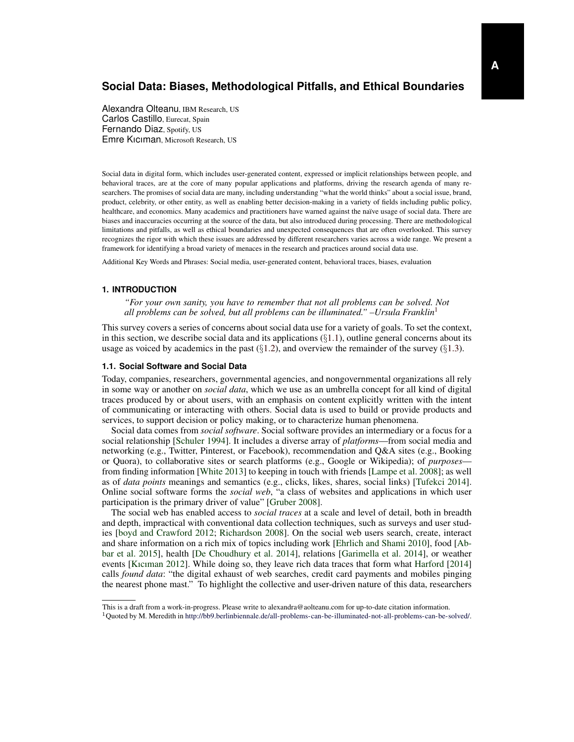# **Social Data: Biases, Methodological Pitfalls, and Ethical Boundaries**

Alexandra Olteanu, IBM Research, US Carlos Castillo, Eurecat, Spain Fernando Diaz, Spotify, US Emre Kıcıman, Microsoft Research, US

Social data in digital form, which includes user-generated content, expressed or implicit relationships between people, and behavioral traces, are at the core of many popular applications and platforms, driving the research agenda of many researchers. The promises of social data are many, including understanding "what the world thinks" about a social issue, brand, product, celebrity, or other entity, as well as enabling better decision-making in a variety of fields including public policy, healthcare, and economics. Many academics and practitioners have warned against the naïve usage of social data. There are biases and inaccuracies occurring at the source of the data, but also introduced during processing. There are methodological limitations and pitfalls, as well as ethical boundaries and unexpected consequences that are often overlooked. This survey recognizes the rigor with which these issues are addressed by different researchers varies across a wide range. We present a framework for identifying a broad variety of menaces in the research and practices around social data use.

Additional Key Words and Phrases: Social media, user-generated content, behavioral traces, biases, evaluation

#### <span id="page-0-2"></span>**1. INTRODUCTION**

*"For your own sanity, you have to remember that not all problems can be solved. Not all problems can be solved, but all problems can be illuminated." –Ursula Franklin*[1](#page-0-0)

This survey covers a series of concerns about social data use for a variety of goals. To set the context, in this section, we describe social data and its applications  $(\S1.1)$  $(\S1.1)$ , outline general concerns about its usage as voiced by academics in the past  $(\S1.2)$  $(\S1.2)$ , and overview the remainder of the survey  $(\S1.3)$  $(\S1.3)$ .

#### <span id="page-0-1"></span>**1.1. Social Software and Social Data**

Today, companies, researchers, governmental agencies, and nongovernmental organizations all rely in some way or another on *social data*, which we use as an umbrella concept for all kind of digital traces produced by or about users, with an emphasis on content explicitly written with the intent of communicating or interacting with others. Social data is used to build or provide products and services, to support decision or policy making, or to characterize human phenomena.

Social data comes from *social software*. Social software provides an intermediary or a focus for a social relationship [\[Schuler](#page-44-0) [1994\]](#page-44-0). It includes a diverse array of *platforms*—from social media and networking (e.g., Twitter, Pinterest, or Facebook), recommendation and Q&A sites (e.g., Booking or Quora), to collaborative sites or search platforms (e.g., Google or Wikipedia); of *purposes* from finding information [\[White](#page-45-0) [2013\]](#page-45-0) to keeping in touch with friends [\[Lampe et al.](#page-39-0) [2008\]](#page-39-0); as well as of *data points* meanings and semantics (e.g., clicks, likes, shares, social links) [\[Tufekci](#page-44-1) [2014\]](#page-44-1). Online social software forms the *social web*, "a class of websites and applications in which user participation is the primary driver of value" [\[Gruber](#page-38-0) [2008\]](#page-38-0).

The social web has enabled access to *social traces* at a scale and level of detail, both in breadth and depth, impractical with conventional data collection techniques, such as surveys and user studies [\[boyd and Crawford](#page-35-0) [2012;](#page-35-0) [Richardson](#page-43-0) [2008\]](#page-43-0). On the social web users search, create, interact and share information on a rich mix of topics including work [\[Ehrlich and Shami](#page-37-0) [2010\]](#page-37-0), food [\[Ab](#page-34-0)[bar et al.](#page-34-0) [2015\]](#page-34-0), health [\[De Choudhury et al.](#page-36-0) [2014\]](#page-36-0), relations [\[Garimella et al.](#page-37-1) [2014\]](#page-37-1), or weather events [\[Kıcıman](#page-39-1) [2012\]](#page-39-1). While doing so, they leave rich data traces that form what [Harford](#page-38-1) [\[2014\]](#page-38-1) calls *found data*: "the digital exhaust of web searches, credit card payments and mobiles pinging the nearest phone mast." To highlight the collective and user-driven nature of this data, researchers

This is a draft from a work-in-progress. Please write to alexandra@aolteanu.com for up-to-date citation information.

<span id="page-0-0"></span><sup>1</sup>Quoted by M. Meredith in [http://bb9.berlinbiennale.de/all-problems-can-be-illuminated-not-all-problems-can-be-solved/.](http://bb9.berlinbiennale.de/all-problems-can-be-illuminated-not-all-problems-can-be-solved/)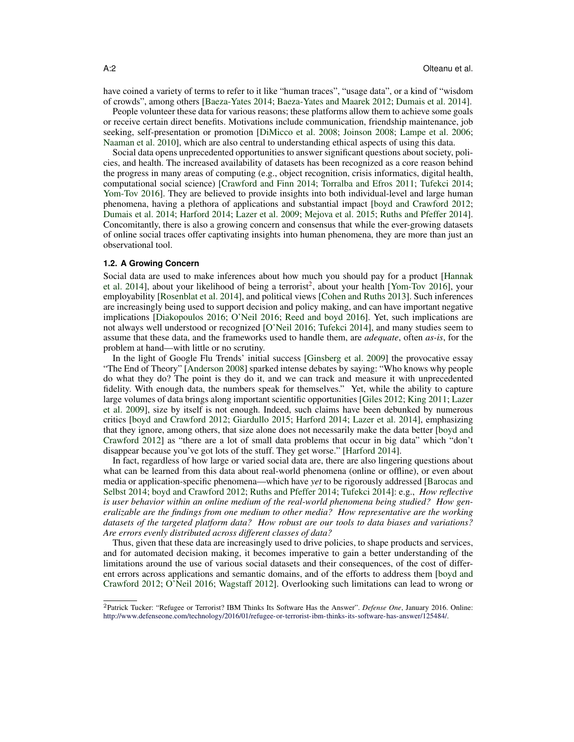have coined a variety of terms to refer to it like "human traces", "usage data", or a kind of "wisdom of crowds", among others [\[Baeza-Yates](#page-34-1) [2014;](#page-34-1) [Baeza-Yates and Maarek](#page-34-2) [2012;](#page-34-2) [Dumais et al.](#page-37-2) [2014\]](#page-37-2).

People volunteer these data for various reasons; these platforms allow them to achieve some goals or receive certain direct benefits. Motivations include communication, friendship maintenance, job seeking, self-presentation or promotion [\[DiMicco et al.](#page-36-1) [2008;](#page-36-1) [Joinson](#page-39-2) [2008;](#page-39-2) [Lampe et al.](#page-39-3) [2006;](#page-39-3) [Naaman et al.](#page-41-0) [2010\]](#page-41-0), which are also central to understanding ethical aspects of using this data.

Social data opens unprecedented opportunities to answer significant questions about society, policies, and health. The increased availability of datasets has been recognized as a core reason behind the progress in many areas of computing (e.g., object recognition, crisis informatics, digital health, computational social science) [\[Crawford and Finn](#page-36-2) [2014;](#page-36-2) [Torralba and Efros](#page-44-2) [2011;](#page-44-2) [Tufekci](#page-44-1) [2014;](#page-44-1) [Yom-Tov](#page-46-0) [2016\]](#page-46-0). They are believed to provide insights into both individual-level and large human phenomena, having a plethora of applications and substantial impact [\[boyd and Crawford](#page-35-0) [2012;](#page-35-0) [Dumais et al.](#page-37-2) [2014;](#page-37-2) [Harford](#page-38-1) [2014;](#page-38-1) [Lazer et al.](#page-39-4) [2009;](#page-39-4) [Mejova et al.](#page-41-1) [2015;](#page-41-1) [Ruths and Pfeffer](#page-43-1) [2014\]](#page-43-1). Concomitantly, there is also a growing concern and consensus that while the ever-growing datasets of online social traces offer captivating insights into human phenomena, they are more than just an observational tool.

#### <span id="page-1-0"></span>**1.2. A Growing Concern**

Social data are used to make inferences about how much you should pay for a product [\[Hannak](#page-38-2) [et al.](#page-38-2) [2014\]](#page-38-2), about your likelihood of being a terrorist<sup>[2](#page-1-1)</sup>, about your health [\[Yom-Tov](#page-46-0) [2016\]](#page-46-0), your employability [\[Rosenblat et al.](#page-43-2) [2014\]](#page-43-2), and political views [\[Cohen and Ruths](#page-36-3) [2013\]](#page-36-3). Such inferences are increasingly being used to support decision and policy making, and can have important negative implications [\[Diakopoulos](#page-36-4) [2016;](#page-36-4) [O'Neil](#page-42-0) [2016;](#page-42-0) [Reed and boyd](#page-43-3) [2016\]](#page-43-3). Yet, such implications are not always well understood or recognized [\[O'Neil](#page-42-0) [2016;](#page-42-0) [Tufekci](#page-44-1) [2014\]](#page-44-1), and many studies seem to assume that these data, and the frameworks used to handle them, are *adequate*, often *as-is*, for the problem at hand—with little or no scrutiny.

In the light of Google Flu Trends' initial success [\[Ginsberg et al.](#page-37-3) [2009\]](#page-37-3) the provocative essay "The End of Theory" [\[Anderson](#page-34-3) [2008\]](#page-34-3) sparked intense debates by saying: "Who knows why people do what they do? The point is they do it, and we can track and measure it with unprecedented fidelity. With enough data, the numbers speak for themselves." Yet, while the ability to capture large volumes of data brings along important scientific opportunities [\[Giles](#page-37-4) [2012;](#page-37-4) [King](#page-39-5) [2011;](#page-39-5) [Lazer](#page-39-4) [et al.](#page-39-4) [2009\]](#page-39-4), size by itself is not enough. Indeed, such claims have been debunked by numerous critics [\[boyd and Crawford](#page-35-0) [2012;](#page-35-0) [Giardullo](#page-37-5) [2015;](#page-37-5) [Harford](#page-38-1) [2014;](#page-38-1) [Lazer et al.](#page-39-6) [2014\]](#page-39-6), emphasizing that they ignore, among others, that size alone does not necessarily make the data better [\[boyd and](#page-35-0) [Crawford](#page-35-0) [2012\]](#page-35-0) as "there are a lot of small data problems that occur in big data" which "don't disappear because you've got lots of the stuff. They get worse." [\[Harford](#page-38-1) [2014\]](#page-38-1).

In fact, regardless of how large or varied social data are, there are also lingering questions about what can be learned from this data about real-world phenomena (online or offline), or even about media or application-specific phenomena—which have *yet* to be rigorously addressed [\[Barocas and](#page-34-4) [Selbst](#page-34-4) [2014;](#page-34-4) [boyd and Crawford](#page-35-0) [2012;](#page-35-0) [Ruths and Pfeffer](#page-43-1) [2014;](#page-43-1) [Tufekci](#page-44-1) [2014\]](#page-44-1): e.g., *How reflective is user behavior within an online medium of the real-world phenomena being studied? How generalizable are the findings from one medium to other media? How representative are the working datasets of the targeted platform data? How robust are our tools to data biases and variations? Are errors evenly distributed across different classes of data?*

Thus, given that these data are increasingly used to drive policies, to shape products and services, and for automated decision making, it becomes imperative to gain a better understanding of the limitations around the use of various social datasets and their consequences, of the cost of different errors across applications and semantic domains, and of the efforts to address them [\[boyd and](#page-35-0) [Crawford](#page-35-0) [2012;](#page-35-0) [O'Neil](#page-42-0) [2016;](#page-42-0) [Wagstaff](#page-45-1) [2012\]](#page-45-1). Overlooking such limitations can lead to wrong or

<span id="page-1-1"></span><sup>2</sup>Patrick Tucker: "Refugee or Terrorist? IBM Thinks Its Software Has the Answer". *Defense One*, January 2016. Online: [http://www.defenseone.com/technology/2016/01/refugee-or-terrorist-ibm-thinks-its-software-has-answer/125484/.](http://www.defenseone.com/technology/2016/01/refugee-or-terrorist-ibm-thinks-its-software-has-answer/125484/)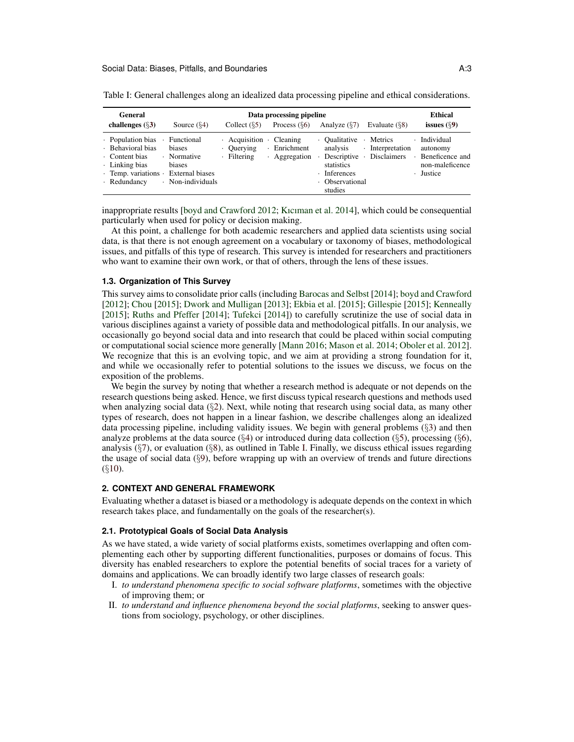· Non-individuals

| General                              | Data processing pipeline |                                      |                                    |                       |                           | Ethical         |
|--------------------------------------|--------------------------|--------------------------------------|------------------------------------|-----------------------|---------------------------|-----------------|
| challenges $(\S3)$                   | Source $(\S4)$           | Collect $(\S5)$                      | Process $(\S6)$                    | Analyze $(\S7)$       | Evaluate $(88)$           | issues $(\S9)$  |
| · Population bias                    | Functional               | $\cdot$ Acquisition $\cdot$ Cleaning |                                    | Qualitative · Metrics |                           | · Individual    |
| · Behavioral bias                    | biases                   | $\cdot$ Ouerving                     | Enrichment<br>$\ddot{\phantom{0}}$ | analysis              | · Interpretation          | autonomy        |
| Content bias                         | Normative                | $\cdot$ Filtering                    | Aggregation                        |                       | Descriptive · Disclaimers | Beneficence and |
| · Linking bias                       | biases                   |                                      |                                    | statistics            |                           | non-maleficence |
| · Temp. variations · External biases |                          |                                      |                                    | <b>Inferences</b>     |                           | · Justice       |

· Observational studies

<span id="page-2-2"></span>Table I: General challenges along an idealized data processing pipeline and ethical considerations.

inappropriate results [\[boyd and Crawford](#page-35-0) [2012;](#page-35-0) [Kıcıman et al.](#page-39-7) [2014\]](#page-39-7), which could be consequential particularly when used for policy or decision making.

At this point, a challenge for both academic researchers and applied data scientists using social data, is that there is not enough agreement on a vocabulary or taxonomy of biases, methodological issues, and pitfalls of this type of research. This survey is intended for researchers and practitioners who want to examine their own work, or that of others, through the lens of these issues.

#### <span id="page-2-0"></span>**1.3. Organization of This Survey**

**Redundancy** 

This survey aims to consolidate prior calls (including [Barocas and Selbst](#page-34-4) [\[2014\]](#page-34-4); [boyd and Crawford](#page-35-0) [\[2012\]](#page-35-0); [Chou](#page-35-1) [\[2015\]](#page-35-1); [Dwork and Mulligan](#page-37-6) [\[2013\]](#page-37-6); [Ekbia et al.](#page-37-7) [\[2015\]](#page-37-7); [Gillespie](#page-37-8) [\[2015\]](#page-37-8); [Kenneally](#page-39-8) [\[2015\]](#page-39-8); [Ruths and Pfeffer](#page-43-1) [\[2014\]](#page-43-1); [Tufekci](#page-44-1) [\[2014\]](#page-44-1)) to carefully scrutinize the use of social data in various disciplines against a variety of possible data and methodological pitfalls. In our analysis, we occasionally go beyond social data and into research that could be placed within social computing or computational social science more generally [\[Mann](#page-40-0) [2016;](#page-40-0) [Mason et al.](#page-40-1) [2014;](#page-40-1) [Oboler et al.](#page-41-2) [2012\]](#page-41-2). We recognize that this is an evolving topic, and we aim at providing a strong foundation for it, and while we occasionally refer to potential solutions to the issues we discuss, we focus on the exposition of the problems.

We begin the survey by noting that whether a research method is adequate or not depends on the research questions being asked. Hence, we first discuss typical research questions and methods used when analyzing social data (§[2\)](#page-2-1). Next, while noting that research using social data, as many other types of research, does not happen in a linear fashion, we describe challenges along an idealized data processing pipeline, including validity issues. We begin with general problems (§[3\)](#page-5-0) and then analyze problems at the data source  $(\S4)$  $(\S4)$  or introduced during data collection  $(\S5)$  $(\S5)$ , processing  $(\S6)$  $(\S6)$ , analysis  $(\S7)$  $(\S7)$ , or evaluation  $(\S8)$  $(\S8)$ , as outlined in Table [I.](#page-2-2) Finally, we discuss ethical issues regarding the usage of social data (§[9\)](#page-28-0), before wrapping up with an overview of trends and future directions  $(\$10)$  $(\$10)$ .

#### <span id="page-2-1"></span>**2. CONTEXT AND GENERAL FRAMEWORK**

Evaluating whether a dataset is biased or a methodology is adequate depends on the context in which research takes place, and fundamentally on the goals of the researcher(s).

#### <span id="page-2-3"></span>**2.1. Prototypical Goals of Social Data Analysis**

As we have stated, a wide variety of social platforms exists, sometimes overlapping and often complementing each other by supporting different functionalities, purposes or domains of focus. This diversity has enabled researchers to explore the potential benefits of social traces for a variety of domains and applications. We can broadly identify two large classes of research goals:

- I. *to understand phenomena specific to social software platforms*, sometimes with the objective of improving them; or
- II. *to understand and influence phenomena beyond the social platforms*, seeking to answer questions from sociology, psychology, or other disciplines.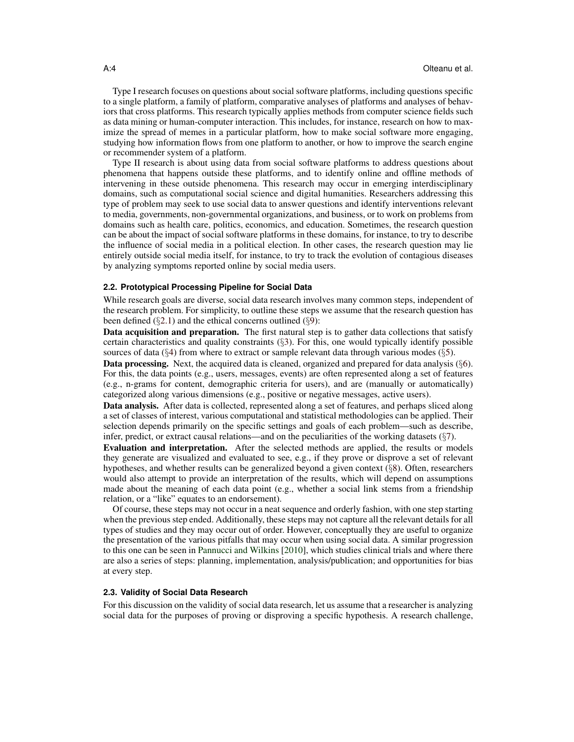Type I research focuses on questions about social software platforms, including questions specific to a single platform, a family of platform, comparative analyses of platforms and analyses of behaviors that cross platforms. This research typically applies methods from computer science fields such as data mining or human-computer interaction. This includes, for instance, research on how to maximize the spread of memes in a particular platform, how to make social software more engaging, studying how information flows from one platform to another, or how to improve the search engine or recommender system of a platform.

Type II research is about using data from social software platforms to address questions about phenomena that happens outside these platforms, and to identify online and offline methods of intervening in these outside phenomena. This research may occur in emerging interdisciplinary domains, such as computational social science and digital humanities. Researchers addressing this type of problem may seek to use social data to answer questions and identify interventions relevant to media, governments, non-governmental organizations, and business, or to work on problems from domains such as health care, politics, economics, and education. Sometimes, the research question can be about the impact of social software platforms in these domains, for instance, to try to describe the influence of social media in a political election. In other cases, the research question may lie entirely outside social media itself, for instance, to try to track the evolution of contagious diseases by analyzing symptoms reported online by social media users.

## **2.2. Prototypical Processing Pipeline for Social Data**

While research goals are diverse, social data research involves many common steps, independent of the research problem. For simplicity, to outline these steps we assume that the research question has been defined  $(\S 2.1)$  $(\S 2.1)$  and the ethical concerns outlined  $(\S 9)$  $(\S 9)$ :

Data acquisition and preparation. The first natural step is to gather data collections that satisfy certain characteristics and quality constraints  $(\S$ [3\)](#page-5-0). For this, one would typically identify possible sources of data ( $\S 4$ ) from where to extract or sample relevant data through various modes ( $\S 5$ ).

**Data processing.** Next, the acquired data is cleaned, organized and prepared for data analysis  $(\S6)$  $(\S6)$ . For this, the data points (e.g., users, messages, events) are often represented along a set of features (e.g., n-grams for content, demographic criteria for users), and are (manually or automatically) categorized along various dimensions (e.g., positive or negative messages, active users).

Data analysis. After data is collected, represented along a set of features, and perhaps sliced along a set of classes of interest, various computational and statistical methodologies can be applied. Their selection depends primarily on the specific settings and goals of each problem—such as describe, infer, predict, or extract causal relations—and on the peculiarities of the working datasets  $(\S7)$  $(\S7)$ .

Evaluation and interpretation. After the selected methods are applied, the results or models they generate are visualized and evaluated to see, e.g., if they prove or disprove a set of relevant hypotheses, and whether results can be generalized beyond a given context (§[8\)](#page-25-0). Often, researchers would also attempt to provide an interpretation of the results, which will depend on assumptions made about the meaning of each data point (e.g., whether a social link stems from a friendship relation, or a "like" equates to an endorsement).

Of course, these steps may not occur in a neat sequence and orderly fashion, with one step starting when the previous step ended. Additionally, these steps may not capture all the relevant details for all types of studies and they may occur out of order. However, conceptually they are useful to organize the presentation of the various pitfalls that may occur when using social data. A similar progression to this one can be seen in [Pannucci and Wilkins](#page-42-1) [\[2010\]](#page-42-1), which studies clinical trials and where there are also a series of steps: planning, implementation, analysis/publication; and opportunities for bias at every step.

#### **2.3. Validity of Social Data Research**

For this discussion on the validity of social data research, let us assume that a researcher is analyzing social data for the purposes of proving or disproving a specific hypothesis. A research challenge,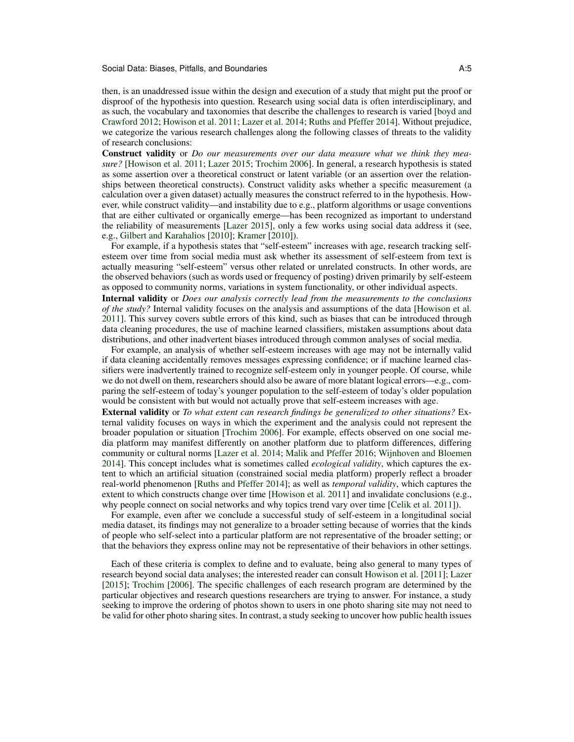#### Social Data: Biases, Pitfalls, and Boundaries A:5

then, is an unaddressed issue within the design and execution of a study that might put the proof or disproof of the hypothesis into question. Research using social data is often interdisciplinary, and as such, the vocabulary and taxonomies that describe the challenges to research is varied [\[boyd and](#page-35-0) [Crawford](#page-35-0) [2012;](#page-35-0) [Howison et al.](#page-38-3) [2011;](#page-38-3) [Lazer et al.](#page-39-6) [2014;](#page-39-6) [Ruths and Pfeffer](#page-43-1) [2014\]](#page-43-1). Without prejudice, we categorize the various research challenges along the following classes of threats to the validity of research conclusions:

Construct validity or *Do our measurements over our data measure what we think they measure?* [\[Howison et al.](#page-38-3) [2011;](#page-38-3) [Lazer](#page-39-9) [2015;](#page-39-9) [Trochim](#page-44-3) [2006\]](#page-44-3). In general, a research hypothesis is stated as some assertion over a theoretical construct or latent variable (or an assertion over the relationships between theoretical constructs). Construct validity asks whether a specific measurement (a calculation over a given dataset) actually measures the construct referred to in the hypothesis. However, while construct validity—and instability due to e.g., platform algorithms or usage conventions that are either cultivated or organically emerge—has been recognized as important to understand the reliability of measurements [\[Lazer](#page-39-9) [2015\]](#page-39-9), only a few works using social data address it (see, e.g., [Gilbert and Karahalios](#page-37-9) [\[2010\]](#page-37-9); [Kramer](#page-39-10) [\[2010\]](#page-39-10)).

For example, if a hypothesis states that "self-esteem" increases with age, research tracking selfesteem over time from social media must ask whether its assessment of self-esteem from text is actually measuring "self-esteem" versus other related or unrelated constructs. In other words, are the observed behaviors (such as words used or frequency of posting) driven primarily by self-esteem as opposed to community norms, variations in system functionality, or other individual aspects.

Internal validity or *Does our analysis correctly lead from the measurements to the conclusions of the study?* Internal validity focuses on the analysis and assumptions of the data [\[Howison et al.](#page-38-3) [2011\]](#page-38-3). This survey covers subtle errors of this kind, such as biases that can be introduced through data cleaning procedures, the use of machine learned classifiers, mistaken assumptions about data distributions, and other inadvertent biases introduced through common analyses of social media.

For example, an analysis of whether self-esteem increases with age may not be internally valid if data cleaning accidentally removes messages expressing confidence; or if machine learned classifiers were inadvertently trained to recognize self-esteem only in younger people. Of course, while we do not dwell on them, researchers should also be aware of more blatant logical errors—e.g., comparing the self-esteem of today's younger population to the self-esteem of today's older population would be consistent with but would not actually prove that self-esteem increases with age.

External validity or *To what extent can research findings be generalized to other situations?* External validity focuses on ways in which the experiment and the analysis could not represent the broader population or situation [\[Trochim](#page-44-3) [2006\]](#page-44-3). For example, effects observed on one social media platform may manifest differently on another platform due to platform differences, differing community or cultural norms [\[Lazer et al.](#page-39-6) [2014;](#page-39-6) [Malik and Pfeffer](#page-40-2) [2016;](#page-40-2) [Wijnhoven and Bloemen](#page-45-2) [2014\]](#page-45-2). This concept includes what is sometimes called *ecological validity*, which captures the extent to which an artificial situation (constrained social media platform) properly reflect a broader real-world phenomenon [\[Ruths and Pfeffer](#page-43-1) [2014\]](#page-43-1); as well as *temporal validity*, which captures the extent to which constructs change over time [\[Howison et al.](#page-38-3) [2011\]](#page-38-3) and invalidate conclusions (e.g., why people connect on social networks and why topics trend vary over time [\[Celik et al.](#page-35-2) [2011\]](#page-35-2)).

For example, even after we conclude a successful study of self-esteem in a longitudinal social media dataset, its findings may not generalize to a broader setting because of worries that the kinds of people who self-select into a particular platform are not representative of the broader setting; or that the behaviors they express online may not be representative of their behaviors in other settings.

Each of these criteria is complex to define and to evaluate, being also general to many types of research beyond social data analyses; the interested reader can consult [Howison et al.](#page-38-3) [\[2011\]](#page-38-3); [Lazer](#page-39-9) [\[2015\]](#page-39-9); [Trochim](#page-44-3) [\[2006\]](#page-44-3). The specific challenges of each research program are determined by the particular objectives and research questions researchers are trying to answer. For instance, a study seeking to improve the ordering of photos shown to users in one photo sharing site may not need to be valid for other photo sharing sites. In contrast, a study seeking to uncover how public health issues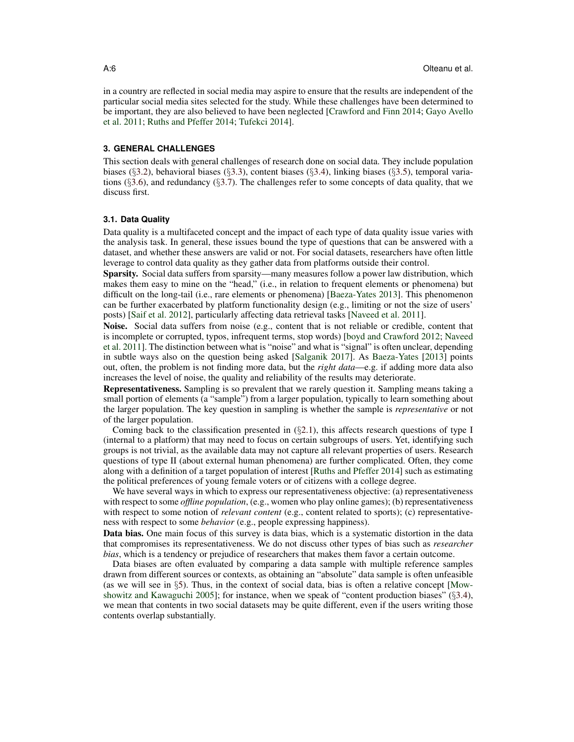in a country are reflected in social media may aspire to ensure that the results are independent of the particular social media sites selected for the study. While these challenges have been determined to be important, they are also believed to have been neglected [\[Crawford and Finn](#page-36-2) [2014;](#page-36-2) [Gayo Avello](#page-37-10) [et al.](#page-37-10) [2011;](#page-37-10) [Ruths and Pfeffer](#page-43-1) [2014;](#page-43-1) [Tufekci](#page-44-1) [2014\]](#page-44-1).

## <span id="page-5-0"></span>**3. GENERAL CHALLENGES**

This section deals with general challenges of research done on social data. They include population biases (§[3.2\)](#page-6-0), behavioral biases (§[3.3\)](#page-7-0), content biases (§[3.4\)](#page-8-0), linking biases (§[3.5\)](#page-9-0), temporal variations ( $\S$ [3.6\)](#page-9-1), and redundancy ( $\S$ [3.7\)](#page-11-1). The challenges refer to some concepts of data quality, that we discuss first.

#### **3.1. Data Quality**

Data quality is a multifaceted concept and the impact of each type of data quality issue varies with the analysis task. In general, these issues bound the type of questions that can be answered with a dataset, and whether these answers are valid or not. For social datasets, researchers have often little leverage to control data quality as they gather data from platforms outside their control.

Sparsity. Social data suffers from sparsity—many measures follow a power law distribution, which makes them easy to mine on the "head," (i.e., in relation to frequent elements or phenomena) but difficult on the long-tail (i.e., rare elements or phenomena) [\[Baeza-Yates](#page-34-5) [2013\]](#page-34-5). This phenomenon can be further exacerbated by platform functionality design (e.g., limiting or not the size of users' posts) [\[Saif et al.](#page-43-4) [2012\]](#page-43-4), particularly affecting data retrieval tasks [\[Naveed et al.](#page-41-3) [2011\]](#page-41-3).

Noise. Social data suffers from noise (e.g., content that is not reliable or credible, content that is incomplete or corrupted, typos, infrequent terms, stop words) [\[boyd and Crawford](#page-35-0) [2012;](#page-35-0) [Naveed](#page-41-3) [et al.](#page-41-3) [2011\]](#page-41-3). The distinction between what is "noise" and what is "signal" is often unclear, depending in subtle ways also on the question being asked [\[Salganik](#page-43-5) [2017\]](#page-43-5). As [Baeza-Yates](#page-34-5) [\[2013\]](#page-34-5) points out, often, the problem is not finding more data, but the *right data*—e.g. if adding more data also increases the level of noise, the quality and reliability of the results may deteriorate.

Representativeness. Sampling is so prevalent that we rarely question it. Sampling means taking a small portion of elements (a "sample") from a larger population, typically to learn something about the larger population. The key question in sampling is whether the sample is *representative* or not of the larger population.

Coming back to the classification presented in  $(\S2.1)$  $(\S2.1)$ , this affects research questions of type I (internal to a platform) that may need to focus on certain subgroups of users. Yet, identifying such groups is not trivial, as the available data may not capture all relevant properties of users. Research questions of type II (about external human phenomena) are further complicated. Often, they come along with a definition of a target population of interest [\[Ruths and Pfeffer](#page-43-1) [2014\]](#page-43-1) such as estimating the political preferences of young female voters or of citizens with a college degree.

We have several ways in which to express our representativeness objective: (a) representativeness with respect to some *offline population*, (e.g., women who play online games); (b) representativeness with respect to some notion of *relevant content* (e.g., content related to sports); (c) representativeness with respect to some *behavior* (e.g., people expressing happiness).

Data bias. One main focus of this survey is data bias, which is a systematic distortion in the data that compromises its representativeness. We do not discuss other types of bias such as *researcher bias*, which is a tendency or prejudice of researchers that makes them favor a certain outcome.

Data biases are often evaluated by comparing a data sample with multiple reference samples drawn from different sources or contexts, as obtaining an "absolute" data sample is often unfeasible (as we will see in  $\S5$ ). Thus, in the context of social data, bias is often a relative concept [\[Mow](#page-41-4)[showitz and Kawaguchi](#page-41-4) [2005\]](#page-41-4); for instance, when we speak of "content production biases" (§[3.4\)](#page-8-0), we mean that contents in two social datasets may be quite different, even if the users writing those contents overlap substantially.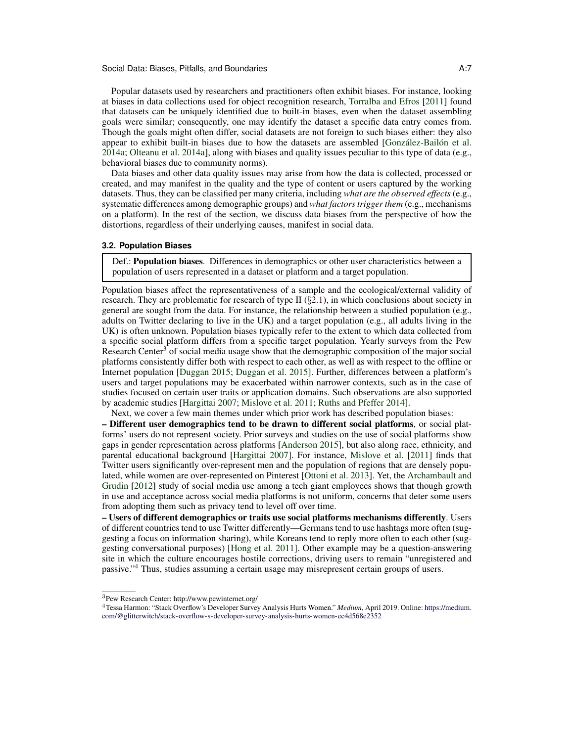Social Data: Biases, Pitfalls, and Boundaries A:7

Popular datasets used by researchers and practitioners often exhibit biases. For instance, looking at biases in data collections used for object recognition research, [Torralba and Efros](#page-44-2) [\[2011\]](#page-44-2) found that datasets can be uniquely identified due to built-in biases, even when the dataset assembling goals were similar; consequently, one may identify the dataset a specific data entry comes from. Though the goals might often differ, social datasets are not foreign to such biases either: they also appear to exhibit built-in biases due to how the datasets are assembled [González-Bailón et al. [2014a;](#page-38-4) [Olteanu et al.](#page-42-2) [2014a\]](#page-42-2), along with biases and quality issues peculiar to this type of data (e.g., behavioral biases due to community norms).

Data biases and other data quality issues may arise from how the data is collected, processed or created, and may manifest in the quality and the type of content or users captured by the working datasets. Thus, they can be classified per many criteria, including *what are the observed effects* (e.g., systematic differences among demographic groups) and *what factors trigger them* (e.g., mechanisms on a platform). In the rest of the section, we discuss data biases from the perspective of how the distortions, regardless of their underlying causes, manifest in social data.

#### <span id="page-6-0"></span>**3.2. Population Biases**

Def.: **Population biases**. Differences in demographics or other user characteristics between a population of users represented in a dataset or platform and a target population.

Population biases affect the representativeness of a sample and the ecological/external validity of research. They are problematic for research of type II ( $\S$ [2.1\)](#page-2-3), in which conclusions about society in general are sought from the data. For instance, the relationship between a studied population (e.g., adults on Twitter declaring to live in the UK) and a target population (e.g., all adults living in the UK) is often unknown. Population biases typically refer to the extent to which data collected from a specific social platform differs from a specific target population. Yearly surveys from the Pew Research Center<sup>[3](#page-6-1)</sup> of social media usage show that the demographic composition of the major social platforms consistently differ both with respect to each other, as well as with respect to the offline or Internet population [\[Duggan](#page-37-11) [2015;](#page-37-11) [Duggan et al.](#page-37-12) [2015\]](#page-37-12). Further, differences between a platform's users and target populations may be exacerbated within narrower contexts, such as in the case of studies focused on certain user traits or application domains. Such observations are also supported by academic studies [\[Hargittai](#page-38-5) [2007;](#page-38-5) [Mislove et al.](#page-41-5) [2011;](#page-41-5) [Ruths and Pfeffer](#page-43-1) [2014\]](#page-43-1).

Next, we cover a few main themes under which prior work has described population biases:

– Different user demographics tend to be drawn to different social platforms, or social platforms' users do not represent society. Prior surveys and studies on the use of social platforms show gaps in gender representation across platforms [\[Anderson](#page-34-6) [2015\]](#page-34-6), but also along race, ethnicity, and parental educational background [\[Hargittai](#page-38-5) [2007\]](#page-38-5). For instance, [Mislove et al.](#page-41-5) [\[2011\]](#page-41-5) finds that Twitter users significantly over-represent men and the population of regions that are densely populated, while women are over-represented on Pinterest [\[Ottoni et al.](#page-42-3) [2013\]](#page-42-3). Yet, the [Archambault and](#page-34-7) [Grudin](#page-34-7) [\[2012\]](#page-34-7) study of social media use among a tech giant employees shows that though growth in use and acceptance across social media platforms is not uniform, concerns that deter some users from adopting them such as privacy tend to level off over time.

– Users of different demographics or traits use social platforms mechanisms differently. Users of different countries tend to use Twitter differently—Germans tend to use hashtags more often (suggesting a focus on information sharing), while Koreans tend to reply more often to each other (suggesting conversational purposes) [\[Hong et al.](#page-38-6) [2011\]](#page-38-6). Other example may be a question-answering site in which the culture encourages hostile corrections, driving users to remain "unregistered and passive."[4](#page-6-2) Thus, studies assuming a certain usage may misrepresent certain groups of users.

<span id="page-6-1"></span><sup>3</sup>Pew Research Center: http://www.pewinternet.org/

<span id="page-6-2"></span><sup>4</sup>Tessa Harmon: "Stack Overflow's Developer Survey Analysis Hurts Women." *Medium*, April 2019. Online: [https://medium.](https://medium.com/@glitterwitch/stack-overflow-s-developer-survey-analysis-hurts-women-ec4d568e2352) [com/@glitterwitch/stack-overflow-s-developer-survey-analysis-hurts-women-ec4d568e2352](https://medium.com/@glitterwitch/stack-overflow-s-developer-survey-analysis-hurts-women-ec4d568e2352)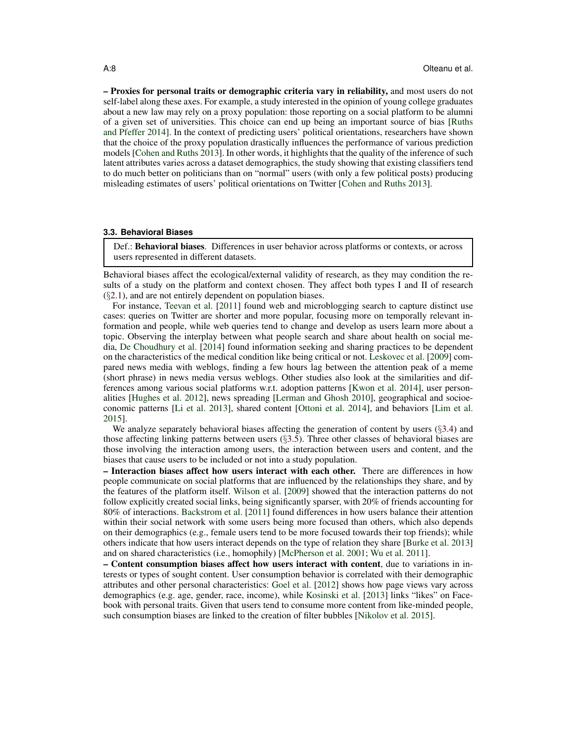– Proxies for personal traits or demographic criteria vary in reliability, and most users do not self-label along these axes. For example, a study interested in the opinion of young college graduates about a new law may rely on a proxy population: those reporting on a social platform to be alumni of a given set of universities. This choice can end up being an important source of bias [\[Ruths](#page-43-1) [and Pfeffer](#page-43-1) [2014\]](#page-43-1). In the context of predicting users' political orientations, researchers have shown that the choice of the proxy population drastically influences the performance of various prediction models [\[Cohen and Ruths](#page-36-3) [2013\]](#page-36-3). In other words, it highlights that the quality of the inference of such latent attributes varies across a dataset demographics, the study showing that existing classifiers tend to do much better on politicians than on "normal" users (with only a few political posts) producing misleading estimates of users' political orientations on Twitter [\[Cohen and Ruths](#page-36-3) [2013\]](#page-36-3).

## <span id="page-7-0"></span>**3.3. Behavioral Biases**

Def.: Behavioral biases. Differences in user behavior across platforms or contexts, or across users represented in different datasets.

Behavioral biases affect the ecological/external validity of research, as they may condition the results of a study on the platform and context chosen. They affect both types I and II of research (§[2.1\)](#page-2-3), and are not entirely dependent on population biases.

For instance, [Teevan et al.](#page-44-4) [\[2011\]](#page-44-4) found web and microblogging search to capture distinct use cases: queries on Twitter are shorter and more popular, focusing more on temporally relevant information and people, while web queries tend to change and develop as users learn more about a topic. Observing the interplay between what people search and share about health on social media, [De Choudhury et al.](#page-36-0) [\[2014\]](#page-36-0) found information seeking and sharing practices to be dependent on the characteristics of the medical condition like being critical or not. [Leskovec et al.](#page-40-3) [\[2009\]](#page-40-3) compared news media with weblogs, finding a few hours lag between the attention peak of a meme (short phrase) in news media versus weblogs. Other studies also look at the similarities and differences among various social platforms w.r.t. adoption patterns [\[Kwon et al.](#page-39-11) [2014\]](#page-39-11), user personalities [\[Hughes et al.](#page-38-7) [2012\]](#page-38-7), news spreading [\[Lerman and Ghosh](#page-40-4) [2010\]](#page-40-4), geographical and socioeconomic patterns [\[Li et al.](#page-40-5) [2013\]](#page-40-5), shared content [\[Ottoni et al.](#page-42-4) [2014\]](#page-42-4), and behaviors [\[Lim et al.](#page-40-6) [2015\]](#page-40-6).

We analyze separately behavioral biases affecting the generation of content by users  $(\S3.4)$  $(\S3.4)$  and those affecting linking patterns between users  $(\S 3.5)$  $(\S 3.5)$ . Three other classes of behavioral biases are those involving the interaction among users, the interaction between users and content, and the biases that cause users to be included or not into a study population.

– Interaction biases affect how users interact with each other. There are differences in how people communicate on social platforms that are influenced by the relationships they share, and by the features of the platform itself. [Wilson et al.](#page-45-3) [\[2009\]](#page-45-3) showed that the interaction patterns do not follow explicitly created social links, being significantly sparser, with 20% of friends accounting for 80% of interactions. [Backstrom et al.](#page-34-8) [\[2011\]](#page-34-8) found differences in how users balance their attention within their social network with some users being more focused than others, which also depends on their demographics (e.g., female users tend to be more focused towards their top friends); while others indicate that how users interact depends on the type of relation they share [\[Burke et al.](#page-35-3) [2013\]](#page-35-3) and on shared characteristics (i.e., homophily) [\[McPherson et al.](#page-40-7) [2001;](#page-40-7) [Wu et al.](#page-45-4) [2011\]](#page-45-4).

– Content consumption biases affect how users interact with content, due to variations in interests or types of sought content. User consumption behavior is correlated with their demographic attributes and other personal characteristics: [Goel et al.](#page-37-13) [\[2012\]](#page-37-13) shows how page views vary across demographics (e.g. age, gender, race, income), while [Kosinski et al.](#page-39-12) [\[2013\]](#page-39-12) links "likes" on Facebook with personal traits. Given that users tend to consume more content from like-minded people, such consumption biases are linked to the creation of filter bubbles [\[Nikolov et al.](#page-41-6) [2015\]](#page-41-6).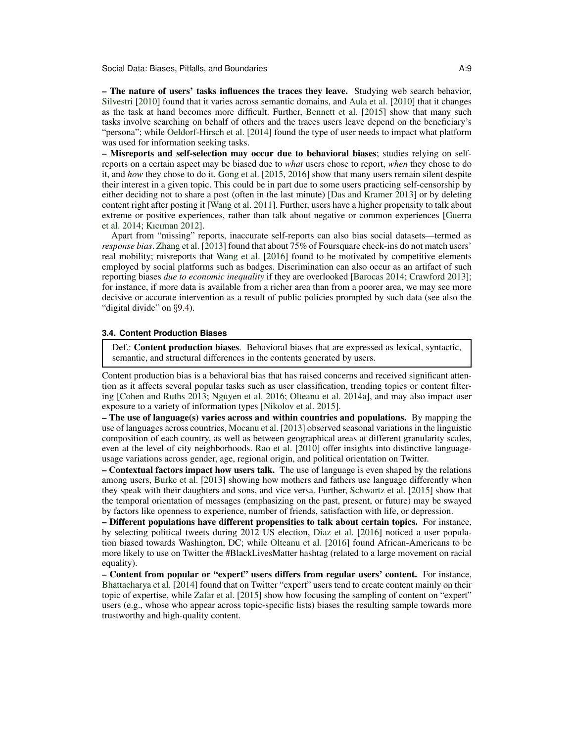Social Data: Biases, Pitfalls, and Boundaries A:9

– The nature of users' tasks influences the traces they leave. Studying web search behavior, [Silvestri](#page-44-5) [\[2010\]](#page-44-5) found that it varies across semantic domains, and [Aula et al.](#page-34-9) [\[2010\]](#page-34-9) that it changes as the task at hand becomes more difficult. Further, [Bennett et al.](#page-34-10) [\[2015\]](#page-34-10) show that many such tasks involve searching on behalf of others and the traces users leave depend on the beneficiary's "persona"; while [Oeldorf-Hirsch et al.](#page-41-7) [\[2014\]](#page-41-7) found the type of user needs to impact what platform was used for information seeking tasks.

– Misreports and self-selection may occur due to behavioral biases; studies relying on selfreports on a certain aspect may be biased due to *what* users chose to report, *when* they chose to do it, and *how* they chose to do it. [Gong et al.](#page-37-14) [\[2015,](#page-37-14) [2016\]](#page-38-8) show that many users remain silent despite their interest in a given topic. This could be in part due to some users practicing self-censorship by either deciding not to share a post (often in the last minute) [\[Das and Kramer](#page-36-5) [2013\]](#page-36-5) or by deleting content right after posting it [\[Wang et al.](#page-45-5) [2011\]](#page-45-5). Further, users have a higher propensity to talk about extreme or positive experiences, rather than talk about negative or common experiences [\[Guerra](#page-38-9) [et al.](#page-38-9) [2014;](#page-38-9) [Kıcıman](#page-39-1) [2012\]](#page-39-1).

Apart from "missing" reports, inaccurate self-reports can also bias social datasets—termed as *response bias*. [Zhang et al.](#page-46-1) [\[2013\]](#page-46-1) found that about 75% of Foursquare check-ins do not match users' real mobility; misreports that [Wang et al.](#page-45-6) [\[2016\]](#page-45-6) found to be motivated by competitive elements employed by social platforms such as badges. Discrimination can also occur as an artifact of such reporting biases *due to economic inequality* if they are overlooked [\[Barocas](#page-34-11) [2014;](#page-34-11) [Crawford](#page-36-6) [2013\]](#page-36-6); for instance, if more data is available from a richer area than from a poorer area, we may see more decisive or accurate intervention as a result of public policies prompted by such data (see also the "digital divide" on §[9.4\)](#page-31-0).

#### <span id="page-8-0"></span>**3.4. Content Production Biases**

Def.: Content production biases. Behavioral biases that are expressed as lexical, syntactic, semantic, and structural differences in the contents generated by users.

Content production bias is a behavioral bias that has raised concerns and received significant attention as it affects several popular tasks such as user classification, trending topics or content filtering [\[Cohen and Ruths](#page-36-3) [2013;](#page-36-3) [Nguyen et al.](#page-41-8) [2016;](#page-41-8) [Olteanu et al.](#page-42-2) [2014a\]](#page-42-2), and may also impact user exposure to a variety of information types [\[Nikolov et al.](#page-41-6) [2015\]](#page-41-6).

– The use of language(s) varies across and within countries and populations. By mapping the use of languages across countries, [Mocanu et al.](#page-41-9) [\[2013\]](#page-41-9) observed seasonal variations in the linguistic composition of each country, as well as between geographical areas at different granularity scales, even at the level of city neighborhoods. [Rao et al.](#page-43-6) [\[2010\]](#page-43-6) offer insights into distinctive languageusage variations across gender, age, regional origin, and political orientation on Twitter.

– Contextual factors impact how users talk. The use of language is even shaped by the relations among users, [Burke et al.](#page-35-3) [\[2013\]](#page-35-3) showing how mothers and fathers use language differently when they speak with their daughters and sons, and vice versa. Further, [Schwartz et al.](#page-44-6) [\[2015\]](#page-44-6) show that the temporal orientation of messages (emphasizing on the past, present, or future) may be swayed by factors like openness to experience, number of friends, satisfaction with life, or depression.

– Different populations have different propensities to talk about certain topics. For instance, by selecting political tweets during 2012 US election, [Diaz et al.](#page-36-7) [\[2016\]](#page-36-7) noticed a user population biased towards Washington, DC; while [Olteanu et al.](#page-42-5) [\[2016\]](#page-42-5) found African-Americans to be more likely to use on Twitter the #BlackLivesMatter hashtag (related to a large movement on racial equality).

– Content from popular or "expert" users differs from regular users' content. For instance, [Bhattacharya et al.](#page-34-12) [\[2014\]](#page-34-12) found that on Twitter "expert" users tend to create content mainly on their topic of expertise, while [Zafar et al.](#page-46-2) [\[2015\]](#page-46-2) show how focusing the sampling of content on "expert" users (e.g., whose who appear across topic-specific lists) biases the resulting sample towards more trustworthy and high-quality content.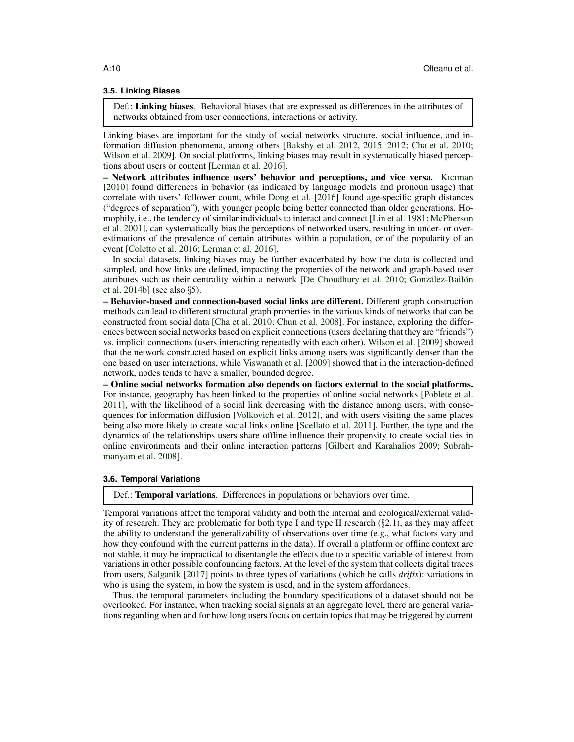## <span id="page-9-0"></span>**3.5. Linking Biases**

Def.: Linking biases. Behavioral biases that are expressed as differences in the attributes of networks obtained from user connections, interactions or activity.

Linking biases are important for the study of social networks structure, social influence, and information diffusion phenomena, among others [\[Bakshy et al.](#page-34-13) [2012,](#page-34-13) [2015,](#page-34-14) [2012;](#page-34-15) [Cha et al.](#page-35-4) [2010;](#page-35-4) [Wilson et al.](#page-45-3) [2009\]](#page-45-3). On social platforms, linking biases may result in systematically biased perceptions about users or content [\[Lerman et al.](#page-40-8) [2016\]](#page-40-8).

– Network attributes influence users' behavior and perceptions, and vice versa. [Kıcıman](#page-39-13) [\[2010\]](#page-39-13) found differences in behavior (as indicated by language models and pronoun usage) that correlate with users' follower count, while [Dong et al.](#page-36-8) [\[2016\]](#page-36-8) found age-specific graph distances ("degrees of separation"), with younger people being better connected than older generations. Homophily, i.e., the tendency of similar individuals to interact and connect [\[Lin et al.](#page-40-9) [1981;](#page-40-9) [McPherson](#page-40-7) [et al.](#page-40-7) [2001\]](#page-40-7), can systematically bias the perceptions of networked users, resulting in under- or overestimations of the prevalence of certain attributes within a population, or of the popularity of an event [\[Coletto et al.](#page-36-9) [2016;](#page-36-9) [Lerman et al.](#page-40-8) [2016\]](#page-40-8).

In social datasets, linking biases may be further exacerbated by how the data is collected and sampled, and how links are defined, impacting the properties of the network and graph-based user attributes such as their centrality within a network [\[De Choudhury et al.](#page-36-10) [2010;](#page-36-10) González-Bailón [et al.](#page-38-10) [2014b\]](#page-38-10) (see also §[5\)](#page-16-0).

– Behavior-based and connection-based social links are different. Different graph construction methods can lead to different structural graph properties in the various kinds of networks that can be constructed from social data [\[Cha et al.](#page-35-4) [2010;](#page-35-4) [Chun et al.](#page-36-11) [2008\]](#page-36-11). For instance, exploring the differences between social networks based on explicit connections (users declaring that they are "friends") vs. implicit connections (users interacting repeatedly with each other), [Wilson et al.](#page-45-3) [\[2009\]](#page-45-3) showed that the network constructed based on explicit links among users was significantly denser than the one based on user interactions, while [Viswanath et al.](#page-45-7) [\[2009\]](#page-45-7) showed that in the interaction-defined network, nodes tends to have a smaller, bounded degree.

– Online social networks formation also depends on factors external to the social platforms. For instance, geography has been linked to the properties of online social networks [\[Poblete et al.](#page-42-6) [2011\]](#page-42-6), with the likelihood of a social link decreasing with the distance among users, with consequences for information diffusion [\[Volkovich et al.](#page-45-8) [2012\]](#page-45-8), and with users visiting the same places being also more likely to create social links online [\[Scellato et al.](#page-43-7) [2011\]](#page-43-7). Further, the type and the dynamics of the relationships users share offline influence their propensity to create social ties in online environments and their online interaction patterns [\[Gilbert and Karahalios](#page-37-15) [2009;](#page-37-15) [Subrah](#page-44-7)[manyam et al.](#page-44-7) [2008\]](#page-44-7).

#### <span id="page-9-1"></span>**3.6. Temporal Variations**

Def.: Temporal variations. Differences in populations or behaviors over time.

Temporal variations affect the temporal validity and both the internal and ecological/external validity of research. They are problematic for both type I and type II research  $(\S 2.1)$  $(\S 2.1)$ , as they may affect the ability to understand the generalizability of observations over time (e.g., what factors vary and how they confound with the current patterns in the data). If overall a platform or offline context are not stable, it may be impractical to disentangle the effects due to a specific variable of interest from variations in other possible confounding factors. At the level of the system that collects digital traces from users, [Salganik](#page-43-5) [\[2017\]](#page-43-5) points to three types of variations (which he calls *drifts*): variations in who is using the system, in how the system is used, and in the system affordances.

Thus, the temporal parameters including the boundary specifications of a dataset should not be overlooked. For instance, when tracking social signals at an aggregate level, there are general variations regarding when and for how long users focus on certain topics that may be triggered by current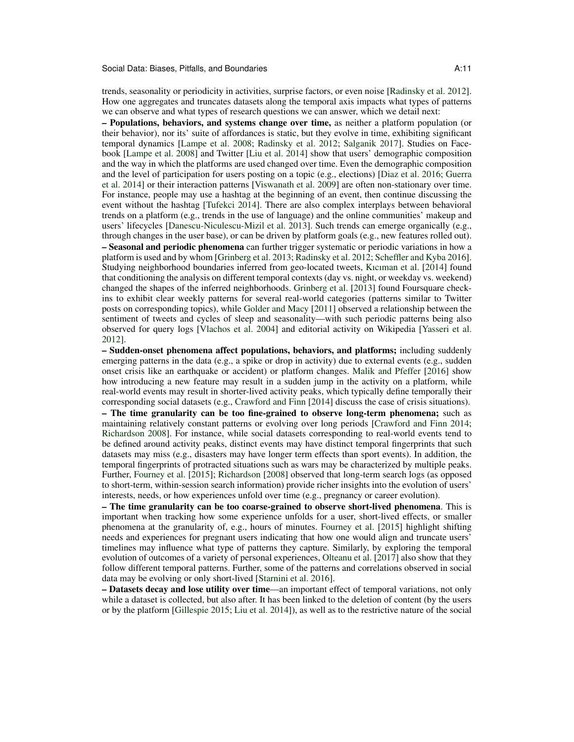#### Social Data: Biases, Pitfalls, and Boundaries A:11 (At a state of A:11 (At a state of A:11 (At a state of A:11

trends, seasonality or periodicity in activities, surprise factors, or even noise [\[Radinsky et al.](#page-43-8) [2012\]](#page-43-8). How one aggregates and truncates datasets along the temporal axis impacts what types of patterns we can observe and what types of research questions we can answer, which we detail next:

– Populations, behaviors, and systems change over time, as neither a platform population (or their behavior), nor its' suite of affordances is static, but they evolve in time, exhibiting significant temporal dynamics [\[Lampe et al.](#page-39-0) [2008;](#page-39-0) [Radinsky et al.](#page-43-8) [2012;](#page-43-8) [Salganik](#page-43-5) [2017\]](#page-43-5). Studies on Facebook [\[Lampe et al.](#page-39-0) [2008\]](#page-39-0) and Twitter [\[Liu et al.](#page-40-10) [2014\]](#page-40-10) show that users' demographic composition and the way in which the platforms are used changed over time. Even the demographic composition and the level of participation for users posting on a topic (e.g., elections) [\[Diaz et al.](#page-36-7) [2016;](#page-36-7) [Guerra](#page-38-9) [et al.](#page-38-9) [2014\]](#page-38-9) or their interaction patterns [\[Viswanath et al.](#page-45-7) [2009\]](#page-45-7) are often non-stationary over time. For instance, people may use a hashtag at the beginning of an event, then continue discussing the event without the hashtag [\[Tufekci](#page-44-1) [2014\]](#page-44-1). There are also complex interplays between behavioral trends on a platform (e.g., trends in the use of language) and the online communities' makeup and users' lifecycles [\[Danescu-Niculescu-Mizil et al.](#page-36-12) [2013\]](#page-36-12). Such trends can emerge organically (e.g., through changes in the user base), or can be driven by platform goals (e.g., new features rolled out). – Seasonal and periodic phenomena can further trigger systematic or periodic variations in how a platform is used and by whom [\[Grinberg et al.](#page-38-11) [2013;](#page-38-11) [Radinsky et al.](#page-43-8) [2012;](#page-43-8) [Scheffler and Kyba](#page-43-9) [2016\]](#page-43-9). Studying neighborhood boundaries inferred from geo-located tweets, [Kıcıman et al.](#page-39-7) [\[2014\]](#page-39-7) found that conditioning the analysis on different temporal contexts (day vs. night, or weekday vs. weekend) changed the shapes of the inferred neighborhoods. [Grinberg et al.](#page-38-11) [\[2013\]](#page-38-11) found Foursquare checkins to exhibit clear weekly patterns for several real-world categories (patterns similar to Twitter posts on corresponding topics), while [Golder and Macy](#page-37-16) [\[2011\]](#page-37-16) observed a relationship between the sentiment of tweets and cycles of sleep and seasonality—with such periodic patterns being also observed for query logs [\[Vlachos et al.](#page-45-9) [2004\]](#page-45-9) and editorial activity on Wikipedia [\[Yasseri et al.](#page-46-3) [2012\]](#page-46-3).

– Sudden-onset phenomena affect populations, behaviors, and platforms; including suddenly emerging patterns in the data (e.g., a spike or drop in activity) due to external events (e.g., sudden onset crisis like an earthquake or accident) or platform changes. [Malik and Pfeffer](#page-40-2) [\[2016\]](#page-40-2) show how introducing a new feature may result in a sudden jump in the activity on a platform, while real-world events may result in shorter-lived activity peaks, which typically define temporally their corresponding social datasets (e.g., [Crawford and Finn](#page-36-2) [\[2014\]](#page-36-2) discuss the case of crisis situations). – The time granularity can be too fine-grained to observe long-term phenomena; such as maintaining relatively constant patterns or evolving over long periods [\[Crawford and Finn](#page-36-2) [2014;](#page-36-2) [Richardson](#page-43-0) [2008\]](#page-43-0). For instance, while social datasets corresponding to real-world events tend to be defined around activity peaks, distinct events may have distinct temporal fingerprints that such datasets may miss (e.g., disasters may have longer term effects than sport events). In addition, the temporal fingerprints of protracted situations such as wars may be characterized by multiple peaks. Further, [Fourney et al.](#page-37-17) [\[2015\]](#page-37-17); [Richardson](#page-43-0) [\[2008\]](#page-43-0) observed that long-term search logs (as opposed to short-term, within-session search information) provide richer insights into the evolution of users' interests, needs, or how experiences unfold over time (e.g., pregnancy or career evolution).

– The time granularity can be too coarse-grained to observe short-lived phenomena. This is important when tracking how some experience unfolds for a user, short-lived effects, or smaller phenomena at the granularity of, e.g., hours of minutes. [Fourney et al.](#page-37-17) [\[2015\]](#page-37-17) highlight shifting needs and experiences for pregnant users indicating that how one would align and truncate users' timelines may influence what type of patterns they capture. Similarly, by exploring the temporal evolution of outcomes of a variety of personal experiences, [Olteanu et al.](#page-42-7) [\[2017\]](#page-42-7) also show that they follow different temporal patterns. Further, some of the patterns and correlations observed in social data may be evolving or only short-lived [\[Starnini et al.](#page-44-8) [2016\]](#page-44-8).

– Datasets decay and lose utility over time—an important effect of temporal variations, not only while a dataset is collected, but also after. It has been linked to the deletion of content (by the users or by the platform [\[Gillespie](#page-37-8) [2015;](#page-37-8) [Liu et al.](#page-40-10) [2014\]](#page-40-10)), as well as to the restrictive nature of the social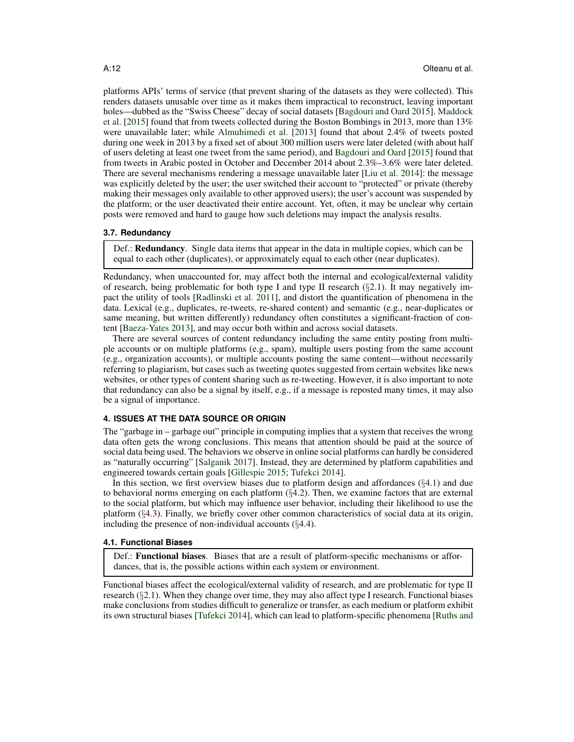platforms APIs' terms of service (that prevent sharing of the datasets as they were collected). This renders datasets unusable over time as it makes them impractical to reconstruct, leaving important holes—dubbed as the "Swiss Cheese" decay of social datasets [\[Bagdouri and Oard](#page-34-16) [2015\]](#page-34-16). [Maddock](#page-40-11) [et al.](#page-40-11) [\[2015\]](#page-40-11) found that from tweets collected during the Boston Bombings in 2013, more than 13% were unavailable later; while [Almuhimedi et al.](#page-34-17) [\[2013\]](#page-34-17) found that about 2.4% of tweets posted during one week in 2013 by a fixed set of about 300 million users were later deleted (with about half of users deleting at least one tweet from the same period), and [Bagdouri and Oard](#page-34-16) [\[2015\]](#page-34-16) found that from tweets in Arabic posted in October and December 2014 about 2.3%–3.6% were later deleted. There are several mechanisms rendering a message unavailable later [\[Liu et al.](#page-40-10) [2014\]](#page-40-10): the message was explicitly deleted by the user; the user switched their account to "protected" or private (thereby making their messages only available to other approved users); the user's account was suspended by the platform; or the user deactivated their entire account. Yet, often, it may be unclear why certain posts were removed and hard to gauge how such deletions may impact the analysis results.

## <span id="page-11-1"></span>**3.7. Redundancy**

Def.: **Redundancy**. Single data items that appear in the data in multiple copies, which can be equal to each other (duplicates), or approximately equal to each other (near duplicates).

Redundancy, when unaccounted for, may affect both the internal and ecological/external validity of research, being problematic for both type I and type II research (§[2.1\)](#page-2-3). It may negatively impact the utility of tools [\[Radlinski et al.](#page-43-10) [2011\]](#page-43-10), and distort the quantification of phenomena in the data. Lexical (e.g., duplicates, re-tweets, re-shared content) and semantic (e.g., near-duplicates or same meaning, but written differently) redundancy often constitutes a significant-fraction of content [\[Baeza-Yates](#page-34-5) [2013\]](#page-34-5), and may occur both within and across social datasets.

There are several sources of content redundancy including the same entity posting from multiple accounts or on multiple platforms (e.g., spam), multiple users posting from the same account (e.g., organization accounts), or multiple accounts posting the same content—without necessarily referring to plagiarism, but cases such as tweeting quotes suggested from certain websites like news websites, or other types of content sharing such as re-tweeting. However, it is also important to note that redundancy can also be a signal by itself, e.g., if a message is reposted many times, it may also be a signal of importance.

## <span id="page-11-0"></span>**4. ISSUES AT THE DATA SOURCE OR ORIGIN**

The "garbage in – garbage out" principle in computing implies that a system that receives the wrong data often gets the wrong conclusions. This means that attention should be paid at the source of social data being used. The behaviors we observe in online social platforms can hardly be considered as "naturally occurring" [\[Salganik](#page-43-5) [2017\]](#page-43-5). Instead, they are determined by platform capabilities and engineered towards certain goals [\[Gillespie](#page-37-8) [2015;](#page-37-8) [Tufekci](#page-44-1) [2014\]](#page-44-1).

In this section, we first overview biases due to platform design and affordances (§[4.1\)](#page-11-2) and due to behavioral norms emerging on each platform  $(\S 4.2)$  $(\S 4.2)$ . Then, we examine factors that are external to the social platform, but which may influence user behavior, including their likelihood to use the platform (§[4.3\)](#page-14-0). Finally, we briefly cover other common characteristics of social data at its origin, including the presence of non-individual accounts (§[4.4\)](#page-15-0).

## <span id="page-11-2"></span>**4.1. Functional Biases**

Def.: Functional biases. Biases that are a result of platform-specific mechanisms or affordances, that is, the possible actions within each system or environment.

Functional biases affect the ecological/external validity of research, and are problematic for type II research (§[2.1\)](#page-2-3). When they change over time, they may also affect type I research. Functional biases make conclusions from studies difficult to generalize or transfer, as each medium or platform exhibit its own structural biases [\[Tufekci](#page-44-1) [2014\]](#page-44-1), which can lead to platform-specific phenomena [\[Ruths and](#page-43-1)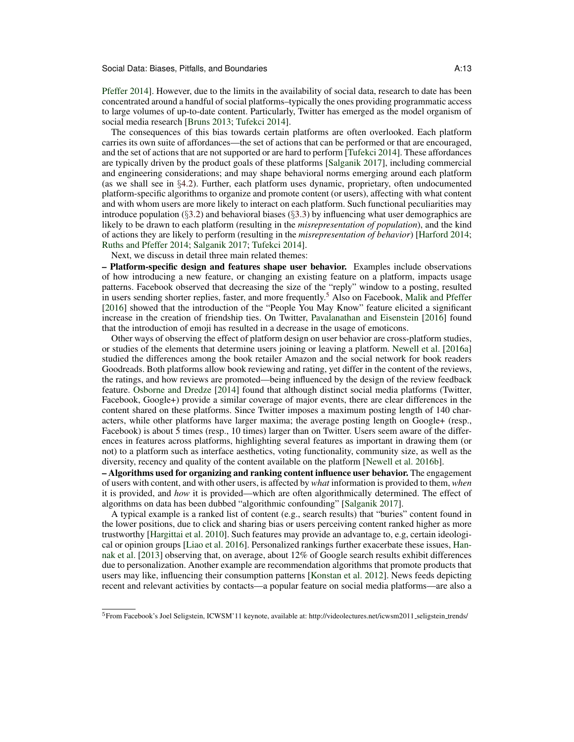#### [Social Data: Biases, Pitfalls, and Boundaries A:13](#page-43-1) A:13

[Pfeffer](#page-43-1) [2014\]](#page-43-1). However, due to the limits in the availability of social data, research to date has been concentrated around a handful of social platforms–typically the ones providing programmatic access to large volumes of up-to-date content. Particularly, Twitter has emerged as the model organism of social media research [\[Bruns](#page-35-5) [2013;](#page-35-5) [Tufekci](#page-44-1) [2014\]](#page-44-1).

The consequences of this bias towards certain platforms are often overlooked. Each platform carries its own suite of affordances—the set of actions that can be performed or that are encouraged, and the set of actions that are not supported or are hard to perform [\[Tufekci](#page-44-1) [2014\]](#page-44-1). These affordances are typically driven by the product goals of these platforms [\[Salganik](#page-43-5) [2017\]](#page-43-5), including commercial and engineering considerations; and may shape behavioral norms emerging around each platform (as we shall see in §[4.2\)](#page-13-0). Further, each platform uses dynamic, proprietary, often undocumented platform-specific algorithms to organize and promote content (or users), affecting with what content and with whom users are more likely to interact on each platform. Such functional peculiarities may introduce population  $(\S3.2)$  $(\S3.2)$  and behavioral biases  $(\S3.3)$  $(\S3.3)$  by influencing what user demographics are likely to be drawn to each platform (resulting in the *misrepresentation of population*), and the kind of actions they are likely to perform (resulting in the *misrepresentation of behavior*) [\[Harford](#page-38-1) [2014;](#page-38-1) [Ruths and Pfeffer](#page-43-1) [2014;](#page-43-1) [Salganik](#page-43-5) [2017;](#page-43-5) [Tufekci](#page-44-1) [2014\]](#page-44-1).

Next, we discuss in detail three main related themes:

– Platform-specific design and features shape user behavior. Examples include observations of how introducing a new feature, or changing an existing feature on a platform, impacts usage patterns. Facebook observed that decreasing the size of the "reply" window to a posting, resulted in users sending shorter replies, faster, and more frequently.<sup>[5](#page-12-0)</sup> Also on Facebook, [Malik and Pfeffer](#page-40-2) [\[2016\]](#page-40-2) showed that the introduction of the "People You May Know" feature elicited a significant increase in the creation of friendship ties. On Twitter, [Pavalanathan and Eisenstein](#page-42-8) [\[2016\]](#page-42-8) found that the introduction of emoji has resulted in a decrease in the usage of emoticons.

Other ways of observing the effect of platform design on user behavior are cross-platform studies, or studies of the elements that determine users joining or leaving a platform. [Newell et al.](#page-41-10) [\[2016a\]](#page-41-10) studied the differences among the book retailer Amazon and the social network for book readers Goodreads. Both platforms allow book reviewing and rating, yet differ in the content of the reviews, the ratings, and how reviews are promoted—being influenced by the design of the review feedback feature. [Osborne and Dredze](#page-42-9) [\[2014\]](#page-42-9) found that although distinct social media platforms (Twitter, Facebook, Google+) provide a similar coverage of major events, there are clear differences in the content shared on these platforms. Since Twitter imposes a maximum posting length of 140 characters, while other platforms have larger maxima; the average posting length on Google+ (resp., Facebook) is about 5 times (resp., 10 times) larger than on Twitter. Users seem aware of the differences in features across platforms, highlighting several features as important in drawing them (or not) to a platform such as interface aesthetics, voting functionality, community size, as well as the diversity, recency and quality of the content available on the platform [\[Newell et al.](#page-41-11) [2016b\]](#page-41-11).

– Algorithms used for organizing and ranking content influence user behavior. The engagement of users with content, and with other users, is affected by *what* information is provided to them, *when* it is provided, and *how* it is provided—which are often algorithmically determined. The effect of algorithms on data has been dubbed "algorithmic confounding" [\[Salganik](#page-43-5) [2017\]](#page-43-5).

A typical example is a ranked list of content (e.g., search results) that "buries" content found in the lower positions, due to click and sharing bias or users perceiving content ranked higher as more trustworthy [\[Hargittai et al.](#page-38-12) [2010\]](#page-38-12). Such features may provide an advantage to, e.g, certain ideological or opinion groups [\[Liao et al.](#page-40-12) [2016\]](#page-40-12). Personalized rankings further exacerbate these issues, [Han](#page-38-13)[nak et al.](#page-38-13) [\[2013\]](#page-38-13) observing that, on average, about 12% of Google search results exhibit differences due to personalization. Another example are recommendation algorithms that promote products that users may like, influencing their consumption patterns [\[Konstan et al.](#page-39-14) [2012\]](#page-39-14). News feeds depicting recent and relevant activities by contacts—a popular feature on social media platforms—are also a

<span id="page-12-0"></span><sup>&</sup>lt;sup>5</sup>From Facebook's Joel Seligstein, ICWSM'11 keynote, available at: http://videolectures.net/icwsm2011\_seligstein\_trends/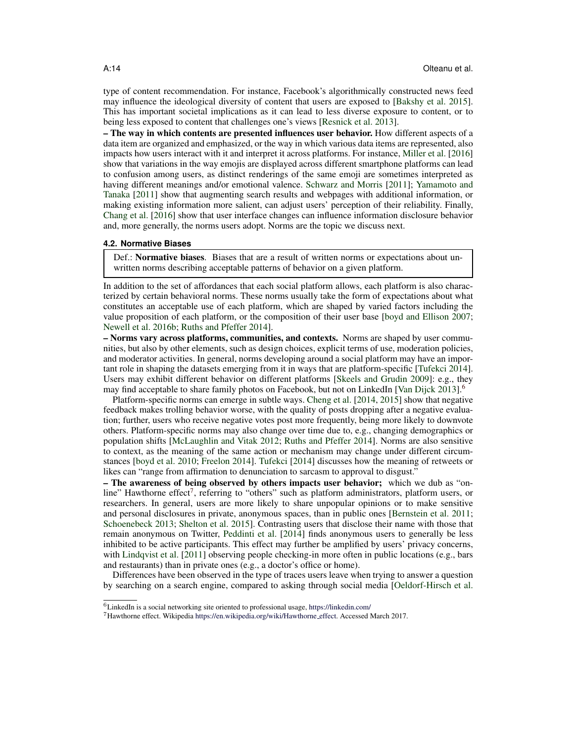type of content recommendation. For instance, Facebook's algorithmically constructed news feed may influence the ideological diversity of content that users are exposed to [\[Bakshy et al.](#page-34-14) [2015\]](#page-34-14). This has important societal implications as it can lead to less diverse exposure to content, or to being less exposed to content that challenges one's views [\[Resnick et al.](#page-43-11) [2013\]](#page-43-11).

– The way in which contents are presented influences user behavior. How different aspects of a data item are organized and emphasized, or the way in which various data items are represented, also impacts how users interact with it and interpret it across platforms. For instance, [Miller et al.](#page-41-12) [\[2016\]](#page-41-12) show that variations in the way emojis are displayed across different smartphone platforms can lead to confusion among users, as distinct renderings of the same emoji are sometimes interpreted as having different meanings and/or emotional valence. [Schwarz and Morris](#page-44-9) [\[2011\]](#page-44-9); [Yamamoto and](#page-45-10) [Tanaka](#page-45-10) [\[2011\]](#page-45-10) show that augmenting search results and webpages with additional information, or making existing information more salient, can adjust users' perception of their reliability. Finally, [Chang et al.](#page-35-6) [\[2016\]](#page-35-6) show that user interface changes can influence information disclosure behavior and, more generally, the norms users adopt. Norms are the topic we discuss next.

#### <span id="page-13-0"></span>**4.2. Normative Biases**

Def.: **Normative biases**. Biases that are a result of written norms or expectations about unwritten norms describing acceptable patterns of behavior on a given platform.

In addition to the set of affordances that each social platform allows, each platform is also characterized by certain behavioral norms. These norms usually take the form of expectations about what constitutes an acceptable use of each platform, which are shaped by varied factors including the value proposition of each platform, or the composition of their user base [\[boyd and Ellison](#page-35-7) [2007;](#page-35-7) [Newell et al.](#page-41-11) [2016b;](#page-41-11) [Ruths and Pfeffer](#page-43-1) [2014\]](#page-43-1).

– Norms vary across platforms, communities, and contexts. Norms are shaped by user communities, but also by other elements, such as design choices, explicit terms of use, moderation policies, and moderator activities. In general, norms developing around a social platform may have an important role in shaping the datasets emerging from it in ways that are platform-specific [\[Tufekci](#page-44-1) [2014\]](#page-44-1). Users may exhibit different behavior on different platforms [\[Skeels and Grudin](#page-44-10) [2009\]](#page-44-10): e.g., they may find acceptable to share family photos on Facebook, but not on LinkedIn [\[Van Dijck](#page-45-11) [2013\]](#page-45-11).<sup>[6](#page-13-1)</sup>

Platform-specific norms can emerge in subtle ways. [Cheng et al.](#page-35-8) [\[2014,](#page-35-8) [2015\]](#page-35-9) show that negative feedback makes trolling behavior worse, with the quality of posts dropping after a negative evaluation; further, users who receive negative votes post more frequently, being more likely to downvote others. Platform-specific norms may also change over time due to, e.g., changing demographics or population shifts [\[McLaughlin and Vitak](#page-40-13) [2012;](#page-40-13) [Ruths and Pfeffer](#page-43-1) [2014\]](#page-43-1). Norms are also sensitive to context, as the meaning of the same action or mechanism may change under different circumstances [\[boyd et al.](#page-35-10) [2010;](#page-35-10) [Freelon](#page-37-18) [2014\]](#page-37-18). [Tufekci](#page-44-1) [\[2014\]](#page-44-1) discusses how the meaning of retweets or likes can "range from affirmation to denunciation to sarcasm to approval to disgust."

– The awareness of being observed by others impacts user behavior; which we dub as "on-line" Hawthorne effect<sup>[7](#page-13-2)</sup>, referring to "others" such as platform administrators, platform users, or researchers. In general, users are more likely to share unpopular opinions or to make sensitive and personal disclosures in private, anonymous spaces, than in public ones [\[Bernstein et al.](#page-34-18) [2011;](#page-34-18) [Schoenebeck](#page-44-11) [2013;](#page-44-11) [Shelton et al.](#page-44-12) [2015\]](#page-44-12). Contrasting users that disclose their name with those that remain anonymous on Twitter, [Peddinti et al.](#page-42-10) [\[2014\]](#page-42-10) finds anonymous users to generally be less inhibited to be active participants. This effect may further be amplified by users' privacy concerns, with [Lindqvist et al.](#page-40-14) [\[2011\]](#page-40-14) observing people checking-in more often in public locations (e.g., bars and restaurants) than in private ones (e.g., a doctor's office or home).

Differences have been observed in the type of traces users leave when trying to answer a question by searching on a search engine, compared to asking through social media [\[Oeldorf-Hirsch et al.](#page-41-7)

<span id="page-13-1"></span> $^6$ LinkedIn is a social networking site oriented to professional usage, <https://linkedin.com/>

<span id="page-13-2"></span><sup>7</sup>Hawthorne effect. Wikipedia [https://en.wikipedia.org/wiki/Hawthorne](https://en.wikipedia.org/wiki/Hawthorne_effect) effect. Accessed March 2017.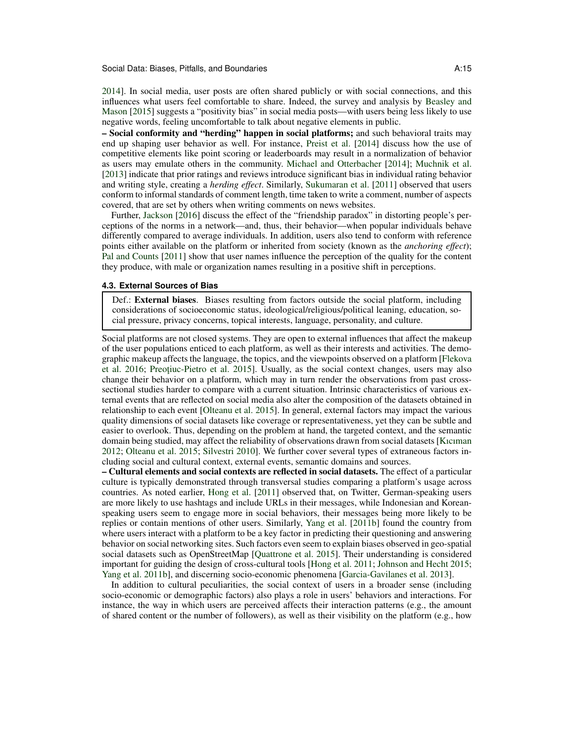#### Social Data: Biases, Pitfalls, and Boundaries A:15

[2014\]](#page-41-7). In social media, user posts are often shared publicly or with social connections, and this influences what users feel comfortable to share. Indeed, the survey and analysis by [Beasley and](#page-34-19) [Mason](#page-34-19) [\[2015\]](#page-34-19) suggests a "positivity bias" in social media posts—with users being less likely to use negative words, feeling uncomfortable to talk about negative elements in public.

– Social conformity and "herding" happen in social platforms; and such behavioral traits may end up shaping user behavior as well. For instance, [Preist et al.](#page-42-11) [\[2014\]](#page-42-11) discuss how the use of competitive elements like point scoring or leaderboards may result in a normalization of behavior as users may emulate others in the community. [Michael and Otterbacher](#page-41-13) [\[2014\]](#page-41-13); [Muchnik et al.](#page-41-14) [\[2013\]](#page-41-14) indicate that prior ratings and reviews introduce significant bias in individual rating behavior and writing style, creating a *herding effect*. Similarly, [Sukumaran et al.](#page-44-13) [\[2011\]](#page-44-13) observed that users conform to informal standards of comment length, time taken to write a comment, number of aspects covered, that are set by others when writing comments on news websites.

Further, [Jackson](#page-38-14) [\[2016\]](#page-38-14) discuss the effect of the "friendship paradox" in distorting people's perceptions of the norms in a network—and, thus, their behavior—when popular individuals behave differently compared to average individuals. In addition, users also tend to conform with reference points either available on the platform or inherited from society (known as the *anchoring effect*); [Pal and Counts](#page-42-12) [\[2011\]](#page-42-12) show that user names influence the perception of the quality for the content they produce, with male or organization names resulting in a positive shift in perceptions.

#### <span id="page-14-0"></span>**4.3. External Sources of Bias**

Def.: **External biases**. Biases resulting from factors outside the social platform, including considerations of socioeconomic status, ideological/religious/political leaning, education, social pressure, privacy concerns, topical interests, language, personality, and culture.

Social platforms are not closed systems. They are open to external influences that affect the makeup of the user populations enticed to each platform, as well as their interests and activities. The demographic makeup affects the language, the topics, and the viewpoints observed on a platform [\[Flekova](#page-37-19) [et al.](#page-37-19) [2016;](#page-37-19) Preotiuc-Pietro et al. [2015\]](#page-42-13). Usually, as the social context changes, users may also change their behavior on a platform, which may in turn render the observations from past crosssectional studies harder to compare with a current situation. Intrinsic characteristics of various external events that are reflected on social media also alter the composition of the datasets obtained in relationship to each event [\[Olteanu et al.](#page-42-14) [2015\]](#page-42-14). In general, external factors may impact the various quality dimensions of social datasets like coverage or representativeness, yet they can be subtle and easier to overlook. Thus, depending on the problem at hand, the targeted context, and the semantic domain being studied, may affect the reliability of observations drawn from social datasets [\[Kıcıman](#page-39-1) [2012;](#page-39-1) [Olteanu et al.](#page-42-14) [2015;](#page-42-14) [Silvestri](#page-44-5) [2010\]](#page-44-5). We further cover several types of extraneous factors including social and cultural context, external events, semantic domains and sources.

– Cultural elements and social contexts are reflected in social datasets. The effect of a particular culture is typically demonstrated through transversal studies comparing a platform's usage across countries. As noted earlier, [Hong et al.](#page-38-6) [\[2011\]](#page-38-6) observed that, on Twitter, German-speaking users are more likely to use hashtags and include URLs in their messages, while Indonesian and Koreanspeaking users seem to engage more in social behaviors, their messages being more likely to be replies or contain mentions of other users. Similarly, [Yang et al.](#page-45-12) [\[2011b\]](#page-45-12) found the country from where users interact with a platform to be a key factor in predicting their questioning and answering behavior on social networking sites. Such factors even seem to explain biases observed in geo-spatial social datasets such as OpenStreetMap [\[Quattrone et al.](#page-43-12) [2015\]](#page-43-12). Their understanding is considered important for guiding the design of cross-cultural tools [\[Hong et al.](#page-38-6) [2011;](#page-38-6) [Johnson and Hecht](#page-39-15) [2015;](#page-39-15) [Yang et al.](#page-45-12) [2011b\]](#page-45-12), and discerning socio-economic phenomena [\[Garcia-Gavilanes et al.](#page-37-20) [2013\]](#page-37-20).

In addition to cultural peculiarities, the social context of users in a broader sense (including socio-economic or demographic factors) also plays a role in users' behaviors and interactions. For instance, the way in which users are perceived affects their interaction patterns (e.g., the amount of shared content or the number of followers), as well as their visibility on the platform (e.g., how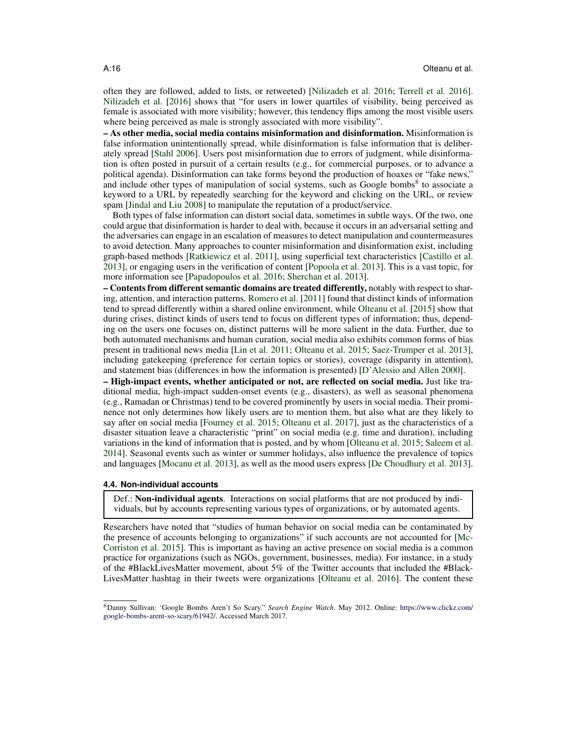often they are followed, added to lists, or retweeted) [\[Nilizadeh et al.](#page-41-15) [2016;](#page-41-15) [Terrell et al.](#page-44-14) [2016\]](#page-44-14). [Nilizadeh et al.](#page-41-15) [\[2016\]](#page-41-15) shows that "for users in lower quartiles of visibility, being perceived as female is associated with more visibility; however, this tendency flips among the most visible users where being perceived as male is strongly associated with more visibility".

– As other media, social media contains misinformation and disinformation. Misinformation is false information unintentionally spread, while disinformation is false information that is deliberately spread [\[Stahl](#page-44-15) [2006\]](#page-44-15). Users post misinformation due to errors of judgment, while disinformation is often posted in pursuit of a certain results (e.g., for commercial purposes, or to advance a political agenda). Disinformation can take forms beyond the production of hoaxes or "fake news," and include other types of manipulation of social systems, such as Google bombs<sup>[8](#page-15-1)</sup> to associate a keyword to a URL by repeatedly searching for the keyword and clicking on the URL, or review spam [\[Jindal and Liu](#page-39-16) [2008\]](#page-39-16) to manipulate the reputation of a product/service.

Both types of false information can distort social data, sometimes in subtle ways. Of the two, one could argue that disinformation is harder to deal with, because it occurs in an adversarial setting and the adversaries can engage in an escalation of measures to detect manipulation and countermeasures to avoid detection. Many approaches to counter misinformation and disinformation exist, including graph-based methods [\[Ratkiewicz et al.](#page-43-13) [2011\]](#page-43-13), using superficial text characteristics [\[Castillo et al.](#page-35-11) [2013\]](#page-35-11), or engaging users in the verification of content [\[Popoola et al.](#page-42-15) [2013\]](#page-42-15). This is a vast topic, for more information see [\[Papadopoulos et al.](#page-42-16) [2016;](#page-42-16) [Sherchan et al.](#page-44-16) [2013\]](#page-44-16).

– Contents from different semantic domains are treated differently, notably with respect to sharing, attention, and interaction patterns. [Romero et al.](#page-43-14) [\[2011\]](#page-43-14) found that distinct kinds of information tend to spread differently within a shared online environment, while [Olteanu et al.](#page-42-14) [\[2015\]](#page-42-14) show that during crises, distinct kinds of users tend to focus on different types of information; thus, depending on the users one focuses on, distinct patterns will be more salient in the data. Further, due to both automated mechanisms and human curation, social media also exhibits common forms of bias present in traditional news media [\[Lin et al.](#page-40-15) [2011;](#page-40-15) [Olteanu et al.](#page-42-17) [2015;](#page-42-17) [Saez-Trumper et al.](#page-43-15) [2013\]](#page-43-15), including gatekeeping (preference for certain topics or stories), coverage (disparity in attention), and statement bias (differences in how the information is presented) [\[D'Alessio and Allen](#page-36-13) [2000\]](#page-36-13).

– High-impact events, whether anticipated or not, are reflected on social media. Just like traditional media, high-impact sudden-onset events (e.g., disasters), as well as seasonal phenomena (e.g., Ramadan or Christmas) tend to be covered prominently by users in social media. Their prominence not only determines how likely users are to mention them, but also what are they likely to say after on social media [\[Fourney et al.](#page-37-17) [2015;](#page-37-17) [Olteanu et al.](#page-42-7) [2017\]](#page-42-7), just as the characteristics of a disaster situation leave a characteristic "print" on social media (e.g. time and duration), including variations in the kind of information that is posted, and by whom [\[Olteanu et al.](#page-42-14) [2015;](#page-42-14) [Saleem et al.](#page-43-16) [2014\]](#page-43-16). Seasonal events such as winter or summer holidays, also influence the prevalence of topics and languages [\[Mocanu et al.](#page-41-9) [2013\]](#page-41-9), as well as the mood users express [\[De Choudhury et al.](#page-36-14) [2013\]](#page-36-14).

#### <span id="page-15-0"></span>**4.4. Non-individual accounts**

Def.: **Non-individual agents**. Interactions on social platforms that are not produced by individuals, but by accounts representing various types of organizations, or by automated agents.

Researchers have noted that "studies of human behavior on social media can be contaminated by the presence of accounts belonging to organizations" if such accounts are not accounted for [\[Mc-](#page-40-16)[Corriston et al.](#page-40-16) [2015\]](#page-40-16). This is important as having an active presence on social media is a common practice for organizations (such as NGOs, government, businesses, media). For instance, in a study of the #BlackLivesMatter movement, about 5% of the Twitter accounts that included the #Black-LivesMatter hashtag in their tweets were organizations [\[Olteanu et al.](#page-42-5) [2016\]](#page-42-5). The content these

<span id="page-15-1"></span><sup>8</sup>Danny Sullivan: 'Google Bombs Aren't So Scary." *Search Engine Watch*. May 2012. Online: [https://www.clickz.com/](https://www.clickz.com/google-bombs-arent-so-scary/61942/) [google-bombs-arent-so-scary/61942/.](https://www.clickz.com/google-bombs-arent-so-scary/61942/) Accessed March 2017.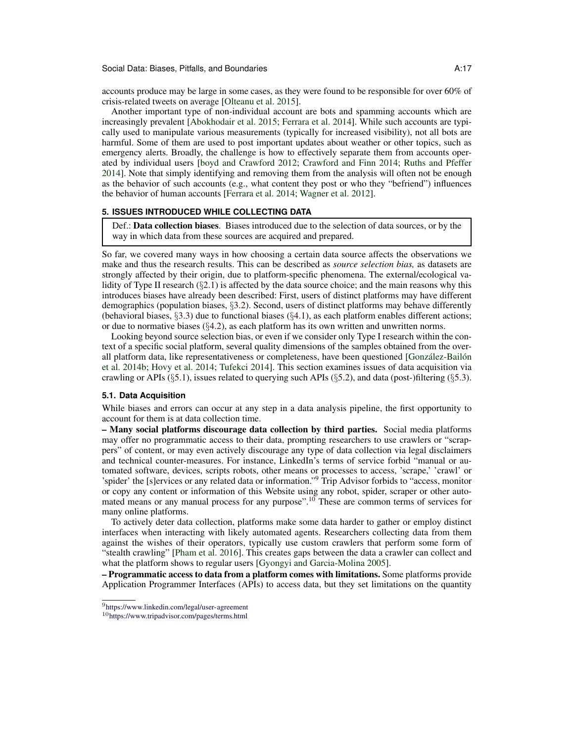accounts produce may be large in some cases, as they were found to be responsible for over 60% of crisis-related tweets on average [\[Olteanu et al.](#page-42-14) [2015\]](#page-42-14).

Another important type of non-individual account are bots and spamming accounts which are increasingly prevalent [\[Abokhodair et al.](#page-34-20) [2015;](#page-34-20) [Ferrara et al.](#page-37-21) [2014\]](#page-37-21). While such accounts are typically used to manipulate various measurements (typically for increased visibility), not all bots are harmful. Some of them are used to post important updates about weather or other topics, such as emergency alerts. Broadly, the challenge is how to effectively separate them from accounts operated by individual users [\[boyd and Crawford](#page-35-0) [2012;](#page-35-0) [Crawford and Finn](#page-36-2) [2014;](#page-36-2) [Ruths and Pfeffer](#page-43-1) [2014\]](#page-43-1). Note that simply identifying and removing them from the analysis will often not be enough as the behavior of such accounts (e.g., what content they post or who they "befriend") influences the behavior of human accounts [\[Ferrara et al.](#page-37-21) [2014;](#page-37-21) [Wagner et al.](#page-45-13) [2012\]](#page-45-13).

## <span id="page-16-0"></span>**5. ISSUES INTRODUCED WHILE COLLECTING DATA**

Def.: Data collection biases. Biases introduced due to the selection of data sources, or by the way in which data from these sources are acquired and prepared.

So far, we covered many ways in how choosing a certain data source affects the observations we make and thus the research results. This can be described as *source selection bias,* as datasets are strongly affected by their origin, due to platform-specific phenomena. The external/ecological validity of Type II research  $(\S2.1)$  $(\S2.1)$  is affected by the data source choice; and the main reasons why this introduces biases have already been described: First, users of distinct platforms may have different demographics (population biases, §[3.2\)](#page-6-0). Second, users of distinct platforms may behave differently (behavioral biases, §[3.3\)](#page-7-0) due to functional biases (§[4.1\)](#page-11-2), as each platform enables different actions; or due to normative biases  $(84.2)$  $(84.2)$ , as each platform has its own written and unwritten norms.

Looking beyond source selection bias, or even if we consider only Type I research within the context of a specific social platform, several quality dimensions of the samples obtained from the overall platform data, like representativeness or completeness, have been questioned [González-Bailón] [et al.](#page-38-10) [2014b;](#page-38-10) [Hovy et al.](#page-38-15) [2014;](#page-38-15) [Tufekci](#page-44-1) [2014\]](#page-44-1). This section examines issues of data acquisition via crawling or APIs (§[5.1\)](#page-16-1), issues related to querying such APIs (§[5.2\)](#page-17-0), and data (post-)filtering (§[5.3\)](#page-19-1).

#### <span id="page-16-1"></span>**5.1. Data Acquisition**

While biases and errors can occur at any step in a data analysis pipeline, the first opportunity to account for them is at data collection time.

– Many social platforms discourage data collection by third parties. Social media platforms may offer no programmatic access to their data, prompting researchers to use crawlers or "scrappers" of content, or may even actively discourage any type of data collection via legal disclaimers and technical counter-measures. For instance, LinkedIn's terms of service forbid "manual or automated software, devices, scripts robots, other means or processes to access, 'scrape,' 'crawl' or 'spider' the [s]ervices or any related data or information."[9](#page-16-2) Trip Advisor forbids to "access, monitor or copy any content or information of this Website using any robot, spider, scraper or other auto-mated means or any manual process for any purpose".<sup>[10](#page-16-3)</sup> These are common terms of services for many online platforms.

To actively deter data collection, platforms make some data harder to gather or employ distinct interfaces when interacting with likely automated agents. Researchers collecting data from them against the wishes of their operators, typically use custom crawlers that perform some form of "stealth crawling" [\[Pham et al.](#page-42-18) [2016\]](#page-42-18). This creates gaps between the data a crawler can collect and what the platform shows to regular users [\[Gyongyi and Garcia-Molina](#page-38-16) [2005\]](#page-38-16).

– Programmatic access to data from a platform comes with limitations. Some platforms provide Application Programmer Interfaces (APIs) to access data, but they set limitations on the quantity

<span id="page-16-2"></span><sup>9</sup><https://www.linkedin.com/legal/user-agreement>

<span id="page-16-3"></span><sup>10</sup><https://www.tripadvisor.com/pages/terms.html>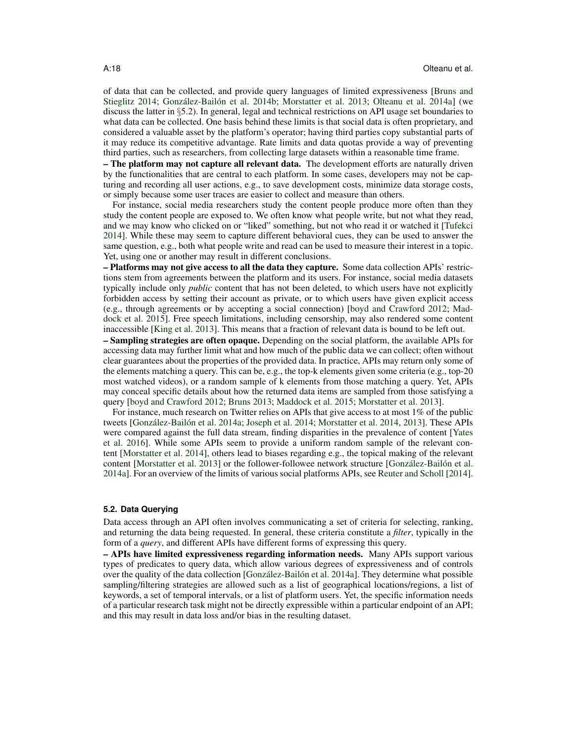of data that can be collected, and provide query languages of limited expressiveness [\[Bruns and](#page-35-12) [Stieglitz](#page-35-12) [2014;](#page-35-12) González-Bailón et al. [2014b;](#page-38-10) [Morstatter et al.](#page-41-16) [2013;](#page-41-16) [Olteanu et al.](#page-42-2) [2014a\]](#page-42-2) (we discuss the latter in §[5.2\)](#page-17-0). In general, legal and technical restrictions on API usage set boundaries to what data can be collected. One basis behind these limits is that social data is often proprietary, and considered a valuable asset by the platform's operator; having third parties copy substantial parts of it may reduce its competitive advantage. Rate limits and data quotas provide a way of preventing third parties, such as researchers, from collecting large datasets within a reasonable time frame.

– The platform may not capture all relevant data. The development efforts are naturally driven by the functionalities that are central to each platform. In some cases, developers may not be capturing and recording all user actions, e.g., to save development costs, minimize data storage costs, or simply because some user traces are easier to collect and measure than others.

For instance, social media researchers study the content people produce more often than they study the content people are exposed to. We often know what people write, but not what they read, and we may know who clicked on or "liked" something, but not who read it or watched it [\[Tufekci](#page-44-1) [2014\]](#page-44-1). While these may seem to capture different behavioral cues, they can be used to answer the same question, e.g., both what people write and read can be used to measure their interest in a topic. Yet, using one or another may result in different conclusions.

– Platforms may not give access to all the data they capture. Some data collection APIs' restrictions stem from agreements between the platform and its users. For instance, social media datasets typically include only *public* content that has not been deleted, to which users have not explicitly forbidden access by setting their account as private, or to which users have given explicit access (e.g., through agreements or by accepting a social connection) [\[boyd and Crawford](#page-35-0) [2012;](#page-35-0) [Mad](#page-40-11)[dock et al.](#page-40-11) [2015\]](#page-40-11). Free speech limitations, including censorship, may also rendered some content inaccessible [\[King et al.](#page-39-17) [2013\]](#page-39-17). This means that a fraction of relevant data is bound to be left out.

– Sampling strategies are often opaque. Depending on the social platform, the available APIs for accessing data may further limit what and how much of the public data we can collect; often without clear guarantees about the properties of the provided data. In practice, APIs may return only some of the elements matching a query. This can be, e.g., the top-k elements given some criteria (e.g., top-20 most watched videos), or a random sample of k elements from those matching a query. Yet, APIs may conceal specific details about how the returned data items are sampled from those satisfying a query [\[boyd and Crawford](#page-35-0) [2012;](#page-35-0) [Bruns](#page-35-5) [2013;](#page-35-5) [Maddock et al.](#page-40-11) [2015;](#page-40-11) [Morstatter et al.](#page-41-16) [2013\]](#page-41-16).

For instance, much research on Twitter relies on APIs that give access to at most 1% of the public tweets [González-Bailón et al. [2014a;](#page-38-4) [Joseph et al.](#page-39-18) [2014;](#page-39-18) [Morstatter et al.](#page-41-17) [2014,](#page-41-17) [2013\]](#page-41-16). These APIs were compared against the full data stream, finding disparities in the prevalence of content [\[Yates](#page-46-4) [et al.](#page-46-4) [2016\]](#page-46-4). While some APIs seem to provide a uniform random sample of the relevant content [\[Morstatter et al.](#page-41-17) [2014\]](#page-41-17), others lead to biases regarding e.g., the topical making of the relevant content [\[Morstatter et al.](#page-41-16) [2013\]](#page-41-16) or the follower-followee network structure [González-Bailón et al. [2014a\]](#page-38-4). For an overview of the limits of various social platforms APIs, see [Reuter and Scholl](#page-43-17) [\[2014\]](#page-43-17).

#### <span id="page-17-0"></span>**5.2. Data Querying**

Data access through an API often involves communicating a set of criteria for selecting, ranking, and returning the data being requested. In general, these criteria constitute a *filter*, typically in the form of a *query*, and different APIs have different forms of expressing this query.

– APIs have limited expressiveness regarding information needs. Many APIs support various types of predicates to query data, which allow various degrees of expressiveness and of controls over the quality of the data collection [González-Bail on et al. [2014a\]](#page-38-4). They determine what possible sampling/filtering strategies are allowed such as a list of geographical locations/regions, a list of keywords, a set of temporal intervals, or a list of platform users. Yet, the specific information needs of a particular research task might not be directly expressible within a particular endpoint of an API; and this may result in data loss and/or bias in the resulting dataset.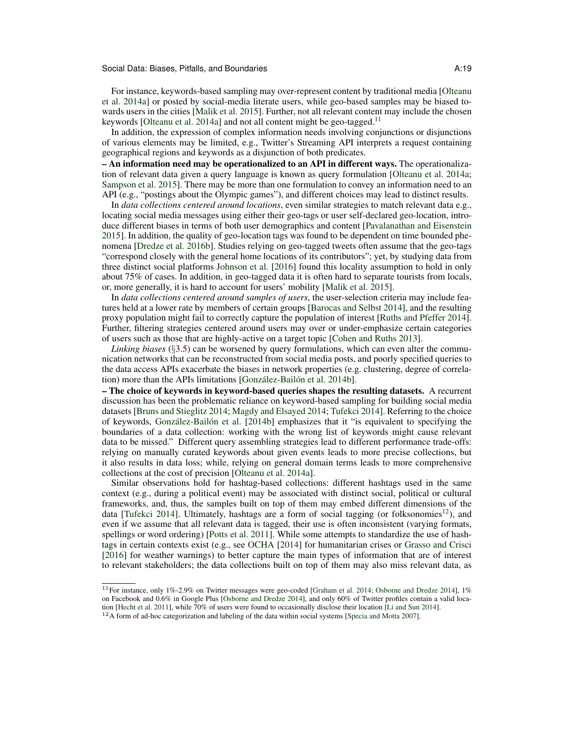#### Social Data: Biases, Pitfalls, and Boundaries A:19 A:19

For instance, keywords-based sampling may over-represent content by traditional media [\[Olteanu](#page-42-2) [et al.](#page-42-2) [2014a\]](#page-42-2) or posted by social-media literate users, while geo-based samples may be biased towards users in the cities [\[Malik et al.](#page-40-17) [2015\]](#page-40-17). Further, not all relevant content may include the chosen keywords [\[Olteanu et al.](#page-42-2) [2014a\]](#page-42-2) and not all content might be geo-tagged.<sup>[11](#page-18-0)</sup>

In addition, the expression of complex information needs involving conjunctions or disjunctions of various elements may be limited, e.g., Twitter's Streaming API interprets a request containing geographical regions and keywords as a disjunction of both predicates.

– An information need may be operationalized to an API in different ways. The operationalization of relevant data given a query language is known as query formulation [\[Olteanu et al.](#page-42-2) [2014a;](#page-42-2) [Sampson et al.](#page-43-18) [2015\]](#page-43-18). There may be more than one formulation to convey an information need to an API (e.g., "postings about the Olympic games"), and different choices may lead to distinct results.

In *data collections centered around locations*, even similar strategies to match relevant data e.g., locating social media messages using either their geo-tags or user self-declared geo-location, introduce different biases in terms of both user demographics and content [\[Pavalanathan and Eisenstein](#page-42-19) [2015\]](#page-42-19). In addition, the quality of geo-location tags was found to be dependent on time bounded phenomena [\[Dredze et al.](#page-37-22) [2016b\]](#page-37-22). Studies relying on geo-tagged tweets often assume that the geo-tags "correspond closely with the general home locations of its contributors"; yet, by studying data from three distinct social platforms [Johnson et al.](#page-39-19) [\[2016\]](#page-39-19) found this locality assumption to hold in only about 75% of cases. In addition, in geo-tagged data it is often hard to separate tourists from locals, or, more generally, it is hard to account for users' mobility [\[Malik et al.](#page-40-17) [2015\]](#page-40-17).

In *data collections centered around samples of users*, the user-selection criteria may include features held at a lower rate by members of certain groups [\[Barocas and Selbst](#page-34-4) [2014\]](#page-34-4), and the resulting proxy population might fail to correctly capture the population of interest [\[Ruths and Pfeffer](#page-43-1) [2014\]](#page-43-1). Further, filtering strategies centered around users may over or under-emphasize certain categories of users such as those that are highly-active on a target topic [\[Cohen and Ruths](#page-36-3) [2013\]](#page-36-3).

*Linking biases* (§[3.5\)](#page-9-0) can be worsened by query formulations, which can even alter the communication networks that can be reconstructed from social media posts, and poorly specified queries to the data access APIs exacerbate the biases in network properties (e.g. clustering, degree of correla-tion) more than the APIs limitations [González-Bailón et al. [2014b\]](#page-38-10).

– The choice of keywords in keyword-based queries shapes the resulting datasets. A recurrent discussion has been the problematic reliance on keyword-based sampling for building social media datasets [\[Bruns and Stieglitz](#page-35-12) [2014;](#page-35-12) [Magdy and Elsayed](#page-40-18) [2014;](#page-40-18) [Tufekci](#page-44-1) [2014\]](#page-44-1). Referring to the choice of keywords, González-Bailón et al. [\[2014b\]](#page-38-10) emphasizes that it "is equivalent to specifying the boundaries of a data collection: working with the wrong list of keywords might cause relevant data to be missed." Different query assembling strategies lead to different performance trade-offs: relying on manually curated keywords about given events leads to more precise collections, but it also results in data loss; while, relying on general domain terms leads to more comprehensive collections at the cost of precision [\[Olteanu et al.](#page-42-2) [2014a\]](#page-42-2).

Similar observations hold for hashtag-based collections: different hashtags used in the same context (e.g., during a political event) may be associated with distinct social, political or cultural frameworks, and, thus, the samples built on top of them may embed different dimensions of the data [\[Tufekci](#page-44-1) [2014\]](#page-44-1). Ultimately, hashtags are a form of social tagging (or folksonomies<sup>[12](#page-18-1)</sup>), and even if we assume that all relevant data is tagged, their use is often inconsistent (varying formats, spellings or word ordering) [\[Potts et al.](#page-42-20) [2011\]](#page-42-20). While some attempts to standardize the use of hashtags in certain contexts exist (e.g., see [OCHA](#page-41-18) [\[2014\]](#page-41-18) for humanitarian crises or [Grasso and Crisci](#page-38-17) [\[2016\]](#page-38-17) for weather warnings) to better capture the main types of information that are of interest to relevant stakeholders; the data collections built on top of them may also miss relevant data, as

<span id="page-18-0"></span> $11$ For instance, only 1%-2.9% on Twitter messages were geo-coded [\[Graham et al.](#page-38-18) [2014;](#page-38-18) [Osborne and Dredze](#page-42-9) [2014\]](#page-42-9), 1% on Facebook and 0.6% in Google Plus [\[Osborne and Dredze](#page-42-9) [2014\]](#page-42-9), and only 60% of Twitter profiles contain a valid location [\[Hecht et al.](#page-38-19) [2011\]](#page-38-19), while 70% of users were found to occasionally disclose their location [\[Li and Sun](#page-40-19) [2014\]](#page-40-19).

<span id="page-18-1"></span> $12A$  form of ad-hoc categorization and labeling of the data within social systems [\[Specia and Motta](#page-44-17) [2007\]](#page-44-17).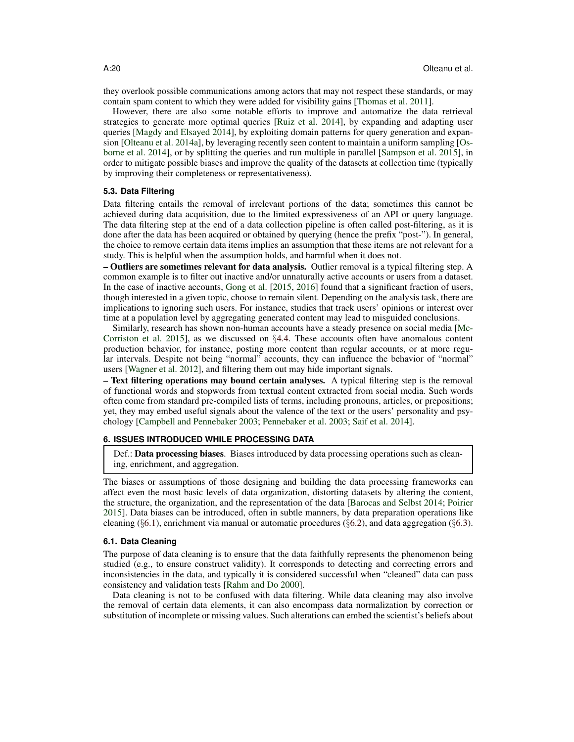they overlook possible communications among actors that may not respect these standards, or may contain spam content to which they were added for visibility gains [\[Thomas et al.](#page-44-18) [2011\]](#page-44-18).

However, there are also some notable efforts to improve and automatize the data retrieval strategies to generate more optimal queries [\[Ruiz et al.](#page-43-19) [2014\]](#page-43-19), by expanding and adapting user queries [\[Magdy and Elsayed](#page-40-18) [2014\]](#page-40-18), by exploiting domain patterns for query generation and expansion [\[Olteanu et al.](#page-42-2) [2014a\]](#page-42-2), by leveraging recently seen content to maintain a uniform sampling [\[Os](#page-42-21)[borne et al.](#page-42-21) [2014\]](#page-42-21), or by splitting the queries and run multiple in parallel [\[Sampson et al.](#page-43-18) [2015\]](#page-43-18), in order to mitigate possible biases and improve the quality of the datasets at collection time (typically by improving their completeness or representativeness).

## <span id="page-19-1"></span>**5.3. Data Filtering**

Data filtering entails the removal of irrelevant portions of the data; sometimes this cannot be achieved during data acquisition, due to the limited expressiveness of an API or query language. The data filtering step at the end of a data collection pipeline is often called post-filtering, as it is done after the data has been acquired or obtained by querying (hence the prefix "post-"). In general, the choice to remove certain data items implies an assumption that these items are not relevant for a study. This is helpful when the assumption holds, and harmful when it does not.

– Outliers are sometimes relevant for data analysis. Outlier removal is a typical filtering step. A common example is to filter out inactive and/or unnaturally active accounts or users from a dataset. In the case of inactive accounts, [Gong et al.](#page-37-14) [\[2015,](#page-37-14) [2016\]](#page-38-8) found that a significant fraction of users, though interested in a given topic, choose to remain silent. Depending on the analysis task, there are implications to ignoring such users. For instance, studies that track users' opinions or interest over time at a population level by aggregating generated content may lead to misguided conclusions.

Similarly, research has shown non-human accounts have a steady presence on social media [\[Mc-](#page-40-16)[Corriston et al.](#page-40-16) [2015\]](#page-40-16), as we discussed on §[4.4.](#page-15-0) These accounts often have anomalous content production behavior, for instance, posting more content than regular accounts, or at more regular intervals. Despite not being "normal" accounts, they can influence the behavior of "normal" users [\[Wagner et al.](#page-45-13) [2012\]](#page-45-13), and filtering them out may hide important signals.

– Text filtering operations may bound certain analyses. A typical filtering step is the removal of functional words and stopwords from textual content extracted from social media. Such words often come from standard pre-compiled lists of terms, including pronouns, articles, or prepositions; yet, they may embed useful signals about the valence of the text or the users' personality and psychology [\[Campbell and Pennebaker](#page-35-13) [2003;](#page-35-13) [Pennebaker et al.](#page-42-22) [2003;](#page-42-22) [Saif et al.](#page-43-20) [2014\]](#page-43-20).

## <span id="page-19-0"></span>**6. ISSUES INTRODUCED WHILE PROCESSING DATA**

Def.: Data processing biases. Biases introduced by data processing operations such as cleaning, enrichment, and aggregation.

The biases or assumptions of those designing and building the data processing frameworks can affect even the most basic levels of data organization, distorting datasets by altering the content, the structure, the organization, and the representation of the data [\[Barocas and Selbst](#page-34-4) [2014;](#page-34-4) [Poirier](#page-42-23) [2015\]](#page-42-23). Data biases can be introduced, often in subtle manners, by data preparation operations like cleaning ( $\S6.1$ ), enrichment via manual or automatic procedures ( $\S6.2$ ), and data aggregation ( $\S6.3$ ).

#### <span id="page-19-2"></span>**6.1. Data Cleaning**

The purpose of data cleaning is to ensure that the data faithfully represents the phenomenon being studied (e.g., to ensure construct validity). It corresponds to detecting and correcting errors and inconsistencies in the data, and typically it is considered successful when "cleaned" data can pass consistency and validation tests [\[Rahm and Do](#page-43-21) [2000\]](#page-43-21).

Data cleaning is not to be confused with data filtering. While data cleaning may also involve the removal of certain data elements, it can also encompass data normalization by correction or substitution of incomplete or missing values. Such alterations can embed the scientist's beliefs about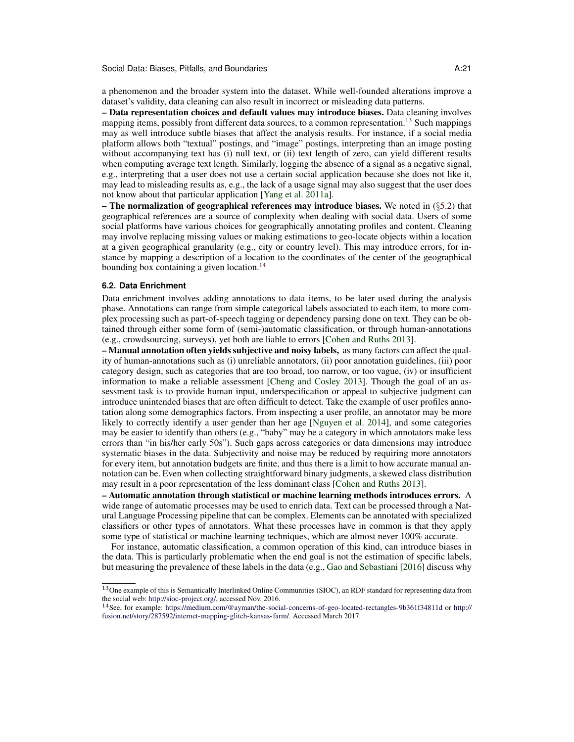#### Social Data: Biases, Pitfalls, and Boundaries A:21 A:21

a phenomenon and the broader system into the dataset. While well-founded alterations improve a dataset's validity, data cleaning can also result in incorrect or misleading data patterns.

– Data representation choices and default values may introduce biases. Data cleaning involves mapping items, possibly from different data sources, to a common representation.<sup>[13](#page-20-1)</sup> Such mappings may as well introduce subtle biases that affect the analysis results. For instance, if a social media platform allows both "textual" postings, and "image" postings, interpreting than an image posting without accompanying text has (i) null text, or (ii) text length of zero, can yield different results when computing average text length. Similarly, logging the absence of a signal as a negative signal, e.g., interpreting that a user does not use a certain social application because she does not like it, may lead to misleading results as, e.g., the lack of a usage signal may also suggest that the user does not know about that particular application [\[Yang et al.](#page-45-14) [2011a\]](#page-45-14).

– The normalization of geographical references may introduce biases. We noted in  $(\S$ [5.2\)](#page-17-0) that geographical references are a source of complexity when dealing with social data. Users of some social platforms have various choices for geographically annotating profiles and content. Cleaning may involve replacing missing values or making estimations to geo-locate objects within a location at a given geographical granularity (e.g., city or country level). This may introduce errors, for instance by mapping a description of a location to the coordinates of the center of the geographical bounding box containing a given location.<sup>[14](#page-20-2)</sup>

#### <span id="page-20-0"></span>**6.2. Data Enrichment**

Data enrichment involves adding annotations to data items, to be later used during the analysis phase. Annotations can range from simple categorical labels associated to each item, to more complex processing such as part-of-speech tagging or dependency parsing done on text. They can be obtained through either some form of (semi-)automatic classification, or through human-annotations (e.g., crowdsourcing, surveys), yet both are liable to errors [\[Cohen and Ruths](#page-36-3) [2013\]](#page-36-3).

<span id="page-20-3"></span>– Manual annotation often yields subjective and noisy labels, as many factors can affect the quality of human-annotations such as (i) unreliable annotators, (ii) poor annotation guidelines, (iii) poor category design, such as categories that are too broad, too narrow, or too vague, (iv) or insufficient information to make a reliable assessment [\[Cheng and Cosley](#page-35-14) [2013\]](#page-35-14). Though the goal of an assessment task is to provide human input, underspecification or appeal to subjective judgment can introduce unintended biases that are often difficult to detect. Take the example of user profiles annotation along some demographics factors. From inspecting a user profile, an annotator may be more likely to correctly identify a user gender than her age [\[Nguyen et al.](#page-41-19) [2014\]](#page-41-19), and some categories may be easier to identify than others (e.g., "baby" may be a category in which annotators make less errors than "in his/her early 50s"). Such gaps across categories or data dimensions may introduce systematic biases in the data. Subjectivity and noise may be reduced by requiring more annotators for every item, but annotation budgets are finite, and thus there is a limit to how accurate manual annotation can be. Even when collecting straightforward binary judgments, a skewed class distribution may result in a poor representation of the less dominant class [\[Cohen and Ruths](#page-36-3) [2013\]](#page-36-3).

– Automatic annotation through statistical or machine learning methods introduces errors. A wide range of automatic processes may be used to enrich data. Text can be processed through a Natural Language Processing pipeline that can be complex. Elements can be annotated with specialized classifiers or other types of annotators. What these processes have in common is that they apply some type of statistical or machine learning techniques, which are almost never 100% accurate.

For instance, automatic classification, a common operation of this kind, can introduce biases in the data. This is particularly problematic when the end goal is not the estimation of specific labels, but measuring the prevalence of these labels in the data (e.g., [Gao and Sebastiani](#page-37-23) [\[2016\]](#page-37-23) discuss why

<span id="page-20-1"></span><sup>13</sup>One example of this is Semantically Interlinked Online Communities (SIOC), an RDF standard for representing data from the social web: [http://sioc-project.org/,](http://sioc-project.org/) accessed Nov. 2016.

<span id="page-20-2"></span><sup>14</sup>See, for example: <https://medium.com/@ayman/the-social-concerns-of-geo-located-rectangles-9b361f34811d> or [http://](http://fusion.net/story/287592/internet-mapping-glitch-kansas-farm/) [fusion.net/story/287592/internet-mapping-glitch-kansas-farm/.](http://fusion.net/story/287592/internet-mapping-glitch-kansas-farm/) Accessed March 2017.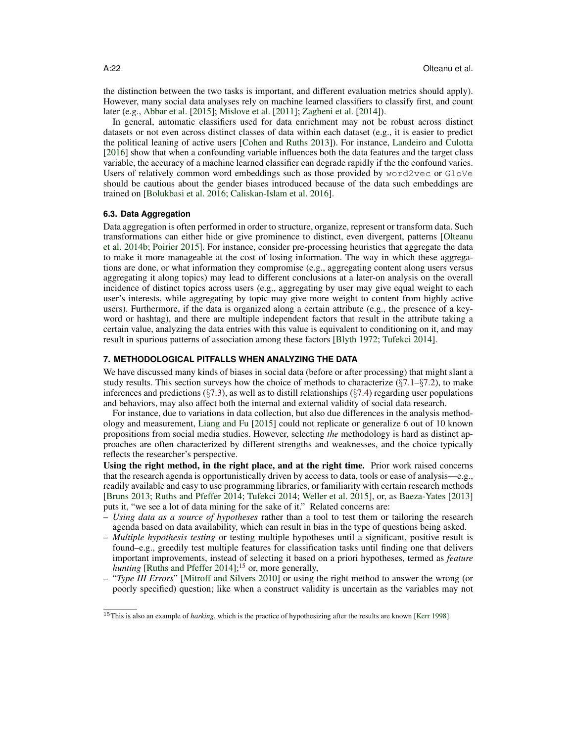the distinction between the two tasks is important, and different evaluation metrics should apply). However, many social data analyses rely on machine learned classifiers to classify first, and count later (e.g., [Abbar et al.](#page-34-0) [\[2015\]](#page-34-0); [Mislove et al.](#page-41-5) [\[2011\]](#page-41-5); [Zagheni et al.](#page-46-5) [\[2014\]](#page-46-5)).

In general, automatic classifiers used for data enrichment may not be robust across distinct datasets or not even across distinct classes of data within each dataset (e.g., it is easier to predict the political leaning of active users [\[Cohen and Ruths](#page-36-3) [2013\]](#page-36-3)). For instance, [Landeiro and Culotta](#page-39-20) [\[2016\]](#page-39-20) show that when a confounding variable influences both the data features and the target class variable, the accuracy of a machine learned classifier can degrade rapidly if the the confound varies. Users of relatively common word embeddings such as those provided by word2vec or GloVe should be cautious about the gender biases introduced because of the data such embeddings are trained on [\[Bolukbasi et al.](#page-35-15) [2016;](#page-35-15) [Caliskan-Islam et al.](#page-35-16) [2016\]](#page-35-16).

#### <span id="page-21-1"></span>**6.3. Data Aggregation**

Data aggregation is often performed in order to structure, organize, represent or transform data. Such transformations can either hide or give prominence to distinct, even divergent, patterns [\[Olteanu](#page-42-24) [et al.](#page-42-24) [2014b;](#page-42-24) [Poirier](#page-42-23) [2015\]](#page-42-23). For instance, consider pre-processing heuristics that aggregate the data to make it more manageable at the cost of losing information. The way in which these aggregations are done, or what information they compromise (e.g., aggregating content along users versus aggregating it along topics) may lead to different conclusions at a later-on analysis on the overall incidence of distinct topics across users (e.g., aggregating by user may give equal weight to each user's interests, while aggregating by topic may give more weight to content from highly active users). Furthermore, if the data is organized along a certain attribute (e.g., the presence of a keyword or hashtag), and there are multiple independent factors that result in the attribute taking a certain value, analyzing the data entries with this value is equivalent to conditioning on it, and may result in spurious patterns of association among these factors [\[Blyth](#page-35-17) [1972;](#page-35-17) [Tufekci](#page-44-1) [2014\]](#page-44-1).

## <span id="page-21-0"></span>**7. METHODOLOGICAL PITFALLS WHEN ANALYZING THE DATA**

We have discussed many kinds of biases in social data (before or after processing) that might slant a study results. This section surveys how the choice of methods to characterize ( $\S7.1-\S7.2$ ), to make inferences and predictions ( $\S$ [7.3\)](#page-23-0), as well as to distill relationships ( $\S$ [7.4\)](#page-24-0) regarding user populations and behaviors, may also affect both the internal and external validity of social data research.

For instance, due to variations in data collection, but also due differences in the analysis methodology and measurement, [Liang and Fu](#page-40-20) [\[2015\]](#page-40-20) could not replicate or generalize 6 out of 10 known propositions from social media studies. However, selecting *the* methodology is hard as distinct approaches are often characterized by different strengths and weaknesses, and the choice typically reflects the researcher's perspective.

Using the right method, in the right place, and at the right time. Prior work raised concerns that the research agenda is opportunistically driven by access to data, tools or ease of analysis—e.g., readily available and easy to use programming libraries, or familiarity with certain research methods [\[Bruns](#page-35-5) [2013;](#page-35-5) [Ruths and Pfeffer](#page-43-1) [2014;](#page-43-1) [Tufekci](#page-44-1) [2014;](#page-44-1) [Weller et al.](#page-45-15) [2015\]](#page-45-15), or, as [Baeza-Yates](#page-34-5) [\[2013\]](#page-34-5) puts it, "we see a lot of data mining for the sake of it." Related concerns are:

- *Using data as a source of hypotheses* rather than a tool to test them or tailoring the research agenda based on data availability, which can result in bias in the type of questions being asked.
- *Multiple hypothesis testing* or testing multiple hypotheses until a significant, positive result is found–e.g., greedily test multiple features for classification tasks until finding one that delivers important improvements, instead of selecting it based on a priori hypotheses, termed as *feature hunting* [\[Ruths and Pfeffer](#page-43-1) [2014\]](#page-43-1);<sup>[15](#page-21-2)</sup> or, more generally,
- "*Type III Errors*" [\[Mitroff and Silvers](#page-41-20) [2010\]](#page-41-20) or using the right method to answer the wrong (or poorly specified) question; like when a construct validity is uncertain as the variables may not

<span id="page-21-2"></span><sup>&</sup>lt;sup>15</sup>This is also an example of *harking*, which is the practice of hypothesizing after the results are known [\[Kerr](#page-39-21) [1998\]](#page-39-21).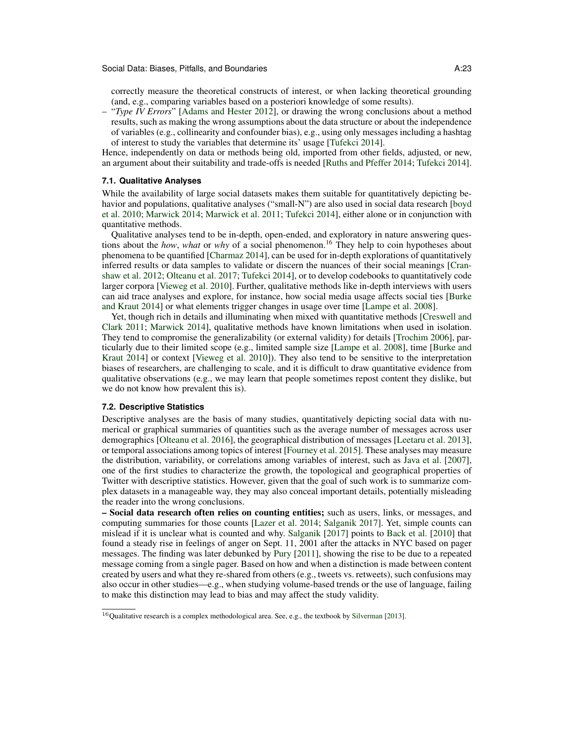#### Social Data: Biases, Pitfalls, and Boundaries A:23

correctly measure the theoretical constructs of interest, or when lacking theoretical grounding (and, e.g., comparing variables based on a posteriori knowledge of some results).

– "*Type IV Errors*" [\[Adams and Hester](#page-34-21) [2012\]](#page-34-21), or drawing the wrong conclusions about a method results, such as making the wrong assumptions about the data structure or about the independence of variables (e.g., collinearity and confounder bias), e.g., using only messages including a hashtag of interest to study the variables that determine its' usage [\[Tufekci](#page-44-1) [2014\]](#page-44-1).

Hence, independently on data or methods being old, imported from other fields, adjusted, or new, an argument about their suitability and trade-offs is needed [\[Ruths and Pfeffer](#page-43-1) [2014;](#page-43-1) [Tufekci](#page-44-1) [2014\]](#page-44-1).

## <span id="page-22-0"></span>**7.1. Qualitative Analyses**

While the availability of large social datasets makes them suitable for quantitatively depicting be-havior and populations, qualitative analyses ("small-N") are also used in social data research [\[boyd](#page-35-10) [et al.](#page-35-10) [2010;](#page-35-10) [Marwick](#page-40-21) [2014;](#page-40-21) [Marwick et al.](#page-40-22) [2011;](#page-40-22) [Tufekci](#page-44-1) [2014\]](#page-44-1), either alone or in conjunction with quantitative methods.

Qualitative analyses tend to be in-depth, open-ended, and exploratory in nature answering questions about the *how*, *what* or *why* of a social phenomenon.[16](#page-22-2) They help to coin hypotheses about phenomena to be quantified [\[Charmaz](#page-35-18) [2014\]](#page-35-18), can be used for in-depth explorations of quantitatively inferred results or data samples to validate or discern the nuances of their social meanings [\[Cran](#page-36-15)[shaw et al.](#page-36-15) [2012;](#page-36-15) [Olteanu et al.](#page-42-7) [2017;](#page-42-7) [Tufekci](#page-44-1) [2014\]](#page-44-1), or to develop codebooks to quantitatively code larger corpora [\[Vieweg et al.](#page-45-16) [2010\]](#page-45-16). Further, qualitative methods like in-depth interviews with users can aid trace analyses and explore, for instance, how social media usage affects social ties [\[Burke](#page-35-19) [and Kraut](#page-35-19) [2014\]](#page-35-19) or what elements trigger changes in usage over time [\[Lampe et al.](#page-39-0) [2008\]](#page-39-0).

Yet, though rich in details and illuminating when mixed with quantitative methods [\[Creswell and](#page-36-16) [Clark](#page-36-16) [2011;](#page-36-16) [Marwick](#page-40-21) [2014\]](#page-40-21), qualitative methods have known limitations when used in isolation. They tend to compromise the generalizability (or external validity) for details [\[Trochim](#page-44-3) [2006\]](#page-44-3), particularly due to their limited scope (e.g., limited sample size [\[Lampe et al.](#page-39-0) [2008\]](#page-39-0), time [\[Burke and](#page-35-19) [Kraut](#page-35-19) [2014\]](#page-35-19) or context [\[Vieweg et al.](#page-45-16) [2010\]](#page-45-16)). They also tend to be sensitive to the interpretation biases of researchers, are challenging to scale, and it is difficult to draw quantitative evidence from qualitative observations (e.g., we may learn that people sometimes repost content they dislike, but we do not know how prevalent this is).

## <span id="page-22-1"></span>**7.2. Descriptive Statistics**

Descriptive analyses are the basis of many studies, quantitatively depicting social data with numerical or graphical summaries of quantities such as the average number of messages across user demographics [\[Olteanu et al.](#page-42-5) [2016\]](#page-42-5), the geographical distribution of messages [\[Leetaru et al.](#page-40-23) [2013\]](#page-40-23), or temporal associations among topics of interest [\[Fourney et al.](#page-37-17) [2015\]](#page-37-17). These analyses may measure the distribution, variability, or correlations among variables of interest, such as [Java et al.](#page-39-22) [\[2007\]](#page-39-22), one of the first studies to characterize the growth, the topological and geographical properties of Twitter with descriptive statistics. However, given that the goal of such work is to summarize complex datasets in a manageable way, they may also conceal important details, potentially misleading the reader into the wrong conclusions.

– Social data research often relies on counting entities; such as users, links, or messages, and computing summaries for those counts [\[Lazer et al.](#page-39-6) [2014;](#page-39-6) [Salganik](#page-43-5) [2017\]](#page-43-5). Yet, simple counts can mislead if it is unclear what is counted and why. [Salganik](#page-43-5) [\[2017\]](#page-43-5) points to [Back et al.](#page-34-22) [\[2010\]](#page-34-22) that found a steady rise in feelings of anger on Sept. 11, 2001 after the attacks in NYC based on pager messages. The finding was later debunked by [Pury](#page-43-22) [\[2011\]](#page-43-22), showing the rise to be due to a repeated message coming from a single pager. Based on how and when a distinction is made between content created by users and what they re-shared from others (e.g., tweets vs. retweets), such confusions may also occur in other studies—e.g., when studying volume-based trends or the use of language, failing to make this distinction may lead to bias and may affect the study validity.

<span id="page-22-2"></span><sup>&</sup>lt;sup>16</sup>Qualitative research is a complex methodological area. See, e.g., the textbook by [Silverman](#page-44-19) [\[2013\]](#page-44-19).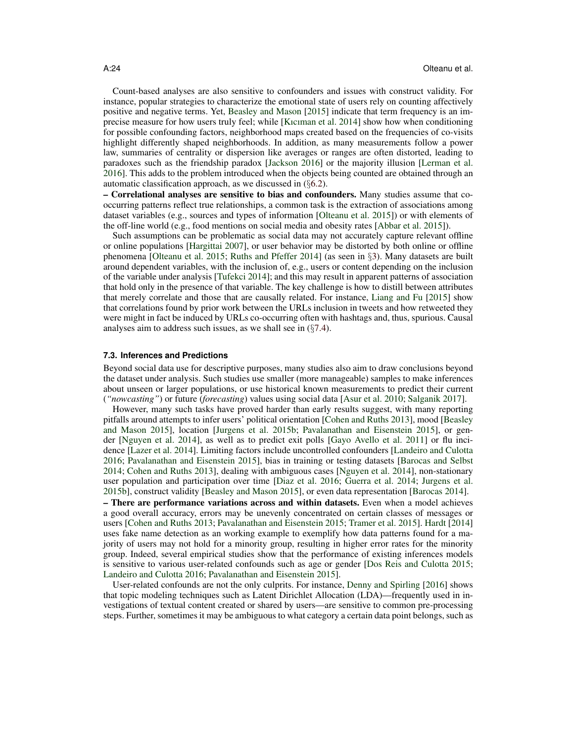Count-based analyses are also sensitive to confounders and issues with construct validity. For instance, popular strategies to characterize the emotional state of users rely on counting affectively positive and negative terms. Yet, [Beasley and Mason](#page-34-19) [\[2015\]](#page-34-19) indicate that term frequency is an imprecise measure for how users truly feel; while [\[Kıcıman et al.](#page-39-7) [2014\]](#page-39-7) show how when conditioning for possible confounding factors, neighborhood maps created based on the frequencies of co-visits highlight differently shaped neighborhoods. In addition, as many measurements follow a power law, summaries of centrality or dispersion like averages or ranges are often distorted, leading to paradoxes such as the friendship paradox [\[Jackson](#page-38-14) [2016\]](#page-38-14) or the majority illusion [\[Lerman et al.](#page-40-8) [2016\]](#page-40-8). This adds to the problem introduced when the objects being counted are obtained through an automatic classification approach, as we discussed in (§[6.2\)](#page-20-3).

– Correlational analyses are sensitive to bias and confounders. Many studies assume that cooccurring patterns reflect true relationships, a common task is the extraction of associations among dataset variables (e.g., sources and types of information [\[Olteanu et al.](#page-42-14) [2015\]](#page-42-14)) or with elements of the off-line world (e.g., food mentions on social media and obesity rates [\[Abbar et al.](#page-34-0) [2015\]](#page-34-0)).

Such assumptions can be problematic as social data may not accurately capture relevant offline or online populations [\[Hargittai](#page-38-5) [2007\]](#page-38-5), or user behavior may be distorted by both online or offline phenomena [\[Olteanu et al.](#page-42-14) [2015;](#page-42-14) [Ruths and Pfeffer](#page-43-1) [2014\]](#page-43-1) (as seen in §[3\)](#page-5-0). Many datasets are built around dependent variables, with the inclusion of, e.g., users or content depending on the inclusion of the variable under analysis [\[Tufekci](#page-44-1) [2014\]](#page-44-1); and this may result in apparent patterns of association that hold only in the presence of that variable. The key challenge is how to distill between attributes that merely correlate and those that are causally related. For instance, [Liang and Fu](#page-40-20) [\[2015\]](#page-40-20) show that correlations found by prior work between the URLs inclusion in tweets and how retweeted they were might in fact be induced by URLs co-occurring often with hashtags and, thus, spurious. Causal analyses aim to address such issues, as we shall see in (§[7.4\)](#page-24-0).

#### <span id="page-23-0"></span>**7.3. Inferences and Predictions**

Beyond social data use for descriptive purposes, many studies also aim to draw conclusions beyond the dataset under analysis. Such studies use smaller (more manageable) samples to make inferences about unseen or larger populations, or use historical known measurements to predict their current (*"nowcasting"*) or future (*forecasting*) values using social data [\[Asur et al.](#page-34-23) [2010;](#page-34-23) [Salganik](#page-43-5) [2017\]](#page-43-5).

However, many such tasks have proved harder than early results suggest, with many reporting pitfalls around attempts to infer users' political orientation [\[Cohen and Ruths](#page-36-3) [2013\]](#page-36-3), mood [\[Beasley](#page-34-19) [and Mason](#page-34-19) [2015\]](#page-34-19), location [\[Jurgens et al.](#page-39-23) [2015b;](#page-39-23) [Pavalanathan and Eisenstein](#page-42-19) [2015\]](#page-42-19), or gender [\[Nguyen et al.](#page-41-19) [2014\]](#page-41-19), as well as to predict exit polls [\[Gayo Avello et al.](#page-37-10) [2011\]](#page-37-10) or flu incidence [\[Lazer et al.](#page-39-6) [2014\]](#page-39-6). Limiting factors include uncontrolled confounders [\[Landeiro and Culotta](#page-39-20) [2016;](#page-39-20) [Pavalanathan and Eisenstein](#page-42-19) [2015\]](#page-42-19), bias in training or testing datasets [\[Barocas and Selbst](#page-34-4) [2014;](#page-34-4) [Cohen and Ruths](#page-36-3) [2013\]](#page-36-3), dealing with ambiguous cases [\[Nguyen et al.](#page-41-19) [2014\]](#page-41-19), non-stationary user population and participation over time [\[Diaz et al.](#page-36-7) [2016;](#page-36-7) [Guerra et al.](#page-38-9) [2014;](#page-38-9) [Jurgens et al.](#page-39-23) [2015b\]](#page-39-23), construct validity [\[Beasley and Mason](#page-34-19) [2015\]](#page-34-19), or even data representation [\[Barocas](#page-34-11) [2014\]](#page-34-11).

– There are performance variations across and within datasets. Even when a model achieves a good overall accuracy, errors may be unevenly concentrated on certain classes of messages or users [\[Cohen and Ruths](#page-36-3) [2013;](#page-36-3) [Pavalanathan and Eisenstein](#page-42-19) [2015;](#page-42-19) [Tramer et al.](#page-44-20) [2015\]](#page-44-20). [Hardt](#page-38-20) [\[2014\]](#page-38-20) uses fake name detection as an working example to exemplify how data patterns found for a majority of users may not hold for a minority group, resulting in higher error rates for the minority group. Indeed, several empirical studies show that the performance of existing inferences models is sensitive to various user-related confounds such as age or gender [\[Dos Reis and Culotta](#page-36-17) [2015;](#page-36-17) [Landeiro and Culotta](#page-39-20) [2016;](#page-39-20) [Pavalanathan and Eisenstein](#page-42-19) [2015\]](#page-42-19).

User-related confounds are not the only culprits. For instance, [Denny and Spirling](#page-36-18) [\[2016\]](#page-36-18) shows that topic modeling techniques such as Latent Dirichlet Allocation (LDA)—frequently used in investigations of textual content created or shared by users—are sensitive to common pre-processing steps. Further, sometimes it may be ambiguous to what category a certain data point belongs, such as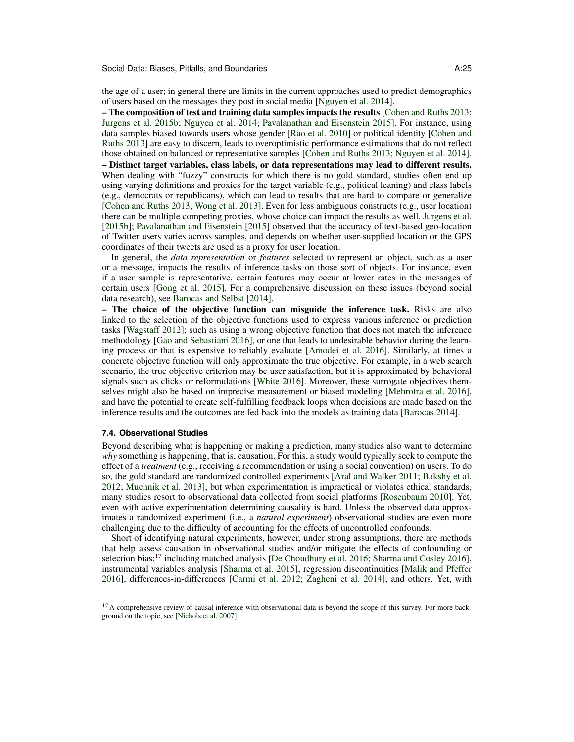#### Social Data: Biases, Pitfalls, and Boundaries A:25

the age of a user; in general there are limits in the current approaches used to predict demographics of users based on the messages they post in social media [\[Nguyen et al.](#page-41-19) [2014\]](#page-41-19).

– The composition of test and training data samples impacts the results [\[Cohen and Ruths](#page-36-3) [2013;](#page-36-3) [Jurgens et al.](#page-39-23) [2015b;](#page-39-23) [Nguyen et al.](#page-41-19) [2014;](#page-41-19) [Pavalanathan and Eisenstein](#page-42-19) [2015\]](#page-42-19). For instance, using data samples biased towards users whose gender [\[Rao et al.](#page-43-6) [2010\]](#page-43-6) or political identity [\[Cohen and](#page-36-3) [Ruths](#page-36-3) [2013\]](#page-36-3) are easy to discern, leads to overoptimistic performance estimations that do not reflect those obtained on balanced or representative samples [\[Cohen and Ruths](#page-36-3) [2013;](#page-36-3) [Nguyen et al.](#page-41-19) [2014\]](#page-41-19). – Distinct target variables, class labels, or data representations may lead to different results. When dealing with "fuzzy" constructs for which there is no gold standard, studies often end up using varying definitions and proxies for the target variable (e.g., political leaning) and class labels (e.g., democrats or republicans), which can lead to results that are hard to compare or generalize [\[Cohen and Ruths](#page-36-3) [2013;](#page-36-3) [Wong et al.](#page-45-17) [2013\]](#page-45-17). Even for less ambiguous constructs (e.g., user location) there can be multiple competing proxies, whose choice can impact the results as well. [Jurgens et al.](#page-39-23) [\[2015b\]](#page-39-23); [Pavalanathan and Eisenstein](#page-42-19) [\[2015\]](#page-42-19) observed that the accuracy of text-based geo-location of Twitter users varies across samples, and depends on whether user-supplied location or the GPS coordinates of their tweets are used as a proxy for user location.

In general, the *data representation* or *features* selected to represent an object, such as a user or a message, impacts the results of inference tasks on those sort of objects. For instance, even if a user sample is representative, certain features may occur at lower rates in the messages of certain users [\[Gong et al.](#page-37-14) [2015\]](#page-37-14). For a comprehensive discussion on these issues (beyond social data research), see [Barocas and Selbst](#page-34-4) [\[2014\]](#page-34-4).

– The choice of the objective function can misguide the inference task. Risks are also linked to the selection of the objective functions used to express various inference or prediction tasks [\[Wagstaff](#page-45-1) [2012\]](#page-45-1); such as using a wrong objective function that does not match the inference methodology [\[Gao and Sebastiani](#page-37-23) [2016\]](#page-37-23), or one that leads to undesirable behavior during the learning process or that is expensive to reliably evaluate [\[Amodei et al.](#page-34-24) [2016\]](#page-34-24). Similarly, at times a concrete objective function will only approximate the true objective. For example, in a web search scenario, the true objective criterion may be user satisfaction, but it is approximated by behavioral signals such as clicks or reformulations [\[White](#page-45-18) [2016\]](#page-45-18). Moreover, these surrogate objectives themselves might also be based on imprecise measurement or biased modeling [\[Mehrotra et al.](#page-40-24) [2016\]](#page-40-24), and have the potential to create self-fulfilling feedback loops when decisions are made based on the inference results and the outcomes are fed back into the models as training data [\[Barocas](#page-34-11) [2014\]](#page-34-11).

#### <span id="page-24-0"></span>**7.4. Observational Studies**

Beyond describing what is happening or making a prediction, many studies also want to determine *why* something is happening, that is, causation. For this, a study would typically seek to compute the effect of a *treatment* (e.g., receiving a recommendation or using a social convention) on users. To do so, the gold standard are randomized controlled experiments [\[Aral and Walker](#page-34-25) [2011;](#page-34-25) [Bakshy et al.](#page-34-13) [2012;](#page-34-13) [Muchnik et al.](#page-41-14) [2013\]](#page-41-14), but when experimentation is impractical or violates ethical standards, many studies resort to observational data collected from social platforms [\[Rosenbaum](#page-43-23) [2010\]](#page-43-23). Yet, even with active experimentation determining causality is hard. Unless the observed data approximates a randomized experiment (i.e., a *natural experiment*) observational studies are even more challenging due to the difficulty of accounting for the effects of uncontrolled confounds.

Short of identifying natural experiments, however, under strong assumptions, there are methods that help assess causation in observational studies and/or mitigate the effects of confounding or selection bias;<sup>[17](#page-24-1)</sup> including matched analysis [\[De Choudhury et al.](#page-36-19) [2016;](#page-36-19) [Sharma and Cosley](#page-44-21) [2016\]](#page-44-21), instrumental variables analysis [\[Sharma et al.](#page-44-22) [2015\]](#page-44-22), regression discontinuities [\[Malik and Pfeffer](#page-40-2) [2016\]](#page-40-2), differences-in-differences [\[Carmi et al.](#page-35-20) [2012;](#page-35-20) [Zagheni et al.](#page-46-5) [2014\]](#page-46-5), and others. Yet, with

<span id="page-24-1"></span><sup>&</sup>lt;sup>17</sup>A comprehensive review of causal inference with observational data is beyond the scope of this survey. For more background on the topic, see [\[Nichols et al.](#page-41-21) [2007\]](#page-41-21).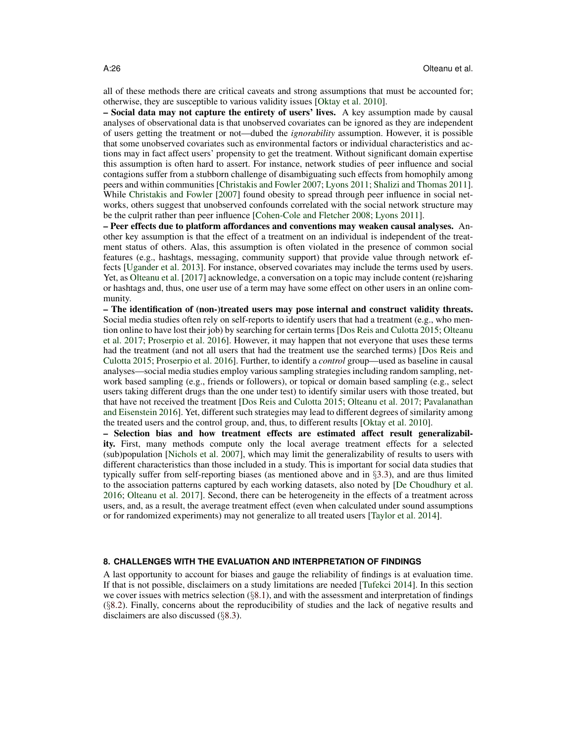all of these methods there are critical caveats and strong assumptions that must be accounted for; otherwise, they are susceptible to various validity issues [\[Oktay et al.](#page-42-25) [2010\]](#page-42-25).

– Social data may not capture the entirety of users' lives. A key assumption made by causal analyses of observational data is that unobserved covariates can be ignored as they are independent of users getting the treatment or not—dubed the *ignorability* assumption. However, it is possible that some unobserved covariates such as environmental factors or individual characteristics and actions may in fact affect users' propensity to get the treatment. Without significant domain expertise this assumption is often hard to assert. For instance, network studies of peer influence and social contagions suffer from a stubborn challenge of disambiguating such effects from homophily among peers and within communities [\[Christakis and Fowler](#page-35-21) [2007;](#page-35-21) [Lyons](#page-40-25) [2011;](#page-40-25) [Shalizi and Thomas](#page-44-23) [2011\]](#page-44-23). While [Christakis and Fowler](#page-35-21) [\[2007\]](#page-35-21) found obesity to spread through peer influence in social networks, others suggest that unobserved confounds correlated with the social network structure may be the culprit rather than peer influence [\[Cohen-Cole and Fletcher](#page-36-20) [2008;](#page-36-20) [Lyons](#page-40-25) [2011\]](#page-40-25).

– Peer effects due to platform affordances and conventions may weaken causal analyses. Another key assumption is that the effect of a treatment on an individual is independent of the treatment status of others. Alas, this assumption is often violated in the presence of common social features (e.g., hashtags, messaging, community support) that provide value through network effects [\[Ugander et al.](#page-45-19) [2013\]](#page-45-19). For instance, observed covariates may include the terms used by users. Yet, as [Olteanu et al.](#page-42-7) [\[2017\]](#page-42-7) acknowledge, a conversation on a topic may include content (re)sharing or hashtags and, thus, one user use of a term may have some effect on other users in an online community.

– The identification of (non-)treated users may pose internal and construct validity threats. Social media studies often rely on self-reports to identify users that had a treatment (e.g., who mention online to have lost their job) by searching for certain terms [\[Dos Reis and Culotta](#page-36-17) [2015;](#page-36-17) [Olteanu](#page-42-7) [et al.](#page-42-7) [2017;](#page-42-7) [Proserpio et al.](#page-43-24) [2016\]](#page-43-24). However, it may happen that not everyone that uses these terms had the treatment (and not all users that had the treatment use the searched terms) [\[Dos Reis and](#page-36-17) [Culotta](#page-36-17) [2015;](#page-36-17) [Proserpio et al.](#page-43-24) [2016\]](#page-43-24). Further, to identify a *control* group—used as baseline in causal analyses—social media studies employ various sampling strategies including random sampling, network based sampling (e.g., friends or followers), or topical or domain based sampling (e.g., select users taking different drugs than the one under test) to identify similar users with those treated, but that have not received the treatment [\[Dos Reis and Culotta](#page-36-17) [2015;](#page-36-17) [Olteanu et al.](#page-42-7) [2017;](#page-42-7) [Pavalanathan](#page-42-8) [and Eisenstein](#page-42-8) [2016\]](#page-42-8). Yet, different such strategies may lead to different degrees of similarity among the treated users and the control group, and, thus, to different results [\[Oktay et al.](#page-42-25) [2010\]](#page-42-25).

– Selection bias and how treatment effects are estimated affect result generalizability. First, many methods compute only the local average treatment effects for a selected (sub)population [\[Nichols et al.](#page-41-21) [2007\]](#page-41-21), which may limit the generalizability of results to users with different characteristics than those included in a study. This is important for social data studies that typically suffer from self-reporting biases (as mentioned above and in §[3.3\)](#page-7-0), and are thus limited to the association patterns captured by each working datasets, also noted by [\[De Choudhury et al.](#page-36-19) [2016;](#page-36-19) [Olteanu et al.](#page-42-7) [2017\]](#page-42-7). Second, there can be heterogeneity in the effects of a treatment across users, and, as a result, the average treatment effect (even when calculated under sound assumptions or for randomized experiments) may not generalize to all treated users [\[Taylor et al.](#page-44-24) [2014\]](#page-44-24).

## <span id="page-25-0"></span>**8. CHALLENGES WITH THE EVALUATION AND INTERPRETATION OF FINDINGS**

A last opportunity to account for biases and gauge the reliability of findings is at evaluation time. If that is not possible, disclaimers on a study limitations are needed [\[Tufekci](#page-44-1) [2014\]](#page-44-1). In this section we cover issues with metrics selection (§[8.1\)](#page-26-0), and with the assessment and interpretation of findings (§[8.2\)](#page-26-1). Finally, concerns about the reproducibility of studies and the lack of negative results and disclaimers are also discussed (§[8.3\)](#page-27-0).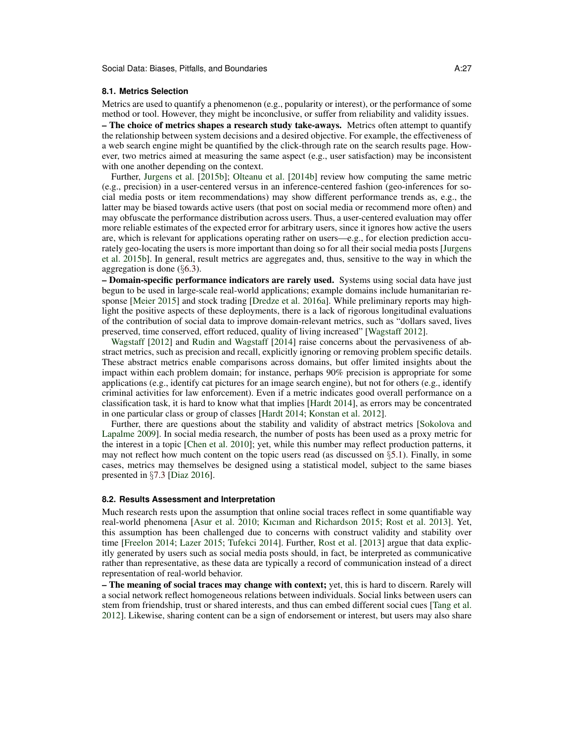## <span id="page-26-0"></span>**8.1. Metrics Selection**

Metrics are used to quantify a phenomenon (e.g., popularity or interest), or the performance of some method or tool. However, they might be inconclusive, or suffer from reliability and validity issues.

– The choice of metrics shapes a research study take-aways. Metrics often attempt to quantify the relationship between system decisions and a desired objective. For example, the effectiveness of a web search engine might be quantified by the click-through rate on the search results page. However, two metrics aimed at measuring the same aspect (e.g., user satisfaction) may be inconsistent with one another depending on the context.

Further, [Jurgens et al.](#page-39-23) [\[2015b\]](#page-39-23); [Olteanu et al.](#page-42-24) [\[2014b\]](#page-42-24) review how computing the same metric (e.g., precision) in a user-centered versus in an inference-centered fashion (geo-inferences for social media posts or item recommendations) may show different performance trends as, e.g., the latter may be biased towards active users (that post on social media or recommend more often) and may obfuscate the performance distribution across users. Thus, a user-centered evaluation may offer more reliable estimates of the expected error for arbitrary users, since it ignores how active the users are, which is relevant for applications operating rather on users—e.g., for election prediction accurately geo-locating the users is more important than doing so for all their social media posts [\[Jurgens](#page-39-23) [et al.](#page-39-23) [2015b\]](#page-39-23). In general, result metrics are aggregates and, thus, sensitive to the way in which the aggregation is done (§[6.3\)](#page-21-1).

– Domain-specific performance indicators are rarely used. Systems using social data have just begun to be used in large-scale real-world applications; example domains include humanitarian response [\[Meier](#page-41-22) [2015\]](#page-41-22) and stock trading [\[Dredze et al.](#page-36-21) [2016a\]](#page-36-21). While preliminary reports may highlight the positive aspects of these deployments, there is a lack of rigorous longitudinal evaluations of the contribution of social data to improve domain-relevant metrics, such as "dollars saved, lives preserved, time conserved, effort reduced, quality of living increased" [\[Wagstaff](#page-45-1) [2012\]](#page-45-1).

[Wagstaff](#page-45-1) [\[2012\]](#page-45-1) and [Rudin and Wagstaff](#page-43-25) [\[2014\]](#page-43-25) raise concerns about the pervasiveness of abstract metrics, such as precision and recall, explicitly ignoring or removing problem specific details. These abstract metrics enable comparisons across domains, but offer limited insights about the impact within each problem domain; for instance, perhaps 90% precision is appropriate for some applications (e.g., identify cat pictures for an image search engine), but not for others (e.g., identify criminal activities for law enforcement). Even if a metric indicates good overall performance on a classification task, it is hard to know what that implies [\[Hardt](#page-38-20) [2014\]](#page-38-20), as errors may be concentrated in one particular class or group of classes [\[Hardt](#page-38-20) [2014;](#page-38-20) [Konstan et al.](#page-39-14) [2012\]](#page-39-14).

Further, there are questions about the stability and validity of abstract metrics [\[Sokolova and](#page-44-25) [Lapalme](#page-44-25) [2009\]](#page-44-25). In social media research, the number of posts has been used as a proxy metric for the interest in a topic [\[Chen et al.](#page-35-22) [2010\]](#page-35-22); yet, while this number may reflect production patterns, it may not reflect how much content on the topic users read (as discussed on  $\S5.1$ ). Finally, in some cases, metrics may themselves be designed using a statistical model, subject to the same biases presented in §[7.3](#page-23-0) [\[Diaz](#page-36-22) [2016\]](#page-36-22).

#### <span id="page-26-1"></span>**8.2. Results Assessment and Interpretation**

Much research rests upon the assumption that online social traces reflect in some quantifiable way real-world phenomena [\[Asur et al.](#page-34-23) [2010;](#page-34-23) [Kıcıman and Richardson](#page-39-24) [2015;](#page-39-24) [Rost et al.](#page-43-26) [2013\]](#page-43-26). Yet, this assumption has been challenged due to concerns with construct validity and stability over time [\[Freelon](#page-37-18) [2014;](#page-37-18) [Lazer](#page-39-9) [2015;](#page-39-9) [Tufekci](#page-44-1) [2014\]](#page-44-1). Further, [Rost et al.](#page-43-26) [\[2013\]](#page-43-26) argue that data explicitly generated by users such as social media posts should, in fact, be interpreted as communicative rather than representative, as these data are typically a record of communication instead of a direct representation of real-world behavior.

– The meaning of social traces may change with context; yet, this is hard to discern. Rarely will a social network reflect homogeneous relations between individuals. Social links between users can stem from friendship, trust or shared interests, and thus can embed different social cues [\[Tang et al.](#page-44-26) [2012\]](#page-44-26). Likewise, sharing content can be a sign of endorsement or interest, but users may also share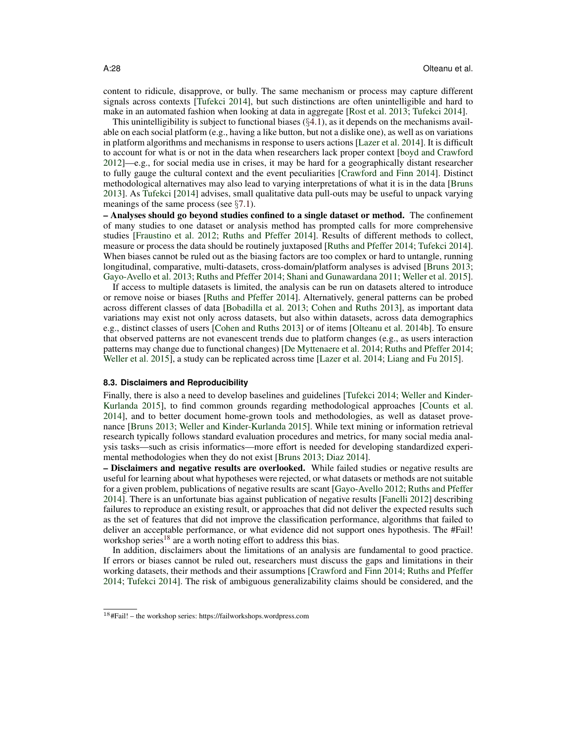content to ridicule, disapprove, or bully. The same mechanism or process may capture different signals across contexts [\[Tufekci](#page-44-1) [2014\]](#page-44-1), but such distinctions are often unintelligible and hard to make in an automated fashion when looking at data in aggregate [\[Rost et al.](#page-43-26) [2013;](#page-43-26) [Tufekci](#page-44-1) [2014\]](#page-44-1).

This unintelligibility is subject to functional biases  $(\S 4.1)$  $(\S 4.1)$ , as it depends on the mechanisms available on each social platform (e.g., having a like button, but not a dislike one), as well as on variations in platform algorithms and mechanisms in response to users actions [\[Lazer et al.](#page-39-6) [2014\]](#page-39-6). It is difficult to account for what is or not in the data when researchers lack proper context [\[boyd and Crawford](#page-35-0) [2012\]](#page-35-0)—e.g., for social media use in crises, it may be hard for a geographically distant researcher to fully gauge the cultural context and the event peculiarities [\[Crawford and Finn](#page-36-2) [2014\]](#page-36-2). Distinct methodological alternatives may also lead to varying interpretations of what it is in the data [\[Bruns](#page-35-5) [2013\]](#page-35-5). As [Tufekci](#page-44-1) [\[2014\]](#page-44-1) advises, small qualitative data pull-outs may be useful to unpack varying meanings of the same process (see  $\S$ [7.1\)](#page-22-0).

– Analyses should go beyond studies confined to a single dataset or method. The confinement of many studies to one dataset or analysis method has prompted calls for more comprehensive studies [\[Fraustino et al.](#page-37-24) [2012;](#page-37-24) [Ruths and Pfeffer](#page-43-1) [2014\]](#page-43-1). Results of different methods to collect, measure or process the data should be routinely juxtaposed [\[Ruths and Pfeffer](#page-43-1) [2014;](#page-43-1) [Tufekci](#page-44-1) [2014\]](#page-44-1). When biases cannot be ruled out as the biasing factors are too complex or hard to untangle, running longitudinal, comparative, multi-datasets, cross-domain/platform analyses is advised [\[Bruns](#page-35-5) [2013;](#page-35-5) [Gayo-Avello et al.](#page-37-25) [2013;](#page-37-25) [Ruths and Pfeffer](#page-43-1) [2014;](#page-43-1) [Shani and Gunawardana](#page-44-27) [2011;](#page-44-27) [Weller et al.](#page-45-15) [2015\]](#page-45-15).

If access to multiple datasets is limited, the analysis can be run on datasets altered to introduce or remove noise or biases [\[Ruths and Pfeffer](#page-43-1) [2014\]](#page-43-1). Alternatively, general patterns can be probed across different classes of data [\[Bobadilla et al.](#page-35-23) [2013;](#page-35-23) [Cohen and Ruths](#page-36-3) [2013\]](#page-36-3), as important data variations may exist not only across datasets, but also within datasets, across data demographics e.g., distinct classes of users [\[Cohen and Ruths](#page-36-3) [2013\]](#page-36-3) or of items [\[Olteanu et al.](#page-42-24) [2014b\]](#page-42-24). To ensure that observed patterns are not evanescent trends due to platform changes (e.g., as users interaction patterns may change due to functional changes) [\[De Myttenaere et al.](#page-36-23) [2014;](#page-36-23) [Ruths and Pfeffer](#page-43-1) [2014;](#page-43-1) [Weller et al.](#page-45-15) [2015\]](#page-45-15), a study can be replicated across time [\[Lazer et al.](#page-39-6) [2014;](#page-39-6) [Liang and Fu](#page-40-20) [2015\]](#page-40-20).

## <span id="page-27-0"></span>**8.3. Disclaimers and Reproducibility**

Finally, there is also a need to develop baselines and guidelines [\[Tufekci](#page-44-1) [2014;](#page-44-1) [Weller and Kinder-](#page-45-20)[Kurlanda](#page-45-20) [2015\]](#page-45-20), to find common grounds regarding methodological approaches [\[Counts et al.](#page-36-24) [2014\]](#page-36-24), and to better document home-grown tools and methodologies, as well as dataset provenance [\[Bruns](#page-35-5) [2013;](#page-35-5) [Weller and Kinder-Kurlanda](#page-45-20) [2015\]](#page-45-20). While text mining or information retrieval research typically follows standard evaluation procedures and metrics, for many social media analysis tasks—such as crisis informatics—more effort is needed for developing standardized experimental methodologies when they do not exist [\[Bruns](#page-35-5) [2013;](#page-35-5) [Diaz](#page-36-25) [2014\]](#page-36-25).

– Disclaimers and negative results are overlooked. While failed studies or negative results are useful for learning about what hypotheses were rejected, or what datasets or methods are not suitable for a given problem, publications of negative results are scant [\[Gayo-Avello](#page-37-26) [2012;](#page-37-26) [Ruths and Pfeffer](#page-43-1) [2014\]](#page-43-1). There is an unfortunate bias against publication of negative results [\[Fanelli](#page-37-27) [2012\]](#page-37-27) describing failures to reproduce an existing result, or approaches that did not deliver the expected results such as the set of features that did not improve the classification performance, algorithms that failed to deliver an acceptable performance, or what evidence did not support ones hypothesis. The #Fail! workshop series<sup>[18](#page-27-1)</sup> are a worth noting effort to address this bias.

In addition, disclaimers about the limitations of an analysis are fundamental to good practice. If errors or biases cannot be ruled out, researchers must discuss the gaps and limitations in their working datasets, their methods and their assumptions [\[Crawford and Finn](#page-36-2) [2014;](#page-36-2) [Ruths and Pfeffer](#page-43-1) [2014;](#page-43-1) [Tufekci](#page-44-1) [2014\]](#page-44-1). The risk of ambiguous generalizability claims should be considered, and the

<span id="page-27-1"></span><sup>18</sup>#Fail! – the workshop series: https://failworkshops.wordpress.com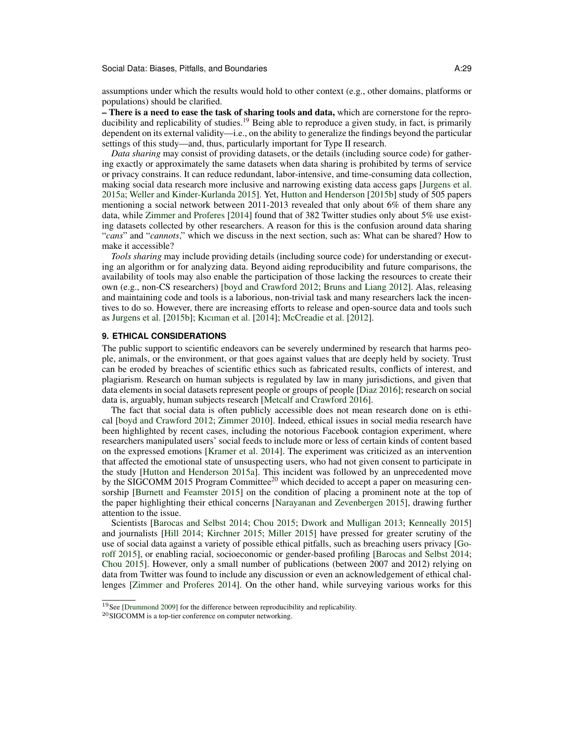#### Social Data: Biases, Pitfalls, and Boundaries A:29 A:29

assumptions under which the results would hold to other context (e.g., other domains, platforms or populations) should be clarified.

– There is a need to ease the task of sharing tools and data, which are cornerstone for the repro-ducibility and replicability of studies.<sup>[19](#page-28-1)</sup> Being able to reproduce a given study, in fact, is primarily dependent on its external validity—i.e., on the ability to generalize the findings beyond the particular settings of this study—and, thus, particularly important for Type II research.

*Data sharing* may consist of providing datasets, or the details (including source code) for gathering exactly or approximately the same datasets when data sharing is prohibited by terms of service or privacy constrains. It can reduce redundant, labor-intensive, and time-consuming data collection, making social data research more inclusive and narrowing existing data access gaps [\[Jurgens et al.](#page-39-25) [2015a;](#page-39-25) [Weller and Kinder-Kurlanda](#page-45-20) [2015\]](#page-45-20). Yet, [Hutton and Henderson](#page-38-21) [\[2015b\]](#page-38-21) study of 505 papers mentioning a social network between 2011-2013 revealed that only about 6% of them share any data, while [Zimmer and Proferes](#page-46-6) [\[2014\]](#page-46-6) found that of 382 Twitter studies only about 5% use existing datasets collected by other researchers. A reason for this is the confusion around data sharing "*cans*" and "*cannots*," which we discuss in the next section, such as: What can be shared? How to make it accessible?

*Tools sharing* may include providing details (including source code) for understanding or executing an algorithm or for analyzing data. Beyond aiding reproducibility and future comparisons, the availability of tools may also enable the participation of those lacking the resources to create their own (e.g., non-CS researchers) [\[boyd and Crawford](#page-35-0) [2012;](#page-35-0) [Bruns and Liang](#page-35-24) [2012\]](#page-35-24). Alas, releasing and maintaining code and tools is a laborious, non-trivial task and many researchers lack the incentives to do so. However, there are increasing efforts to release and open-source data and tools such as [Jurgens et al.](#page-39-23) [\[2015b\]](#page-39-23); [Kıcıman et al.](#page-39-7) [\[2014\]](#page-39-7); [McCreadie et al.](#page-40-26) [\[2012\]](#page-40-26).

#### <span id="page-28-0"></span>**9. ETHICAL CONSIDERATIONS**

The public support to scientific endeavors can be severely undermined by research that harms people, animals, or the environment, or that goes against values that are deeply held by society. Trust can be eroded by breaches of scientific ethics such as fabricated results, conflicts of interest, and plagiarism. Research on human subjects is regulated by law in many jurisdictions, and given that data elements in social datasets represent people or groups of people [\[Diaz](#page-36-22) [2016\]](#page-36-22); research on social data is, arguably, human subjects research [\[Metcalf and Crawford](#page-41-23) [2016\]](#page-41-23).

The fact that social data is often publicly accessible does not mean research done on is ethical [\[boyd and Crawford](#page-35-0) [2012;](#page-35-0) [Zimmer](#page-46-7) [2010\]](#page-46-7). Indeed, ethical issues in social media research have been highlighted by recent cases, including the notorious Facebook contagion experiment, where researchers manipulated users' social feeds to include more or less of certain kinds of content based on the expressed emotions [\[Kramer et al.](#page-39-26) [2014\]](#page-39-26). The experiment was criticized as an intervention that affected the emotional state of unsuspecting users, who had not given consent to participate in the study [\[Hutton and Henderson](#page-38-22) [2015a\]](#page-38-22). This incident was followed by an unprecedented move by the SIGCOMM [20](#page-28-2)15 Program Committee<sup>20</sup> which decided to accept a paper on measuring censorship [\[Burnett and Feamster](#page-35-25) [2015\]](#page-35-25) on the condition of placing a prominent note at the top of the paper highlighting their ethical concerns [\[Narayanan and Zevenbergen](#page-41-24) [2015\]](#page-41-24), drawing further attention to the issue.

Scientists [\[Barocas and Selbst](#page-34-4) [2014;](#page-34-4) [Chou](#page-35-1) [2015;](#page-35-1) [Dwork and Mulligan](#page-37-6) [2013;](#page-37-6) [Kenneally](#page-39-8) [2015\]](#page-39-8) and journalists [\[Hill](#page-38-23) [2014;](#page-38-23) [Kirchner](#page-39-27) [2015;](#page-39-27) [Miller](#page-41-25) [2015\]](#page-41-25) have pressed for greater scrutiny of the use of social data against a variety of possible ethical pitfalls, such as breaching users privacy [\[Go](#page-38-24)[roff](#page-38-24) [2015\]](#page-38-24), or enabling racial, socioeconomic or gender-based profiling [\[Barocas and Selbst](#page-34-4) [2014;](#page-34-4) [Chou](#page-35-1) [2015\]](#page-35-1). However, only a small number of publications (between 2007 and 2012) relying on data from Twitter was found to include any discussion or even an acknowledgement of ethical challenges [\[Zimmer and Proferes](#page-46-6) [2014\]](#page-46-6). On the other hand, while surveying various works for this

<span id="page-28-1"></span> $^{19}\mathrm{See}$  [\[Drummond](#page-37-28) [2009\]](#page-37-28) for the difference between reproducibility and replicability.

<span id="page-28-2"></span><sup>20</sup>SIGCOMM is a top-tier conference on computer networking.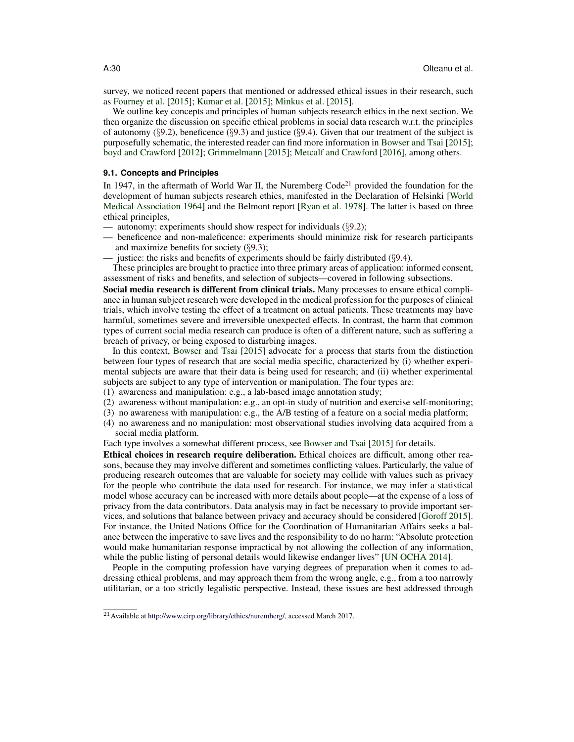survey, we noticed recent papers that mentioned or addressed ethical issues in their research, such as [Fourney et al.](#page-37-17) [\[2015\]](#page-37-17); [Kumar et al.](#page-39-28) [\[2015\]](#page-39-28); [Minkus et al.](#page-41-26) [\[2015\]](#page-41-26).

We outline key concepts and principles of human subjects research ethics in the next section. We then organize the discussion on specific ethical problems in social data research w.r.t. the principles of autonomy (§[9.2\)](#page-30-0), beneficence (§[9.3\)](#page-30-1) and justice (§[9.4\)](#page-31-0). Given that our treatment of the subject is purposefully schematic, the interested reader can find more information in [Bowser and Tsai](#page-35-26) [\[2015\]](#page-35-26); [boyd and Crawford](#page-35-0) [\[2012\]](#page-35-0); [Grimmelmann](#page-38-25) [\[2015\]](#page-38-25); [Metcalf and Crawford](#page-41-23) [\[2016\]](#page-41-23), among others.

## **9.1. Concepts and Principles**

In 1947, in the aftermath of World War II, the Nuremberg  $Code<sup>21</sup>$  $Code<sup>21</sup>$  $Code<sup>21</sup>$  provided the foundation for the development of human subjects research ethics, manifested in the Declaration of Helsinki [\[World](#page-45-21) [Medical Association](#page-45-21) [1964\]](#page-45-21) and the Belmont report [\[Ryan et al.](#page-43-27) [1978\]](#page-43-27). The latter is based on three ethical principles,

- autonomy: experiments should show respect for individuals (§[9.2\)](#page-30-0);
- beneficence and non-maleficence: experiments should minimize risk for research participants and maximize benefits for society (§[9.3\)](#page-30-1);
- justice: the risks and benefits of experiments should be fairly distributed (§[9.4\)](#page-31-0).

These principles are brought to practice into three primary areas of application: informed consent, assessment of risks and benefits, and selection of subjects—covered in following subsections.

Social media research is different from clinical trials. Many processes to ensure ethical compliance in human subject research were developed in the medical profession for the purposes of clinical trials, which involve testing the effect of a treatment on actual patients. These treatments may have harmful, sometimes severe and irreversible unexpected effects. In contrast, the harm that common types of current social media research can produce is often of a different nature, such as suffering a breach of privacy, or being exposed to disturbing images.

In this context, [Bowser and Tsai](#page-35-26) [\[2015\]](#page-35-26) advocate for a process that starts from the distinction between four types of research that are social media specific, characterized by (i) whether experimental subjects are aware that their data is being used for research; and (ii) whether experimental subjects are subject to any type of intervention or manipulation. The four types are:

(1) awareness and manipulation: e.g., a lab-based image annotation study;

- (2) awareness without manipulation: e.g., an opt-in study of nutrition and exercise self-monitoring;
- (3) no awareness with manipulation: e.g., the A/B testing of a feature on a social media platform;
- (4) no awareness and no manipulation: most observational studies involving data acquired from a social media platform.

Each type involves a somewhat different process, see [Bowser and Tsai](#page-35-26) [\[2015\]](#page-35-26) for details.

Ethical choices in research require deliberation. Ethical choices are difficult, among other reasons, because they may involve different and sometimes conflicting values. Particularly, the value of producing research outcomes that are valuable for society may collide with values such as privacy for the people who contribute the data used for research. For instance, we may infer a statistical model whose accuracy can be increased with more details about people—at the expense of a loss of privacy from the data contributors. Data analysis may in fact be necessary to provide important services, and solutions that balance between privacy and accuracy should be considered [\[Goroff](#page-38-24) [2015\]](#page-38-24). For instance, the United Nations Office for the Coordination of Humanitarian Affairs seeks a balance between the imperative to save lives and the responsibility to do no harm: "Absolute protection would make humanitarian response impractical by not allowing the collection of any information, while the public listing of personal details would likewise endanger lives" [\[UN OCHA](#page-45-22) [2014\]](#page-45-22).

People in the computing profession have varying degrees of preparation when it comes to addressing ethical problems, and may approach them from the wrong angle, e.g., from a too narrowly utilitarian, or a too strictly legalistic perspective. Instead, these issues are best addressed through

<span id="page-29-0"></span><sup>21</sup>Available at [http://www.cirp.org/library/ethics/nuremberg/,](http://www.cirp.org/library/ethics/nuremberg/) accessed March 2017.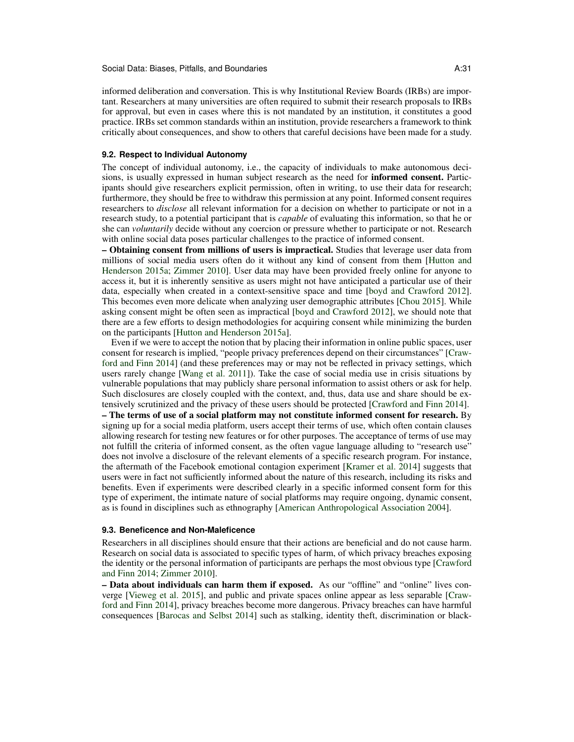informed deliberation and conversation. This is why Institutional Review Boards (IRBs) are important. Researchers at many universities are often required to submit their research proposals to IRBs for approval, but even in cases where this is not mandated by an institution, it constitutes a good practice. IRBs set common standards within an institution, provide researchers a framework to think critically about consequences, and show to others that careful decisions have been made for a study.

## <span id="page-30-0"></span>**9.2. Respect to Individual Autonomy**

The concept of individual autonomy, i.e., the capacity of individuals to make autonomous decisions, is usually expressed in human subject research as the need for informed consent. Participants should give researchers explicit permission, often in writing, to use their data for research; furthermore, they should be free to withdraw this permission at any point. Informed consent requires researchers to *disclose* all relevant information for a decision on whether to participate or not in a research study, to a potential participant that is *capable* of evaluating this information, so that he or she can *voluntarily* decide without any coercion or pressure whether to participate or not. Research with online social data poses particular challenges to the practice of informed consent.

– Obtaining consent from millions of users is impractical. Studies that leverage user data from millions of social media users often do it without any kind of consent from them [\[Hutton and](#page-38-22) [Henderson](#page-38-22) [2015a;](#page-38-22) [Zimmer](#page-46-7) [2010\]](#page-46-7). User data may have been provided freely online for anyone to access it, but it is inherently sensitive as users might not have anticipated a particular use of their data, especially when created in a context-sensitive space and time [\[boyd and Crawford](#page-35-0) [2012\]](#page-35-0). This becomes even more delicate when analyzing user demographic attributes [\[Chou](#page-35-1) [2015\]](#page-35-1). While asking consent might be often seen as impractical [\[boyd and Crawford](#page-35-0) [2012\]](#page-35-0), we should note that there are a few efforts to design methodologies for acquiring consent while minimizing the burden on the participants [\[Hutton and Henderson](#page-38-22) [2015a\]](#page-38-22).

Even if we were to accept the notion that by placing their information in online public spaces, user consent for research is implied, "people privacy preferences depend on their circumstances" [\[Craw](#page-36-2)[ford and Finn](#page-36-2) [2014\]](#page-36-2) (and these preferences may or may not be reflected in privacy settings, which users rarely change [\[Wang et al.](#page-45-5) [2011\]](#page-45-5)). Take the case of social media use in crisis situations by vulnerable populations that may publicly share personal information to assist others or ask for help. Such disclosures are closely coupled with the context, and, thus, data use and share should be extensively scrutinized and the privacy of these users should be protected [\[Crawford and Finn](#page-36-2) [2014\]](#page-36-2).

– The terms of use of a social platform may not constitute informed consent for research. By signing up for a social media platform, users accept their terms of use, which often contain clauses allowing research for testing new features or for other purposes. The acceptance of terms of use may not fulfill the criteria of informed consent, as the often vague language alluding to "research use" does not involve a disclosure of the relevant elements of a specific research program. For instance, the aftermath of the Facebook emotional contagion experiment [\[Kramer et al.](#page-39-26) [2014\]](#page-39-26) suggests that users were in fact not sufficiently informed about the nature of this research, including its risks and benefits. Even if experiments were described clearly in a specific informed consent form for this type of experiment, the intimate nature of social platforms may require ongoing, dynamic consent, as is found in disciplines such as ethnography [\[American Anthropological Association](#page-34-26) [2004\]](#page-34-26).

#### <span id="page-30-1"></span>**9.3. Beneficence and Non-Maleficence**

Researchers in all disciplines should ensure that their actions are beneficial and do not cause harm. Research on social data is associated to specific types of harm, of which privacy breaches exposing the identity or the personal information of participants are perhaps the most obvious type [\[Crawford](#page-36-2) [and Finn](#page-36-2) [2014;](#page-36-2) [Zimmer](#page-46-7) [2010\]](#page-46-7).

– Data about individuals can harm them if exposed. As our "offline" and "online" lives converge [\[Vieweg et al.](#page-45-23) [2015\]](#page-45-23), and public and private spaces online appear as less separable [\[Craw](#page-36-2)[ford and Finn](#page-36-2) [2014\]](#page-36-2), privacy breaches become more dangerous. Privacy breaches can have harmful consequences [\[Barocas and Selbst](#page-34-4) [2014\]](#page-34-4) such as stalking, identity theft, discrimination or black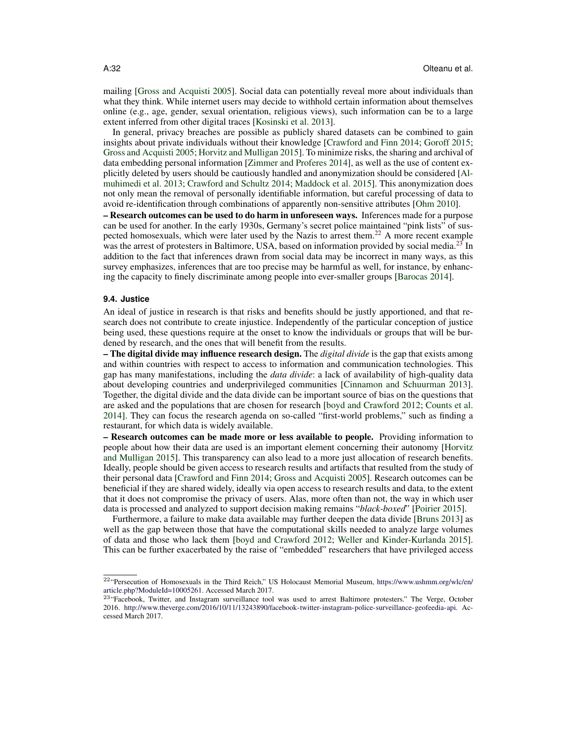mailing [\[Gross and Acquisti](#page-38-26) [2005\]](#page-38-26). Social data can potentially reveal more about individuals than what they think. While internet users may decide to withhold certain information about themselves online (e.g., age, gender, sexual orientation, religious views), such information can be to a large extent inferred from other digital traces [\[Kosinski et al.](#page-39-12) [2013\]](#page-39-12).

In general, privacy breaches are possible as publicly shared datasets can be combined to gain insights about private individuals without their knowledge [\[Crawford and Finn](#page-36-2) [2014;](#page-36-2) [Goroff](#page-38-24) [2015;](#page-38-24) [Gross and Acquisti](#page-38-26) [2005;](#page-38-26) [Horvitz and Mulligan](#page-38-27) [2015\]](#page-38-27). To minimize risks, the sharing and archival of data embedding personal information [\[Zimmer and Proferes](#page-46-6) [2014\]](#page-46-6), as well as the use of content explicitly deleted by users should be cautiously handled and anonymization should be considered [\[Al](#page-34-17)[muhimedi et al.](#page-34-17) [2013;](#page-34-17) [Crawford and Schultz](#page-36-26) [2014;](#page-36-26) [Maddock et al.](#page-40-11) [2015\]](#page-40-11). This anonymization does not only mean the removal of personally identifiable information, but careful processing of data to avoid re-identification through combinations of apparently non-sensitive attributes [\[Ohm](#page-41-27) [2010\]](#page-41-27).

– Research outcomes can be used to do harm in unforeseen ways. Inferences made for a purpose can be used for another. In the early 1930s, Germany's secret police maintained "pink lists" of sus-pected homosexuals, which were later used by the Nazis to arrest them.<sup>[22](#page-31-1)</sup> A more recent example was the arrest of protesters in Baltimore, USA, based on information provided by social media.<sup>[23](#page-31-2)</sup> In addition to the fact that inferences drawn from social data may be incorrect in many ways, as this survey emphasizes, inferences that are too precise may be harmful as well, for instance, by enhancing the capacity to finely discriminate among people into ever-smaller groups [\[Barocas](#page-34-11) [2014\]](#page-34-11).

## <span id="page-31-0"></span>**9.4. Justice**

An ideal of justice in research is that risks and benefits should be justly apportioned, and that research does not contribute to create injustice. Independently of the particular conception of justice being used, these questions require at the onset to know the individuals or groups that will be burdened by research, and the ones that will benefit from the results.

– The digital divide may influence research design. The *digital divide* is the gap that exists among and within countries with respect to access to information and communication technologies. This gap has many manifestations, including the *data divide*: a lack of availability of high-quality data about developing countries and underprivileged communities [\[Cinnamon and Schuurman](#page-36-27) [2013\]](#page-36-27). Together, the digital divide and the data divide can be important source of bias on the questions that are asked and the populations that are chosen for research [\[boyd and Crawford](#page-35-0) [2012;](#page-35-0) [Counts et al.](#page-36-24) [2014\]](#page-36-24). They can focus the research agenda on so-called "first-world problems," such as finding a restaurant, for which data is widely available.

– Research outcomes can be made more or less available to people. Providing information to people about how their data are used is an important element concerning their autonomy [\[Horvitz](#page-38-27) [and Mulligan](#page-38-27) [2015\]](#page-38-27). This transparency can also lead to a more just allocation of research benefits. Ideally, people should be given access to research results and artifacts that resulted from the study of their personal data [\[Crawford and Finn](#page-36-2) [2014;](#page-36-2) [Gross and Acquisti](#page-38-26) [2005\]](#page-38-26). Research outcomes can be beneficial if they are shared widely, ideally via open access to research results and data, to the extent that it does not compromise the privacy of users. Alas, more often than not, the way in which user data is processed and analyzed to support decision making remains "*black-boxed*" [\[Poirier](#page-42-23) [2015\]](#page-42-23).

Furthermore, a failure to make data available may further deepen the data divide [\[Bruns](#page-35-5) [2013\]](#page-35-5) as well as the gap between those that have the computational skills needed to analyze large volumes of data and those who lack them [\[boyd and Crawford](#page-35-0) [2012;](#page-35-0) [Weller and Kinder-Kurlanda](#page-45-20) [2015\]](#page-45-20). This can be further exacerbated by the raise of "embedded" researchers that have privileged access

<span id="page-31-1"></span><sup>22</sup>"Persecution of Homosexuals in the Third Reich," US Holocaust Memorial Museum, [https://www.ushmm.org/wlc/en/](https://www.ushmm.org/wlc/en/article.php?ModuleId=10005261) [article.php?ModuleId=10005261.](https://www.ushmm.org/wlc/en/article.php?ModuleId=10005261) Accessed March 2017.

<span id="page-31-2"></span><sup>&</sup>lt;sup>23</sup>"Facebook, Twitter, and Instagram surveillance tool was used to arrest Baltimore protesters." The Verge, October 2016. [http://www.theverge.com/2016/10/11/13243890/facebook-twitter-instagram-police-surveillance-geofeedia-api.](http://www.theverge.com/2016/10/11/13243890/facebook-twitter-instagram-police-surveillance-geofeedia-api) Accessed March 2017.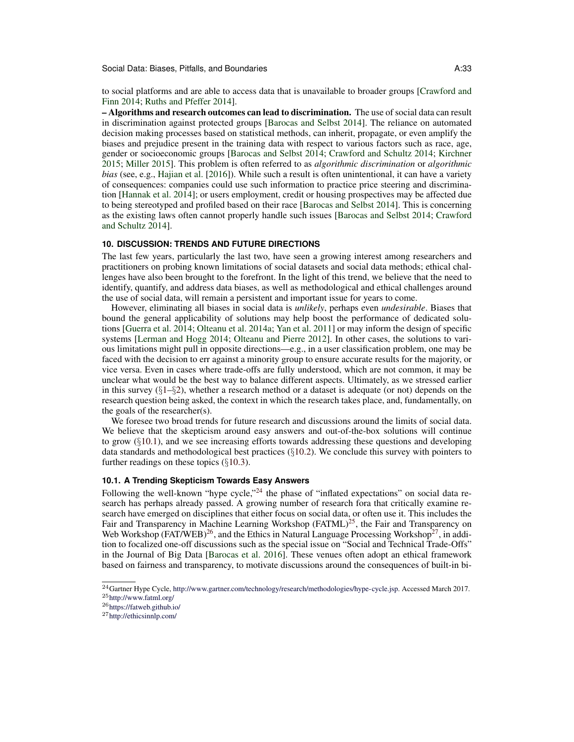Social Data: Biases, Pitfalls, and Boundaries A:33 A:33

to social platforms and are able to access data that is unavailable to broader groups [\[Crawford and](#page-36-2) [Finn](#page-36-2) [2014;](#page-36-2) [Ruths and Pfeffer](#page-43-1) [2014\]](#page-43-1).

– Algorithms and research outcomes can lead to discrimination. The use of social data can result in discrimination against protected groups [\[Barocas and Selbst](#page-34-4) [2014\]](#page-34-4). The reliance on automated decision making processes based on statistical methods, can inherit, propagate, or even amplify the biases and prejudice present in the training data with respect to various factors such as race, age, gender or socioeconomic groups [\[Barocas and Selbst](#page-34-4) [2014;](#page-34-4) [Crawford and Schultz](#page-36-26) [2014;](#page-36-26) [Kirchner](#page-39-27) [2015;](#page-39-27) [Miller](#page-41-25) [2015\]](#page-41-25). This problem is often referred to as *algorithmic discrimination* or *algorithmic bias* (see, e.g., [Hajian et al.](#page-38-28) [\[2016\]](#page-38-28)). While such a result is often unintentional, it can have a variety of consequences: companies could use such information to practice price steering and discrimination [\[Hannak et al.](#page-38-2) [2014\]](#page-38-2); or users employment, credit or housing prospectives may be affected due to being stereotyped and profiled based on their race [\[Barocas and Selbst](#page-34-4) [2014\]](#page-34-4). This is concerning as the existing laws often cannot properly handle such issues [\[Barocas and Selbst](#page-34-4) [2014;](#page-34-4) [Crawford](#page-36-26) [and Schultz](#page-36-26) [2014\]](#page-36-26).

## <span id="page-32-0"></span>**10. DISCUSSION: TRENDS AND FUTURE DIRECTIONS**

The last few years, particularly the last two, have seen a growing interest among researchers and practitioners on probing known limitations of social datasets and social data methods; ethical challenges have also been brought to the forefront. In the light of this trend, we believe that the need to identify, quantify, and address data biases, as well as methodological and ethical challenges around the use of social data, will remain a persistent and important issue for years to come.

However, eliminating all biases in social data is *unlikely*, perhaps even *undesirable*. Biases that bound the general applicability of solutions may help boost the performance of dedicated solutions [\[Guerra et al.](#page-38-9) [2014;](#page-38-9) [Olteanu et al.](#page-42-2) [2014a;](#page-42-2) [Yan et al.](#page-45-24) [2011\]](#page-45-24) or may inform the design of specific systems [\[Lerman and Hogg](#page-40-27) [2014;](#page-40-27) [Olteanu and Pierre](#page-42-26) [2012\]](#page-42-26). In other cases, the solutions to various limitations might pull in opposite directions—e.g., in a user classification problem, one may be faced with the decision to err against a minority group to ensure accurate results for the majority, or vice versa. Even in cases where trade-offs are fully understood, which are not common, it may be unclear what would be the best way to balance different aspects. Ultimately, as we stressed earlier in this survey  $(\S1-\S2)$  $(\S1-\S2)$ , whether a research method or a dataset is adequate (or not) depends on the research question being asked, the context in which the research takes place, and, fundamentally, on the goals of the researcher(s).

We foresee two broad trends for future research and discussions around the limits of social data. We believe that the skepticism around easy answers and out-of-the-box solutions will continue to grow  $(\S10.1)$  $(\S10.1)$ , and we see increasing efforts towards addressing these questions and developing data standards and methodological best practices (§[10.2\)](#page-33-0). We conclude this survey with pointers to further readings on these topics  $(\S10.3)$  $(\S10.3)$ .

# <span id="page-32-1"></span>**10.1. A Trending Skepticism Towards Easy Answers**

Following the well-known "hype cycle,"<sup>[24](#page-32-2)</sup> the phase of "inflated expectations" on social data research has perhaps already passed. A growing number of research fora that critically examine research have emerged on disciplines that either focus on social data, or often use it. This includes the Fair and Transparency in Machine Learning Workshop (FATML)<sup>[25](#page-32-3)</sup>, the Fair and Transparency on Web Workshop (FAT/WEB)<sup>[26](#page-32-4)</sup>, and the Ethics in Natural Language Processing Workshop<sup>[27](#page-32-5)</sup>, in addition to focalized one-off discussions such as the special issue on "Social and Technical Trade-Offs" in the Journal of Big Data [\[Barocas et al.](#page-34-27) [2016\]](#page-34-27). These venues often adopt an ethical framework based on fairness and transparency, to motivate discussions around the consequences of built-in bi-

<span id="page-32-2"></span><sup>24</sup>Gartner Hype Cycle, [http://www.gartner.com/technology/research/methodologies/hype-cycle.jsp.](http://www.gartner.com/technology/research/methodologies/hype-cycle.jsp) Accessed March 2017. <sup>25</sup><http://www.fatml.org/>

<span id="page-32-4"></span><span id="page-32-3"></span><sup>26</sup><https://fatweb.github.io/>

<span id="page-32-5"></span><sup>27</sup><http://ethicsinnlp.com/>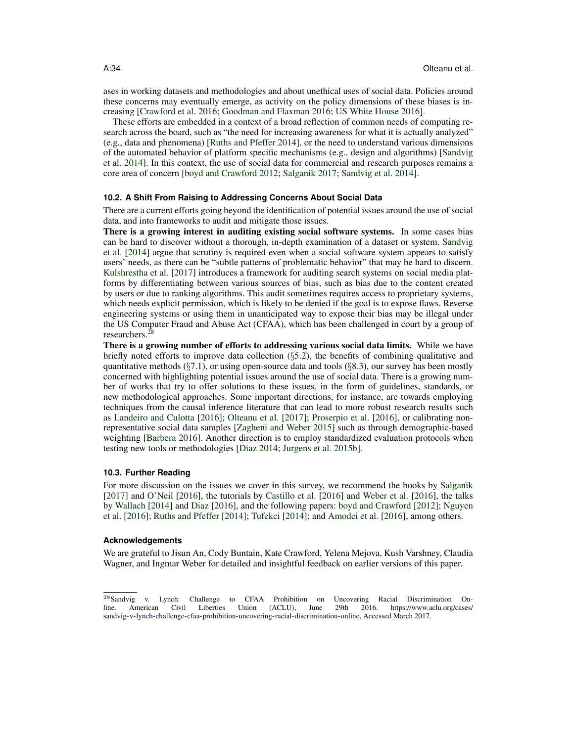ases in working datasets and methodologies and about unethical uses of social data. Policies around these concerns may eventually emerge, as activity on the policy dimensions of these biases is increasing [\[Crawford et al.](#page-36-28) [2016;](#page-36-28) [Goodman and Flaxman](#page-38-29) [2016;](#page-38-29) [US White House](#page-45-25) [2016\]](#page-45-25).

These efforts are embedded in a context of a broad reflection of common needs of computing research across the board, such as "the need for increasing awareness for what it is actually analyzed" (e.g., data and phenomena) [\[Ruths and Pfeffer](#page-43-1) [2014\]](#page-43-1), or the need to understand various dimensions of the automated behavior of platform specific mechanisms (e.g., design and algorithms) [\[Sandvig](#page-43-28) [et al.](#page-43-28) [2014\]](#page-43-28). In this context, the use of social data for commercial and research purposes remains a core area of concern [\[boyd and Crawford](#page-35-0) [2012;](#page-35-0) [Salganik](#page-43-5) [2017;](#page-43-5) [Sandvig et al.](#page-43-28) [2014\]](#page-43-28).

#### <span id="page-33-0"></span>**10.2. A Shift From Raising to Addressing Concerns About Social Data**

There are a current efforts going beyond the identification of potential issues around the use of social data, and into frameworks to audit and mitigate those issues.

There is a growing interest in auditing existing social software systems. In some cases bias can be hard to discover without a thorough, in-depth examination of a dataset or system. [Sandvig](#page-43-28) [et al.](#page-43-28) [\[2014\]](#page-43-28) argue that scrutiny is required even when a social software system appears to satisfy users' needs, as there can be "subtle patterns of problematic behavior" that may be hard to discern. [Kulshrestha et al.](#page-39-29) [\[2017\]](#page-39-29) introduces a framework for auditing search systems on social media platforms by differentiating between various sources of bias, such as bias due to the content created by users or due to ranking algorithms. This audit sometimes requires access to proprietary systems, which needs explicit permission, which is likely to be denied if the goal is to expose flaws. Reverse engineering systems or using them in unanticipated way to expose their bias may be illegal under the US Computer Fraud and Abuse Act (CFAA), which has been challenged in court by a group of researchers.<sup>[28](#page-33-2)</sup>

There is a growing number of efforts to addressing various social data limits. While we have briefly noted efforts to improve data collection  $(\S$ [5.2\)](#page-17-0), the benefits of combining qualitative and quantitative methods  $(\S7.1)$  $(\S7.1)$ , or using open-source data and tools  $(\S8.3)$  $(\S8.3)$ , our survey has been mostly concerned with highlighting potential issues around the use of social data. There is a growing number of works that try to offer solutions to these issues, in the form of guidelines, standards, or new methodological approaches. Some important directions, for instance, are towards employing techniques from the causal inference literature that can lead to more robust research results such as [Landeiro and Culotta](#page-39-20) [\[2016\]](#page-39-20); [Olteanu et al.](#page-42-7) [\[2017\]](#page-42-7); [Proserpio et al.](#page-43-24) [\[2016\]](#page-43-24), or calibrating nonrepresentative social data samples [\[Zagheni and Weber](#page-46-8) [2015\]](#page-46-8) such as through demographic-based weighting [\[Barbera](#page-34-28) [2016\]](#page-34-28). Another direction is to employ standardized evaluation protocols when testing new tools or methodologies [\[Diaz](#page-36-25) [2014;](#page-36-25) [Jurgens et al.](#page-39-23) [2015b\]](#page-39-23).

#### <span id="page-33-1"></span>**10.3. Further Reading**

For more discussion on the issues we cover in this survey, we recommend the books by [Salganik](#page-43-5) [\[2017\]](#page-43-5) and [O'Neil](#page-42-0) [\[2016\]](#page-42-0), the tutorials by [Castillo et al.](#page-35-27) [\[2016\]](#page-35-27) and [Weber et al.](#page-45-26) [\[2016\]](#page-45-26), the talks by [Wallach](#page-45-27) [\[2014\]](#page-45-27) and [Diaz](#page-36-22) [\[2016\]](#page-36-22), and the following papers: [boyd and Crawford](#page-35-0) [\[2012\]](#page-35-0); [Nguyen](#page-41-8) [et al.](#page-41-8) [\[2016\]](#page-41-8); [Ruths and Pfeffer](#page-43-1) [\[2014\]](#page-43-1); [Tufekci](#page-44-1) [\[2014\]](#page-44-1); and [Amodei et al.](#page-34-24) [\[2016\]](#page-34-24), among others.

#### **Acknowledgements**

We are grateful to Jisun An, Cody Buntain, Kate Crawford, Yelena Mejova, Kush Varshney, Claudia Wagner, and Ingmar Weber for detailed and insightful feedback on earlier versions of this paper.

<span id="page-33-2"></span><sup>&</sup>lt;sup>28</sup>Sandvig v. Lynch: Challenge to CFAA Prohibition on Uncovering Racial Discrimination On-<br>line. American Civil Liberties Union (ACLU), June 29th 2016. https://www.aclu.org/cases/ [https://www.aclu.org/cases/](https://www.aclu.org/cases/sandvig-v-lynch-challenge-cfaa-prohibition-uncovering-racial-discrimination-online) [sandvig-v-lynch-challenge-cfaa-prohibition-uncovering-racial-discrimination-online,](https://www.aclu.org/cases/sandvig-v-lynch-challenge-cfaa-prohibition-uncovering-racial-discrimination-online) Accessed March 2017.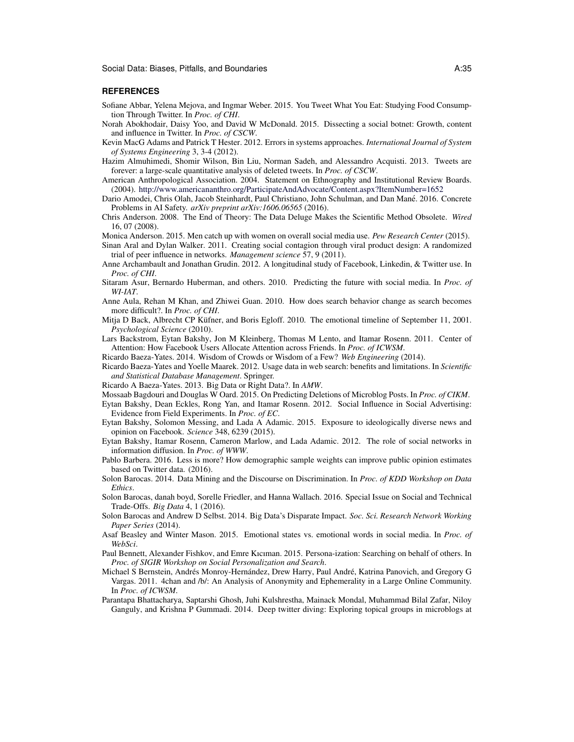#### **REFERENCES**

- <span id="page-34-0"></span>Sofiane Abbar, Yelena Mejova, and Ingmar Weber. 2015. You Tweet What You Eat: Studying Food Consumption Through Twitter. In *Proc. of CHI*.
- <span id="page-34-20"></span>Norah Abokhodair, Daisy Yoo, and David W McDonald. 2015. Dissecting a social botnet: Growth, content and influence in Twitter. In *Proc. of CSCW*.
- <span id="page-34-21"></span>Kevin MacG Adams and Patrick T Hester. 2012. Errors in systems approaches. *International Journal of System of Systems Engineering* 3, 3-4 (2012).
- <span id="page-34-17"></span>Hazim Almuhimedi, Shomir Wilson, Bin Liu, Norman Sadeh, and Alessandro Acquisti. 2013. Tweets are forever: a large-scale quantitative analysis of deleted tweets. In *Proc. of CSCW*.
- <span id="page-34-26"></span>American Anthropological Association. 2004. Statement on Ethnography and Institutional Review Boards. (2004). <http://www.americananthro.org/ParticipateAndAdvocate/Content.aspx?ItemNumber=1652>
- <span id="page-34-24"></span>Dario Amodei, Chris Olah, Jacob Steinhardt, Paul Christiano, John Schulman, and Dan Mane. 2016. Concrete ´ Problems in AI Safety. *arXiv preprint arXiv:1606.06565* (2016).
- <span id="page-34-3"></span>Chris Anderson. 2008. The End of Theory: The Data Deluge Makes the Scientific Method Obsolete. *Wired* 16, 07 (2008).

<span id="page-34-6"></span>Monica Anderson. 2015. Men catch up with women on overall social media use. *Pew Research Center* (2015).

- <span id="page-34-25"></span>Sinan Aral and Dylan Walker. 2011. Creating social contagion through viral product design: A randomized trial of peer influence in networks. *Management science* 57, 9 (2011).
- <span id="page-34-7"></span>Anne Archambault and Jonathan Grudin. 2012. A longitudinal study of Facebook, Linkedin, & Twitter use. In *Proc. of CHI*.
- <span id="page-34-23"></span>Sitaram Asur, Bernardo Huberman, and others. 2010. Predicting the future with social media. In *Proc. of WI-IAT*.
- <span id="page-34-9"></span>Anne Aula, Rehan M Khan, and Zhiwei Guan. 2010. How does search behavior change as search becomes more difficult?. In *Proc. of CHI*.
- <span id="page-34-22"></span>Mitja D Back, Albrecht CP Küfner, and Boris Egloff. 2010. The emotional timeline of September 11, 2001. *Psychological Science* (2010).
- <span id="page-34-8"></span>Lars Backstrom, Eytan Bakshy, Jon M Kleinberg, Thomas M Lento, and Itamar Rosenn. 2011. Center of Attention: How Facebook Users Allocate Attention across Friends. In *Proc. of ICWSM*.
- <span id="page-34-1"></span>Ricardo Baeza-Yates. 2014. Wisdom of Crowds or Wisdom of a Few? *Web Engineering* (2014).
- <span id="page-34-2"></span>Ricardo Baeza-Yates and Yoelle Maarek. 2012. Usage data in web search: benefits and limitations. In *Scientific and Statistical Database Management*. Springer.

<span id="page-34-5"></span>Ricardo A Baeza-Yates. 2013. Big Data or Right Data?. In *AMW*.

- <span id="page-34-16"></span>Mossaab Bagdouri and Douglas W Oard. 2015. On Predicting Deletions of Microblog Posts. In *Proc. of CIKM*.
- <span id="page-34-13"></span>Eytan Bakshy, Dean Eckles, Rong Yan, and Itamar Rosenn. 2012. Social Influence in Social Advertising: Evidence from Field Experiments. In *Proc. of EC*.
- <span id="page-34-14"></span>Eytan Bakshy, Solomon Messing, and Lada A Adamic. 2015. Exposure to ideologically diverse news and opinion on Facebook. *Science* 348, 6239 (2015).
- <span id="page-34-15"></span>Eytan Bakshy, Itamar Rosenn, Cameron Marlow, and Lada Adamic. 2012. The role of social networks in information diffusion. In *Proc. of WWW*.
- <span id="page-34-28"></span>Pablo Barbera. 2016. Less is more? How demographic sample weights can improve public opinion estimates based on Twitter data. (2016).
- <span id="page-34-11"></span>Solon Barocas. 2014. Data Mining and the Discourse on Discrimination. In *Proc. of KDD Workshop on Data Ethics*.
- <span id="page-34-27"></span>Solon Barocas, danah boyd, Sorelle Friedler, and Hanna Wallach. 2016. Special Issue on Social and Technical Trade-Offs. *Big Data* 4, 1 (2016).
- <span id="page-34-4"></span>Solon Barocas and Andrew D Selbst. 2014. Big Data's Disparate Impact. *Soc. Sci. Research Network Working Paper Series* (2014).
- <span id="page-34-19"></span>Asaf Beasley and Winter Mason. 2015. Emotional states vs. emotional words in social media. In *Proc. of WebSci*.
- <span id="page-34-10"></span>Paul Bennett, Alexander Fishkov, and Emre Kıcıman. 2015. Persona-ization: Searching on behalf of others. In *Proc. of SIGIR Workshop on Social Personalization and Search*.
- <span id="page-34-18"></span>Michael S Bernstein, Andrés Monroy-Hernández, Drew Harry, Paul André, Katrina Panovich, and Gregory G Vargas. 2011. 4chan and /b/: An Analysis of Anonymity and Ephemerality in a Large Online Community. In *Proc. of ICWSM*.
- <span id="page-34-12"></span>Parantapa Bhattacharya, Saptarshi Ghosh, Juhi Kulshrestha, Mainack Mondal, Muhammad Bilal Zafar, Niloy Ganguly, and Krishna P Gummadi. 2014. Deep twitter diving: Exploring topical groups in microblogs at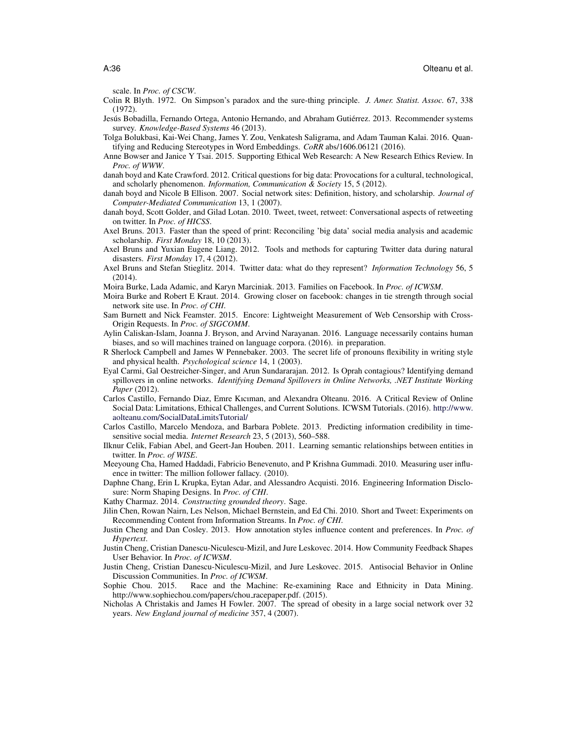scale. In *Proc. of CSCW*.

- <span id="page-35-17"></span>Colin R Blyth. 1972. On Simpson's paradox and the sure-thing principle. *J. Amer. Statist. Assoc.* 67, 338 (1972).
- <span id="page-35-23"></span>Jesús Bobadilla, Fernando Ortega, Antonio Hernando, and Abraham Gutiérrez. 2013. Recommender systems survey. *Knowledge-Based Systems* 46 (2013).
- <span id="page-35-15"></span>Tolga Bolukbasi, Kai-Wei Chang, James Y. Zou, Venkatesh Saligrama, and Adam Tauman Kalai. 2016. Quantifying and Reducing Stereotypes in Word Embeddings. *CoRR* abs/1606.06121 (2016).
- <span id="page-35-26"></span>Anne Bowser and Janice Y Tsai. 2015. Supporting Ethical Web Research: A New Research Ethics Review. In *Proc. of WWW*.
- <span id="page-35-0"></span>danah boyd and Kate Crawford. 2012. Critical questions for big data: Provocations for a cultural, technological, and scholarly phenomenon. *Information, Communication & Society* 15, 5 (2012).
- <span id="page-35-7"></span>danah boyd and Nicole B Ellison. 2007. Social network sites: Definition, history, and scholarship. *Journal of Computer-Mediated Communication* 13, 1 (2007).
- <span id="page-35-10"></span>danah boyd, Scott Golder, and Gilad Lotan. 2010. Tweet, tweet, retweet: Conversational aspects of retweeting on twitter. In *Proc. of HICSS*.
- <span id="page-35-5"></span>Axel Bruns. 2013. Faster than the speed of print: Reconciling 'big data' social media analysis and academic scholarship. *First Monday* 18, 10 (2013).
- <span id="page-35-24"></span>Axel Bruns and Yuxian Eugene Liang. 2012. Tools and methods for capturing Twitter data during natural disasters. *First Monday* 17, 4 (2012).
- <span id="page-35-12"></span>Axel Bruns and Stefan Stieglitz. 2014. Twitter data: what do they represent? *Information Technology* 56, 5 (2014).
- <span id="page-35-3"></span>Moira Burke, Lada Adamic, and Karyn Marciniak. 2013. Families on Facebook. In *Proc. of ICWSM*.
- <span id="page-35-19"></span>Moira Burke and Robert E Kraut. 2014. Growing closer on facebook: changes in tie strength through social network site use. In *Proc. of CHI*.
- <span id="page-35-25"></span>Sam Burnett and Nick Feamster. 2015. Encore: Lightweight Measurement of Web Censorship with Cross-Origin Requests. In *Proc. of SIGCOMM*.
- <span id="page-35-16"></span>Aylin Caliskan-Islam, Joanna J. Bryson, and Arvind Narayanan. 2016. Language necessarily contains human biases, and so will machines trained on language corpora. (2016). in preparation.
- <span id="page-35-13"></span>R Sherlock Campbell and James W Pennebaker. 2003. The secret life of pronouns flexibility in writing style and physical health. *Psychological science* 14, 1 (2003).
- <span id="page-35-20"></span>Eyal Carmi, Gal Oestreicher-Singer, and Arun Sundararajan. 2012. Is Oprah contagious? Identifying demand spillovers in online networks. *Identifying Demand Spillovers in Online Networks, .NET Institute Working Paper* (2012).
- <span id="page-35-27"></span>Carlos Castillo, Fernando Diaz, Emre Kıcıman, and Alexandra Olteanu. 2016. A Critical Review of Online Social Data: Limitations, Ethical Challenges, and Current Solutions. ICWSM Tutorials. (2016). [http://www.](http://www.aolteanu.com/SocialDataLimitsTutorial/) [aolteanu.com/SocialDataLimitsTutorial/](http://www.aolteanu.com/SocialDataLimitsTutorial/)
- <span id="page-35-11"></span>Carlos Castillo, Marcelo Mendoza, and Barbara Poblete. 2013. Predicting information credibility in timesensitive social media. *Internet Research* 23, 5 (2013), 560–588.
- <span id="page-35-2"></span>Ilknur Celik, Fabian Abel, and Geert-Jan Houben. 2011. Learning semantic relationships between entities in twitter. In *Proc. of WISE*.
- <span id="page-35-4"></span>Meeyoung Cha, Hamed Haddadi, Fabricio Benevenuto, and P Krishna Gummadi. 2010. Measuring user influence in twitter: The million follower fallacy. (2010).
- <span id="page-35-6"></span>Daphne Chang, Erin L Krupka, Eytan Adar, and Alessandro Acquisti. 2016. Engineering Information Disclosure: Norm Shaping Designs. In *Proc. of CHI*.
- <span id="page-35-18"></span>Kathy Charmaz. 2014. *Constructing grounded theory*. Sage.
- <span id="page-35-22"></span>Jilin Chen, Rowan Nairn, Les Nelson, Michael Bernstein, and Ed Chi. 2010. Short and Tweet: Experiments on Recommending Content from Information Streams. In *Proc. of CHI*.
- <span id="page-35-14"></span>Justin Cheng and Dan Cosley. 2013. How annotation styles influence content and preferences. In *Proc. of Hypertext*.
- <span id="page-35-8"></span>Justin Cheng, Cristian Danescu-Niculescu-Mizil, and Jure Leskovec. 2014. How Community Feedback Shapes User Behavior. In *Proc. of ICWSM*.
- <span id="page-35-9"></span>Justin Cheng, Cristian Danescu-Niculescu-Mizil, and Jure Leskovec. 2015. Antisocial Behavior in Online Discussion Communities. In *Proc. of ICWSM*.
- <span id="page-35-1"></span>Sophie Chou. 2015. Race and the Machine: Re-examining Race and Ethnicity in Data Mining. http://www.sophiechou.com/papers/chou\_racepaper.pdf. (2015).
- <span id="page-35-21"></span>Nicholas A Christakis and James H Fowler. 2007. The spread of obesity in a large social network over 32 years. *New England journal of medicine* 357, 4 (2007).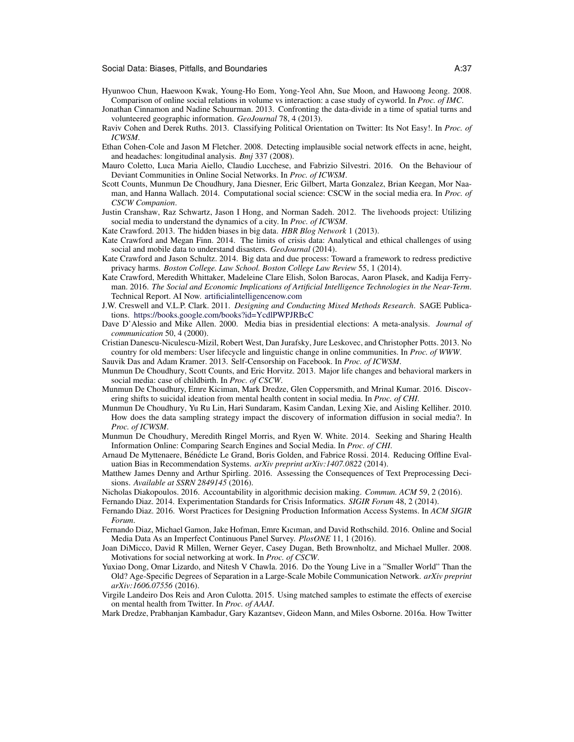#### Social Data: Biases, Pitfalls, and Boundaries A:37 (A:37) A:37

- <span id="page-36-11"></span>Hyunwoo Chun, Haewoon Kwak, Young-Ho Eom, Yong-Yeol Ahn, Sue Moon, and Hawoong Jeong. 2008. Comparison of online social relations in volume vs interaction: a case study of cyworld. In *Proc. of IMC*.
- <span id="page-36-27"></span>Jonathan Cinnamon and Nadine Schuurman. 2013. Confronting the data-divide in a time of spatial turns and volunteered geographic information. *GeoJournal* 78, 4 (2013).
- <span id="page-36-3"></span>Raviv Cohen and Derek Ruths. 2013. Classifying Political Orientation on Twitter: Its Not Easy!. In *Proc. of ICWSM*.
- <span id="page-36-20"></span>Ethan Cohen-Cole and Jason M Fletcher. 2008. Detecting implausible social network effects in acne, height, and headaches: longitudinal analysis. *Bmj* 337 (2008).
- <span id="page-36-9"></span>Mauro Coletto, Luca Maria Aiello, Claudio Lucchese, and Fabrizio Silvestri. 2016. On the Behaviour of Deviant Communities in Online Social Networks. In *Proc. of ICWSM*.
- <span id="page-36-24"></span>Scott Counts, Munmun De Choudhury, Jana Diesner, Eric Gilbert, Marta Gonzalez, Brian Keegan, Mor Naaman, and Hanna Wallach. 2014. Computational social science: CSCW in the social media era. In *Proc. of CSCW Companion*.
- <span id="page-36-15"></span>Justin Cranshaw, Raz Schwartz, Jason I Hong, and Norman Sadeh. 2012. The livehoods project: Utilizing social media to understand the dynamics of a city. In *Proc. of ICWSM*.
- <span id="page-36-6"></span>Kate Crawford. 2013. The hidden biases in big data. *HBR Blog Network* 1 (2013).
- <span id="page-36-2"></span>Kate Crawford and Megan Finn. 2014. The limits of crisis data: Analytical and ethical challenges of using social and mobile data to understand disasters. *GeoJournal* (2014).
- <span id="page-36-26"></span>Kate Crawford and Jason Schultz. 2014. Big data and due process: Toward a framework to redress predictive privacy harms. *Boston College. Law School. Boston College Law Review* 55, 1 (2014).
- <span id="page-36-28"></span>Kate Crawford, Meredith Whittaker, Madeleine Clare Elish, Solon Barocas, Aaron Plasek, and Kadija Ferryman. 2016. *The Social and Economic Implications of Artificial Intelligence Technologies in the Near-Term*. Technical Report. AI Now. <artificialintelligencenow.com>
- <span id="page-36-16"></span>J.W. Creswell and V.L.P. Clark. 2011. *Designing and Conducting Mixed Methods Research*. SAGE Publications. <https://books.google.com/books?id=YcdlPWPJRBcC>
- <span id="page-36-13"></span>Dave D'Alessio and Mike Allen. 2000. Media bias in presidential elections: A meta-analysis. *Journal of communication* 50, 4 (2000).
- <span id="page-36-12"></span>Cristian Danescu-Niculescu-Mizil, Robert West, Dan Jurafsky, Jure Leskovec, and Christopher Potts. 2013. No country for old members: User lifecycle and linguistic change in online communities. In *Proc. of WWW*.
- <span id="page-36-5"></span>Sauvik Das and Adam Kramer. 2013. Self-Censorship on Facebook. In *Proc. of ICWSM*.
- <span id="page-36-14"></span>Munmun De Choudhury, Scott Counts, and Eric Horvitz. 2013. Major life changes and behavioral markers in social media: case of childbirth. In *Proc. of CSCW*.
- <span id="page-36-19"></span>Munmun De Choudhury, Emre Kiciman, Mark Dredze, Glen Coppersmith, and Mrinal Kumar. 2016. Discovering shifts to suicidal ideation from mental health content in social media. In *Proc. of CHI*.
- <span id="page-36-10"></span>Munmun De Choudhury, Yu Ru Lin, Hari Sundaram, Kasim Candan, Lexing Xie, and Aisling Kelliher. 2010. How does the data sampling strategy impact the discovery of information diffusion in social media?. In *Proc. of ICWSM*.
- <span id="page-36-0"></span>Munmun De Choudhury, Meredith Ringel Morris, and Ryen W. White. 2014. Seeking and Sharing Health Information Online: Comparing Search Engines and Social Media. In *Proc. of CHI*.
- <span id="page-36-23"></span>Arnaud De Myttenaere, Bénédicte Le Grand, Boris Golden, and Fabrice Rossi. 2014. Reducing Offline Evaluation Bias in Recommendation Systems. *arXiv preprint arXiv:1407.0822* (2014).
- <span id="page-36-18"></span>Matthew James Denny and Arthur Spirling. 2016. Assessing the Consequences of Text Preprocessing Decisions. *Available at SSRN 2849145* (2016).
- <span id="page-36-4"></span>Nicholas Diakopoulos. 2016. Accountability in algorithmic decision making. *Commun. ACM* 59, 2 (2016).
- <span id="page-36-25"></span>Fernando Diaz. 2014. Experimentation Standards for Crisis Informatics. *SIGIR Forum* 48, 2 (2014).
- <span id="page-36-22"></span>Fernando Diaz. 2016. Worst Practices for Designing Production Information Access Systems. In *ACM SIGIR Forum*.
- <span id="page-36-7"></span>Fernando Diaz, Michael Gamon, Jake Hofman, Emre Kıcıman, and David Rothschild. 2016. Online and Social Media Data As an Imperfect Continuous Panel Survey. *PlosONE* 11, 1 (2016).
- <span id="page-36-1"></span>Joan DiMicco, David R Millen, Werner Geyer, Casey Dugan, Beth Brownholtz, and Michael Muller. 2008. Motivations for social networking at work. In *Proc. of CSCW*.
- <span id="page-36-8"></span>Yuxiao Dong, Omar Lizardo, and Nitesh V Chawla. 2016. Do the Young Live in a "Smaller World" Than the Old? Age-Specific Degrees of Separation in a Large-Scale Mobile Communication Network. *arXiv preprint arXiv:1606.07556* (2016).
- <span id="page-36-17"></span>Virgile Landeiro Dos Reis and Aron Culotta. 2015. Using matched samples to estimate the effects of exercise on mental health from Twitter. In *Proc. of AAAI*.
- <span id="page-36-21"></span>Mark Dredze, Prabhanjan Kambadur, Gary Kazantsev, Gideon Mann, and Miles Osborne. 2016a. How Twitter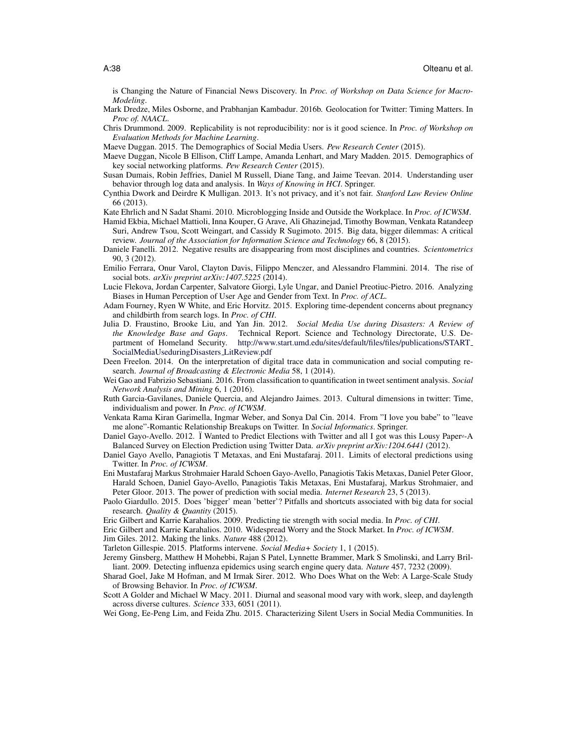is Changing the Nature of Financial News Discovery. In *Proc. of Workshop on Data Science for Macro-Modeling*.

- <span id="page-37-22"></span>Mark Dredze, Miles Osborne, and Prabhanjan Kambadur. 2016b. Geolocation for Twitter: Timing Matters. In *Proc of. NAACL*.
- <span id="page-37-28"></span>Chris Drummond. 2009. Replicability is not reproducibility: nor is it good science. In *Proc. of Workshop on Evaluation Methods for Machine Learning*.

<span id="page-37-11"></span>Maeve Duggan. 2015. The Demographics of Social Media Users. *Pew Research Center* (2015).

- <span id="page-37-12"></span>Maeve Duggan, Nicole B Ellison, Cliff Lampe, Amanda Lenhart, and Mary Madden. 2015. Demographics of key social networking platforms. *Pew Research Center* (2015).
- <span id="page-37-2"></span>Susan Dumais, Robin Jeffries, Daniel M Russell, Diane Tang, and Jaime Teevan. 2014. Understanding user behavior through log data and analysis. In *Ways of Knowing in HCI*. Springer.
- <span id="page-37-6"></span>Cynthia Dwork and Deirdre K Mulligan. 2013. It's not privacy, and it's not fair. *Stanford Law Review Online* 66 (2013).

<span id="page-37-0"></span>Kate Ehrlich and N Sadat Shami. 2010. Microblogging Inside and Outside the Workplace. In *Proc. of ICWSM*.

- <span id="page-37-7"></span>Hamid Ekbia, Michael Mattioli, Inna Kouper, G Arave, Ali Ghazinejad, Timothy Bowman, Venkata Ratandeep Suri, Andrew Tsou, Scott Weingart, and Cassidy R Sugimoto. 2015. Big data, bigger dilemmas: A critical review. *Journal of the Association for Information Science and Technology* 66, 8 (2015).
- <span id="page-37-27"></span>Daniele Fanelli. 2012. Negative results are disappearing from most disciplines and countries. *Scientometrics* 90, 3 (2012).
- <span id="page-37-21"></span>Emilio Ferrara, Onur Varol, Clayton Davis, Filippo Menczer, and Alessandro Flammini. 2014. The rise of social bots. *arXiv preprint arXiv:1407.5225* (2014).
- <span id="page-37-19"></span>Lucie Flekova, Jordan Carpenter, Salvatore Giorgi, Lyle Ungar, and Daniel Preotiuc-Pietro. 2016. Analyzing Biases in Human Perception of User Age and Gender from Text. In *Proc. of ACL*.
- <span id="page-37-17"></span>Adam Fourney, Ryen W White, and Eric Horvitz. 2015. Exploring time-dependent concerns about pregnancy and childbirth from search logs. In *Proc. of CHI*.
- <span id="page-37-24"></span>Julia D. Fraustino, Brooke Liu, and Yan Jin. 2012. *Social Media Use during Disasters: A Review of the Knowledge Base and Gaps*. Technical Report. Science and Technology Directorate, U.S. Department of Homeland Security. [http://www.start.umd.edu/sites/default/files/files/publications/START](http://www.start.umd.edu/sites/default/files/files/publications/START_SocialMediaUseduringDisasters_LitReview.pdf) [SocialMediaUseduringDisasters](http://www.start.umd.edu/sites/default/files/files/publications/START_SocialMediaUseduringDisasters_LitReview.pdf) LitReview.pdf
- <span id="page-37-18"></span>Deen Freelon. 2014. On the interpretation of digital trace data in communication and social computing research. *Journal of Broadcasting & Electronic Media* 58, 1 (2014).
- <span id="page-37-23"></span>Wei Gao and Fabrizio Sebastiani. 2016. From classification to quantification in tweet sentiment analysis. *Social Network Analysis and Mining* 6, 1 (2016).
- <span id="page-37-20"></span>Ruth Garcia-Gavilanes, Daniele Quercia, and Alejandro Jaimes. 2013. Cultural dimensions in twitter: Time, individualism and power. In *Proc. of ICWSM*.
- <span id="page-37-1"></span>Venkata Rama Kiran Garimella, Ingmar Weber, and Sonya Dal Cin. 2014. From "I love you babe" to "leave me alone"-Romantic Relationship Breakups on Twitter. In *Social Informatics*. Springer.
- <span id="page-37-26"></span>Daniel Gayo-Avello. 2012. I Wanted to Predict Elections with Twitter and all I got was this Lousy Paper<sup>1</sup>-A Balanced Survey on Election Prediction using Twitter Data. *arXiv preprint arXiv:1204.6441* (2012).
- <span id="page-37-10"></span>Daniel Gayo Avello, Panagiotis T Metaxas, and Eni Mustafaraj. 2011. Limits of electoral predictions using Twitter. In *Proc. of ICWSM*.
- <span id="page-37-25"></span>Eni Mustafaraj Markus Strohmaier Harald Schoen Gayo-Avello, Panagiotis Takis Metaxas, Daniel Peter Gloor, Harald Schoen, Daniel Gayo-Avello, Panagiotis Takis Metaxas, Eni Mustafaraj, Markus Strohmaier, and Peter Gloor. 2013. The power of prediction with social media. *Internet Research* 23, 5 (2013).
- <span id="page-37-5"></span>Paolo Giardullo. 2015. Does 'bigger' mean 'better'? Pitfalls and shortcuts associated with big data for social research. *Quality & Quantity* (2015).
- <span id="page-37-15"></span>Eric Gilbert and Karrie Karahalios. 2009. Predicting tie strength with social media. In *Proc. of CHI*.
- <span id="page-37-9"></span>Eric Gilbert and Karrie Karahalios. 2010. Widespread Worry and the Stock Market. In *Proc. of ICWSM*.

<span id="page-37-4"></span>Jim Giles. 2012. Making the links. *Nature* 488 (2012).

<span id="page-37-8"></span>Tarleton Gillespie. 2015. Platforms intervene. *Social Media+ Society* 1, 1 (2015).

- <span id="page-37-3"></span>Jeremy Ginsberg, Matthew H Mohebbi, Rajan S Patel, Lynnette Brammer, Mark S Smolinski, and Larry Brilliant. 2009. Detecting influenza epidemics using search engine query data. *Nature* 457, 7232 (2009).
- <span id="page-37-13"></span>Sharad Goel, Jake M Hofman, and M Irmak Sirer. 2012. Who Does What on the Web: A Large-Scale Study of Browsing Behavior. In *Proc. of ICWSM*.
- <span id="page-37-16"></span>Scott A Golder and Michael W Macy. 2011. Diurnal and seasonal mood vary with work, sleep, and daylength across diverse cultures. *Science* 333, 6051 (2011).

<span id="page-37-14"></span>Wei Gong, Ee-Peng Lim, and Feida Zhu. 2015. Characterizing Silent Users in Social Media Communities. In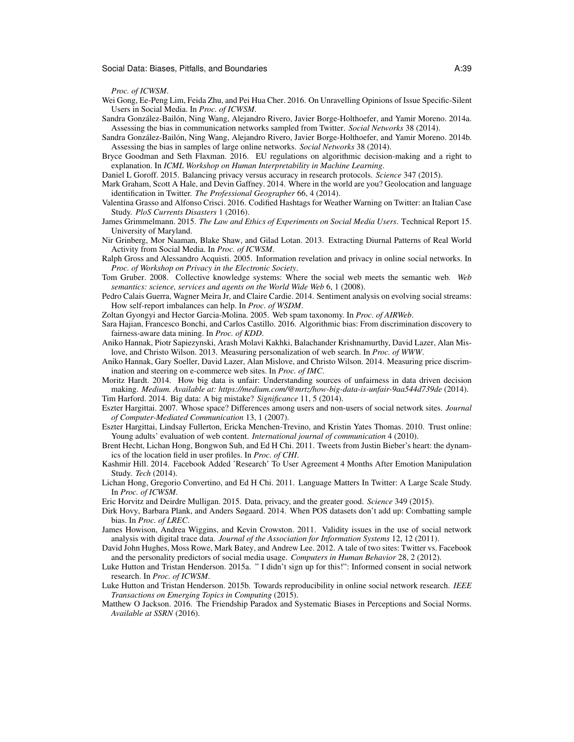*Proc. of ICWSM*.

- <span id="page-38-8"></span>Wei Gong, Ee-Peng Lim, Feida Zhu, and Pei Hua Cher. 2016. On Unravelling Opinions of Issue Specific-Silent Users in Social Media. In *Proc. of ICWSM*.
- <span id="page-38-4"></span>Sandra González-Bailón, Ning Wang, Alejandro Rivero, Javier Borge-Holthoefer, and Yamir Moreno. 2014a. Assessing the bias in communication networks sampled from Twitter. *Social Networks* 38 (2014).
- <span id="page-38-10"></span>Sandra González-Bailón, Ning Wang, Alejandro Rivero, Javier Borge-Holthoefer, and Yamir Moreno. 2014b. Assessing the bias in samples of large online networks. *Social Networks* 38 (2014).
- <span id="page-38-29"></span>Bryce Goodman and Seth Flaxman. 2016. EU regulations on algorithmic decision-making and a right to explanation. In *ICML Workshop on Human Interpretability in Machine Learning*.

<span id="page-38-24"></span>Daniel L Goroff. 2015. Balancing privacy versus accuracy in research protocols. *Science* 347 (2015).

- <span id="page-38-18"></span>Mark Graham, Scott A Hale, and Devin Gaffney. 2014. Where in the world are you? Geolocation and language identification in Twitter. *The Professional Geographer* 66, 4 (2014).
- <span id="page-38-17"></span>Valentina Grasso and Alfonso Crisci. 2016. Codified Hashtags for Weather Warning on Twitter: an Italian Case Study. *PloS Currents Disasters* 1 (2016).
- <span id="page-38-25"></span>James Grimmelmann. 2015. *The Law and Ethics of Experiments on Social Media Users*. Technical Report 15. University of Maryland.
- <span id="page-38-11"></span>Nir Grinberg, Mor Naaman, Blake Shaw, and Gilad Lotan. 2013. Extracting Diurnal Patterns of Real World Activity from Social Media. In *Proc. of ICWSM*.
- <span id="page-38-26"></span>Ralph Gross and Alessandro Acquisti. 2005. Information revelation and privacy in online social networks. In *Proc. of Workshop on Privacy in the Electronic Society*.
- <span id="page-38-0"></span>Tom Gruber. 2008. Collective knowledge systems: Where the social web meets the semantic web. *Web semantics: science, services and agents on the World Wide Web* 6, 1 (2008).
- <span id="page-38-9"></span>Pedro Calais Guerra, Wagner Meira Jr, and Claire Cardie. 2014. Sentiment analysis on evolving social streams: How self-report imbalances can help. In *Proc. of WSDM*.
- <span id="page-38-16"></span>Zoltan Gyongyi and Hector Garcia-Molina. 2005. Web spam taxonomy. In *Proc. of AIRWeb*.
- <span id="page-38-28"></span>Sara Hajian, Francesco Bonchi, and Carlos Castillo. 2016. Algorithmic bias: From discrimination discovery to fairness-aware data mining. In *Proc. of KDD*.

<span id="page-38-13"></span>Aniko Hannak, Piotr Sapiezynski, Arash Molavi Kakhki, Balachander Krishnamurthy, David Lazer, Alan Mislove, and Christo Wilson. 2013. Measuring personalization of web search. In *Proc. of WWW*.

- <span id="page-38-2"></span>Aniko Hannak, Gary Soeller, David Lazer, Alan Mislove, and Christo Wilson. 2014. Measuring price discrimination and steering on e-commerce web sites. In *Proc. of IMC*.
- <span id="page-38-20"></span>Moritz Hardt. 2014. How big data is unfair: Understanding sources of unfairness in data driven decision making. *Medium. Available at: https://medium.com/@mrtz/how-big-data-is-unfair-9aa544d739de* (2014).
- <span id="page-38-1"></span>Tim Harford. 2014. Big data: A big mistake? *Significance* 11, 5 (2014).
- <span id="page-38-5"></span>Eszter Hargittai. 2007. Whose space? Differences among users and non-users of social network sites. *Journal of Computer-Mediated Communication* 13, 1 (2007).
- <span id="page-38-12"></span>Eszter Hargittai, Lindsay Fullerton, Ericka Menchen-Trevino, and Kristin Yates Thomas. 2010. Trust online: Young adults' evaluation of web content. *International journal of communication* 4 (2010).
- <span id="page-38-19"></span>Brent Hecht, Lichan Hong, Bongwon Suh, and Ed H Chi. 2011. Tweets from Justin Bieber's heart: the dynamics of the location field in user profiles. In *Proc. of CHI*.
- <span id="page-38-23"></span>Kashmir Hill. 2014. Facebook Added 'Research' To User Agreement 4 Months After Emotion Manipulation Study. *Tech* (2014).
- <span id="page-38-6"></span>Lichan Hong, Gregorio Convertino, and Ed H Chi. 2011. Language Matters In Twitter: A Large Scale Study. In *Proc. of ICWSM*.
- <span id="page-38-27"></span>Eric Horvitz and Deirdre Mulligan. 2015. Data, privacy, and the greater good. *Science* 349 (2015).
- <span id="page-38-15"></span>Dirk Hovy, Barbara Plank, and Anders Søgaard. 2014. When POS datasets don't add up: Combatting sample bias. In *Proc. of LREC*.
- <span id="page-38-3"></span>James Howison, Andrea Wiggins, and Kevin Crowston. 2011. Validity issues in the use of social network analysis with digital trace data. *Journal of the Association for Information Systems* 12, 12 (2011).
- <span id="page-38-7"></span>David John Hughes, Moss Rowe, Mark Batey, and Andrew Lee. 2012. A tale of two sites: Twitter vs. Facebook and the personality predictors of social media usage. *Computers in Human Behavior* 28, 2 (2012).
- <span id="page-38-22"></span>Luke Hutton and Tristan Henderson. 2015a. " I didn't sign up for this!": Informed consent in social network research. In *Proc. of ICWSM*.
- <span id="page-38-21"></span>Luke Hutton and Tristan Henderson. 2015b. Towards reproducibility in online social network research. *IEEE Transactions on Emerging Topics in Computing* (2015).
- <span id="page-38-14"></span>Matthew O Jackson. 2016. The Friendship Paradox and Systematic Biases in Perceptions and Social Norms. *Available at SSRN* (2016).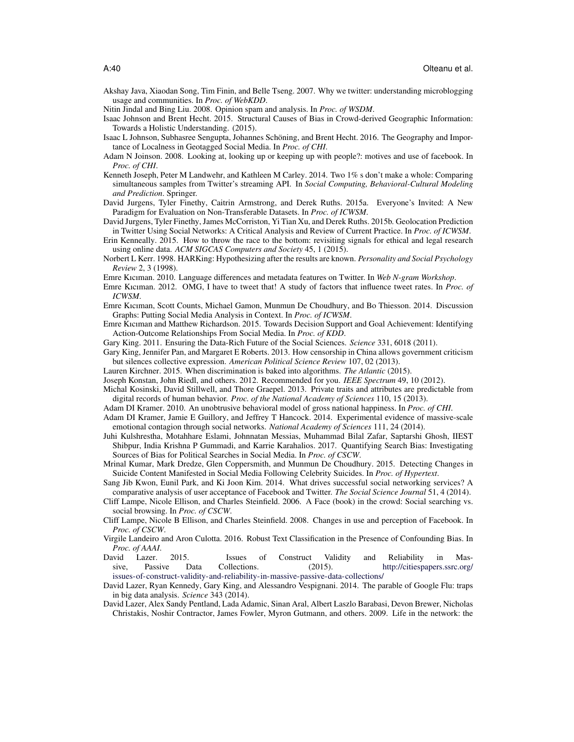- <span id="page-39-22"></span>Akshay Java, Xiaodan Song, Tim Finin, and Belle Tseng. 2007. Why we twitter: understanding microblogging usage and communities. In *Proc. of WebKDD*.
- <span id="page-39-16"></span>Nitin Jindal and Bing Liu. 2008. Opinion spam and analysis. In *Proc. of WSDM*.
- <span id="page-39-15"></span>Isaac Johnson and Brent Hecht. 2015. Structural Causes of Bias in Crowd-derived Geographic Information: Towards a Holistic Understanding. (2015).
- <span id="page-39-19"></span>Isaac L Johnson, Subhasree Sengupta, Johannes Schoning, and Brent Hecht. 2016. The Geography and Impor- ¨ tance of Localness in Geotagged Social Media. In *Proc. of CHI*.
- <span id="page-39-2"></span>Adam N Joinson. 2008. Looking at, looking up or keeping up with people?: motives and use of facebook. In *Proc. of CHI*.
- <span id="page-39-18"></span>Kenneth Joseph, Peter M Landwehr, and Kathleen M Carley. 2014. Two 1% s don't make a whole: Comparing simultaneous samples from Twitter's streaming API. In *Social Computing, Behavioral-Cultural Modeling and Prediction*. Springer.
- <span id="page-39-25"></span>David Jurgens, Tyler Finethy, Caitrin Armstrong, and Derek Ruths. 2015a. Everyone's Invited: A New Paradigm for Evaluation on Non-Transferable Datasets. In *Proc. of ICWSM*.
- <span id="page-39-23"></span>David Jurgens, Tyler Finethy, James McCorriston, Yi Tian Xu, and Derek Ruths. 2015b. Geolocation Prediction in Twitter Using Social Networks: A Critical Analysis and Review of Current Practice. In *Proc. of ICWSM*.
- <span id="page-39-8"></span>Erin Kenneally. 2015. How to throw the race to the bottom: revisiting signals for ethical and legal research using online data. *ACM SIGCAS Computers and Society* 45, 1 (2015).
- <span id="page-39-21"></span>Norbert L Kerr. 1998. HARKing: Hypothesizing after the results are known. *Personality and Social Psychology Review* 2, 3 (1998).
- <span id="page-39-13"></span>Emre Kıcıman. 2010. Language differences and metadata features on Twitter. In *Web N-gram Workshop*.
- <span id="page-39-1"></span>Emre Kıcıman. 2012. OMG, I have to tweet that! A study of factors that influence tweet rates. In *Proc. of ICWSM*.
- <span id="page-39-7"></span>Emre Kıcıman, Scott Counts, Michael Gamon, Munmun De Choudhury, and Bo Thiesson. 2014. Discussion Graphs: Putting Social Media Analysis in Context. In *Proc. of ICWSM*.
- <span id="page-39-24"></span>Emre Kıcıman and Matthew Richardson. 2015. Towards Decision Support and Goal Achievement: Identifying Action-Outcome Relationships From Social Media. In *Proc. of KDD*.

<span id="page-39-5"></span>Gary King. 2011. Ensuring the Data-Rich Future of the Social Sciences. *Science* 331, 6018 (2011).

- <span id="page-39-17"></span>Gary King, Jennifer Pan, and Margaret E Roberts. 2013. How censorship in China allows government criticism but silences collective expression. *American Political Science Review* 107, 02 (2013).
- <span id="page-39-27"></span>Lauren Kirchner. 2015. When discrimination is baked into algorithms. *The Atlantic* (2015).
- <span id="page-39-14"></span>Joseph Konstan, John Riedl, and others. 2012. Recommended for you. *IEEE Spectrum* 49, 10 (2012).
- <span id="page-39-12"></span>Michal Kosinski, David Stillwell, and Thore Graepel. 2013. Private traits and attributes are predictable from digital records of human behavior. *Proc. of the National Academy of Sciences* 110, 15 (2013).
- <span id="page-39-10"></span>Adam DI Kramer. 2010. An unobtrusive behavioral model of gross national happiness. In *Proc. of CHI*.
- <span id="page-39-26"></span>Adam DI Kramer, Jamie E Guillory, and Jeffrey T Hancock. 2014. Experimental evidence of massive-scale emotional contagion through social networks. *National Academy of Sciences* 111, 24 (2014).
- <span id="page-39-29"></span>Juhi Kulshrestha, Motahhare Eslami, Johnnatan Messias, Muhammad Bilal Zafar, Saptarshi Ghosh, IIEST Shibpur, India Krishna P Gummadi, and Karrie Karahalios. 2017. Quantifying Search Bias: Investigating Sources of Bias for Political Searches in Social Media. In *Proc. of CSCW*.
- <span id="page-39-28"></span>Mrinal Kumar, Mark Dredze, Glen Coppersmith, and Munmun De Choudhury. 2015. Detecting Changes in Suicide Content Manifested in Social Media Following Celebrity Suicides. In *Proc. of Hypertext*.
- <span id="page-39-11"></span>Sang Jib Kwon, Eunil Park, and Ki Joon Kim. 2014. What drives successful social networking services? A comparative analysis of user acceptance of Facebook and Twitter. *The Social Science Journal* 51, 4 (2014).
- <span id="page-39-3"></span>Cliff Lampe, Nicole Ellison, and Charles Steinfield. 2006. A Face (book) in the crowd: Social searching vs. social browsing. In *Proc. of CSCW*.
- <span id="page-39-0"></span>Cliff Lampe, Nicole B Ellison, and Charles Steinfield. 2008. Changes in use and perception of Facebook. In *Proc. of CSCW*.
- <span id="page-39-20"></span>Virgile Landeiro and Aron Culotta. 2016. Robust Text Classification in the Presence of Confounding Bias. In *Proc. of AAAI*.
- <span id="page-39-9"></span>David Lazer. 2015. Issues of Construct Validity and Reliability in Massive, Passive Data Collections. (2015). [http://citiespapers.ssrc.org/](http://citiespapers.ssrc.org/issues-of-construct-validity-and-reliability-in-massive-passive-data-collections/) [issues-of-construct-validity-and-reliability-in-massive-passive-data-collections/](http://citiespapers.ssrc.org/issues-of-construct-validity-and-reliability-in-massive-passive-data-collections/)
- <span id="page-39-6"></span>David Lazer, Ryan Kennedy, Gary King, and Alessandro Vespignani. 2014. The parable of Google Flu: traps in big data analysis. *Science* 343 (2014).
- <span id="page-39-4"></span>David Lazer, Alex Sandy Pentland, Lada Adamic, Sinan Aral, Albert Laszlo Barabasi, Devon Brewer, Nicholas Christakis, Noshir Contractor, James Fowler, Myron Gutmann, and others. 2009. Life in the network: the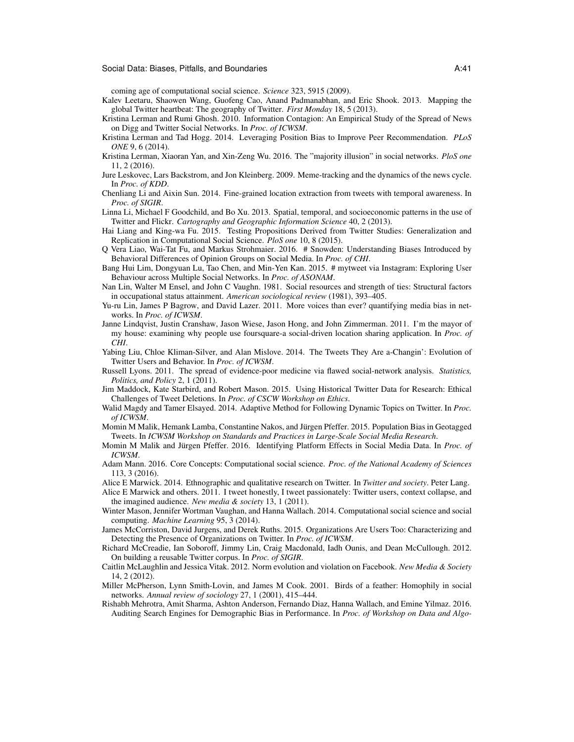coming age of computational social science. *Science* 323, 5915 (2009).

- <span id="page-40-23"></span>Kalev Leetaru, Shaowen Wang, Guofeng Cao, Anand Padmanabhan, and Eric Shook. 2013. Mapping the global Twitter heartbeat: The geography of Twitter. *First Monday* 18, 5 (2013).
- <span id="page-40-4"></span>Kristina Lerman and Rumi Ghosh. 2010. Information Contagion: An Empirical Study of the Spread of News on Digg and Twitter Social Networks. In *Proc. of ICWSM*.
- <span id="page-40-27"></span>Kristina Lerman and Tad Hogg. 2014. Leveraging Position Bias to Improve Peer Recommendation. *PLoS ONE* 9, 6 (2014).
- <span id="page-40-8"></span>Kristina Lerman, Xiaoran Yan, and Xin-Zeng Wu. 2016. The "majority illusion" in social networks. *PloS one* 11, 2 (2016).
- <span id="page-40-3"></span>Jure Leskovec, Lars Backstrom, and Jon Kleinberg. 2009. Meme-tracking and the dynamics of the news cycle. In *Proc. of KDD*.
- <span id="page-40-19"></span>Chenliang Li and Aixin Sun. 2014. Fine-grained location extraction from tweets with temporal awareness. In *Proc. of SIGIR*.
- <span id="page-40-5"></span>Linna Li, Michael F Goodchild, and Bo Xu. 2013. Spatial, temporal, and socioeconomic patterns in the use of Twitter and Flickr. *Cartography and Geographic Information Science* 40, 2 (2013).
- <span id="page-40-20"></span>Hai Liang and King-wa Fu. 2015. Testing Propositions Derived from Twitter Studies: Generalization and Replication in Computational Social Science. *PloS one* 10, 8 (2015).
- <span id="page-40-12"></span>Q Vera Liao, Wai-Tat Fu, and Markus Strohmaier. 2016. # Snowden: Understanding Biases Introduced by Behavioral Differences of Opinion Groups on Social Media. In *Proc. of CHI*.
- <span id="page-40-6"></span>Bang Hui Lim, Dongyuan Lu, Tao Chen, and Min-Yen Kan. 2015. # mytweet via Instagram: Exploring User Behaviour across Multiple Social Networks. In *Proc. of ASONAM*.
- <span id="page-40-9"></span>Nan Lin, Walter M Ensel, and John C Vaughn. 1981. Social resources and strength of ties: Structural factors in occupational status attainment. *American sociological review* (1981), 393–405.
- <span id="page-40-15"></span>Yu-ru Lin, James P Bagrow, and David Lazer. 2011. More voices than ever? quantifying media bias in networks. In *Proc. of ICWSM*.
- <span id="page-40-14"></span>Janne Lindqvist, Justin Cranshaw, Jason Wiese, Jason Hong, and John Zimmerman. 2011. I'm the mayor of my house: examining why people use foursquare-a social-driven location sharing application. In *Proc. of CHI*.
- <span id="page-40-10"></span>Yabing Liu, Chloe Kliman-Silver, and Alan Mislove. 2014. The Tweets They Are a-Changin': Evolution of Twitter Users and Behavior. In *Proc. of ICWSM*.
- <span id="page-40-25"></span>Russell Lyons. 2011. The spread of evidence-poor medicine via flawed social-network analysis. *Statistics, Politics, and Policy* 2, 1 (2011).
- <span id="page-40-11"></span>Jim Maddock, Kate Starbird, and Robert Mason. 2015. Using Historical Twitter Data for Research: Ethical Challenges of Tweet Deletions. In *Proc. of CSCW Workshop on Ethics*.
- <span id="page-40-18"></span>Walid Magdy and Tamer Elsayed. 2014. Adaptive Method for Following Dynamic Topics on Twitter. In *Proc. of ICWSM*.
- <span id="page-40-17"></span>Momin M Malik, Hemank Lamba, Constantine Nakos, and Jürgen Pfeffer. 2015. Population Bias in Geotagged Tweets. In *ICWSM Workshop on Standards and Practices in Large-Scale Social Media Research*.
- <span id="page-40-2"></span>Momin M Malik and Jürgen Pfeffer. 2016. Identifying Platform Effects in Social Media Data. In Proc. of *ICWSM*.
- <span id="page-40-0"></span>Adam Mann. 2016. Core Concepts: Computational social science. *Proc. of the National Academy of Sciences* 113, 3 (2016).
- <span id="page-40-21"></span>Alice E Marwick. 2014. Ethnographic and qualitative research on Twitter. In *Twitter and society*. Peter Lang.
- <span id="page-40-22"></span>Alice E Marwick and others. 2011. I tweet honestly, I tweet passionately: Twitter users, context collapse, and the imagined audience. *New media & society* 13, 1 (2011).
- <span id="page-40-1"></span>Winter Mason, Jennifer Wortman Vaughan, and Hanna Wallach. 2014. Computational social science and social computing. *Machine Learning* 95, 3 (2014).
- <span id="page-40-16"></span>James McCorriston, David Jurgens, and Derek Ruths. 2015. Organizations Are Users Too: Characterizing and Detecting the Presence of Organizations on Twitter. In *Proc. of ICWSM*.
- <span id="page-40-26"></span>Richard McCreadie, Ian Soboroff, Jimmy Lin, Craig Macdonald, Iadh Ounis, and Dean McCullough. 2012. On building a reusable Twitter corpus. In *Proc. of SIGIR*.
- <span id="page-40-13"></span>Caitlin McLaughlin and Jessica Vitak. 2012. Norm evolution and violation on Facebook. *New Media & Society* 14, 2 (2012).
- <span id="page-40-7"></span>Miller McPherson, Lynn Smith-Lovin, and James M Cook. 2001. Birds of a feather: Homophily in social networks. *Annual review of sociology* 27, 1 (2001), 415–444.
- <span id="page-40-24"></span>Rishabh Mehrotra, Amit Sharma, Ashton Anderson, Fernando Diaz, Hanna Wallach, and Emine Yilmaz. 2016. Auditing Search Engines for Demographic Bias in Performance. In *Proc. of Workshop on Data and Algo-*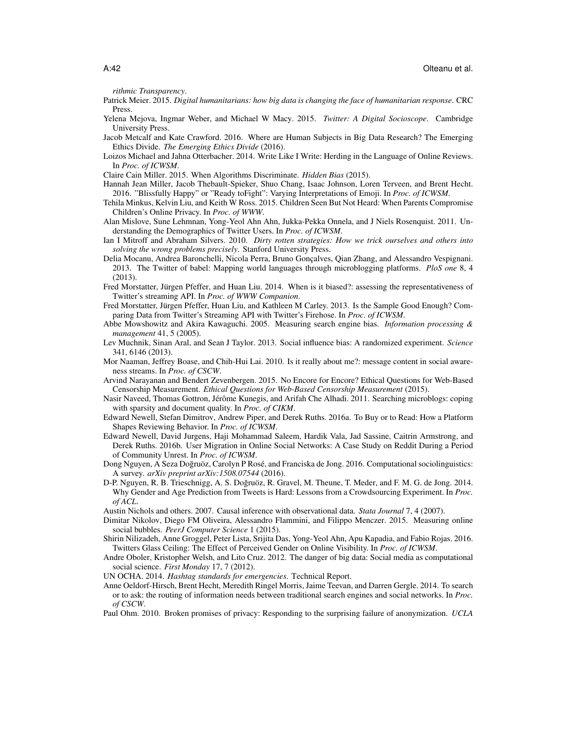*rithmic Transparency*.

- <span id="page-41-22"></span>Patrick Meier. 2015. *Digital humanitarians: how big data is changing the face of humanitarian response*. CRC Press.
- <span id="page-41-1"></span>Yelena Mejova, Ingmar Weber, and Michael W Macy. 2015. *Twitter: A Digital Socioscope*. Cambridge University Press.
- <span id="page-41-23"></span>Jacob Metcalf and Kate Crawford. 2016. Where are Human Subjects in Big Data Research? The Emerging Ethics Divide. *The Emerging Ethics Divide* (2016).
- <span id="page-41-13"></span>Loizos Michael and Jahna Otterbacher. 2014. Write Like I Write: Herding in the Language of Online Reviews. In *Proc. of ICWSM*.
- <span id="page-41-25"></span>Claire Cain Miller. 2015. When Algorithms Discriminate. *Hidden Bias* (2015).
- <span id="page-41-12"></span>Hannah Jean Miller, Jacob Thebault-Spieker, Shuo Chang, Isaac Johnson, Loren Terveen, and Brent Hecht. 2016. "Blissfully Happy" or "Ready toFight": Varying Interpretations of Emoji. In *Proc. of ICWSM*.
- <span id="page-41-26"></span>Tehila Minkus, Kelvin Liu, and Keith W Ross. 2015. Children Seen But Not Heard: When Parents Compromise Children's Online Privacy. In *Proc. of WWW*.
- <span id="page-41-5"></span>Alan Mislove, Sune Lehmnan, Yong-Yeol Ahn Ahn, Jukka-Pekka Onnela, and J Niels Rosenquist. 2011. Understanding the Demographics of Twitter Users. In *Proc. of ICWSM*.
- <span id="page-41-20"></span>Ian I Mitroff and Abraham Silvers. 2010. *Dirty rotten strategies: How we trick ourselves and others into solving the wrong problems precisely*. Stanford University Press.
- <span id="page-41-9"></span>Delia Mocanu, Andrea Baronchelli, Nicola Perra, Bruno Gonçalves, Qian Zhang, and Alessandro Vespignani. 2013. The Twitter of babel: Mapping world languages through microblogging platforms. *PloS one* 8, 4 (2013).
- <span id="page-41-17"></span>Fred Morstatter, Jürgen Pfeffer, and Huan Liu. 2014. When is it biased?: assessing the representativeness of Twitter's streaming API. In *Proc. of WWW Companion*.
- <span id="page-41-16"></span>Fred Morstatter, Jürgen Pfeffer, Huan Liu, and Kathleen M Carley. 2013. Is the Sample Good Enough? Comparing Data from Twitter's Streaming API with Twitter's Firehose. In *Proc. of ICWSM*.
- <span id="page-41-4"></span>Abbe Mowshowitz and Akira Kawaguchi. 2005. Measuring search engine bias. *Information processing & management* 41, 5 (2005).
- <span id="page-41-14"></span>Lev Muchnik, Sinan Aral, and Sean J Taylor. 2013. Social influence bias: A randomized experiment. *Science* 341, 6146 (2013).
- <span id="page-41-0"></span>Mor Naaman, Jeffrey Boase, and Chih-Hui Lai. 2010. Is it really about me?: message content in social awareness streams. In *Proc. of CSCW*.
- <span id="page-41-24"></span>Arvind Narayanan and Bendert Zevenbergen. 2015. No Encore for Encore? Ethical Questions for Web-Based Censorship Measurement. *Ethical Questions for Web-Based Censorship Measurement* (2015).
- <span id="page-41-3"></span>Nasir Naveed, Thomas Gottron, Jérôme Kunegis, and Arifah Che Alhadi. 2011. Searching microblogs: coping with sparsity and document quality. In *Proc. of CIKM*.
- <span id="page-41-10"></span>Edward Newell, Stefan Dimitrov, Andrew Piper, and Derek Ruths. 2016a. To Buy or to Read: How a Platform Shapes Reviewing Behavior. In *Proc. of ICWSM*.
- <span id="page-41-11"></span>Edward Newell, David Jurgens, Haji Mohammad Saleem, Hardik Vala, Jad Sassine, Caitrin Armstrong, and Derek Ruths. 2016b. User Migration in Online Social Networks: A Case Study on Reddit During a Period of Community Unrest. In *Proc. of ICWSM*.
- <span id="page-41-8"></span>Dong Nguyen, A Seza Doğruöz, Carolyn P Rosé, and Franciska de Jong. 2016. Computational sociolinguistics: A survey. *arXiv preprint arXiv:1508.07544* (2016).
- <span id="page-41-19"></span>D-P. Nguyen, R. B. Trieschnigg, A. S. Doğruöz, R. Gravel, M. Theune, T. Meder, and F. M. G. de Jong. 2014. Why Gender and Age Prediction from Tweets is Hard: Lessons from a Crowdsourcing Experiment. In *Proc. of ACL*.
- <span id="page-41-21"></span>Austin Nichols and others. 2007. Causal inference with observational data. *Stata Journal* 7, 4 (2007).
- <span id="page-41-6"></span>Dimitar Nikolov, Diego FM Oliveira, Alessandro Flammini, and Filippo Menczer. 2015. Measuring online social bubbles. *PeerJ Computer Science* 1 (2015).
- <span id="page-41-15"></span>Shirin Nilizadeh, Anne Groggel, Peter Lista, Srijita Das, Yong-Yeol Ahn, Apu Kapadia, and Fabio Rojas. 2016. Twitters Glass Ceiling: The Effect of Perceived Gender on Online Visibility. In *Proc. of ICWSM*.
- <span id="page-41-2"></span>Andre Oboler, Kristopher Welsh, and Lito Cruz. 2012. The danger of big data: Social media as computational social science. *First Monday* 17, 7 (2012).
- <span id="page-41-18"></span>UN OCHA. 2014. *Hashtag standards for emergencies*. Technical Report.
- <span id="page-41-7"></span>Anne Oeldorf-Hirsch, Brent Hecht, Meredith Ringel Morris, Jaime Teevan, and Darren Gergle. 2014. To search or to ask: the routing of information needs between traditional search engines and social networks. In *Proc. of CSCW*.
- <span id="page-41-27"></span>Paul Ohm. 2010. Broken promises of privacy: Responding to the surprising failure of anonymization. *UCLA*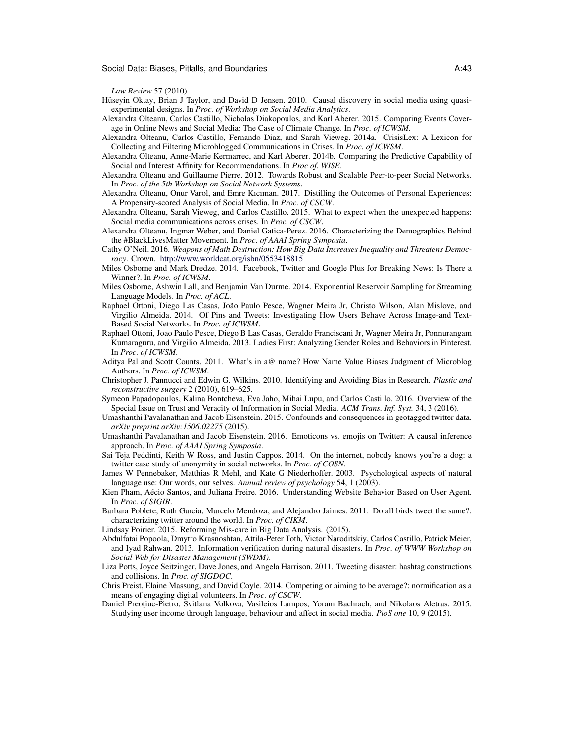*Law Review* 57 (2010).

- <span id="page-42-25"></span>Hüseyin Oktay, Brian J Taylor, and David D Jensen. 2010. Causal discovery in social media using quasiexperimental designs. In *Proc. of Workshop on Social Media Analytics*.
- <span id="page-42-17"></span>Alexandra Olteanu, Carlos Castillo, Nicholas Diakopoulos, and Karl Aberer. 2015. Comparing Events Coverage in Online News and Social Media: The Case of Climate Change. In *Proc. of ICWSM*.
- <span id="page-42-2"></span>Alexandra Olteanu, Carlos Castillo, Fernando Diaz, and Sarah Vieweg. 2014a. CrisisLex: A Lexicon for Collecting and Filtering Microblogged Communications in Crises. In *Proc. of ICWSM*.
- <span id="page-42-24"></span>Alexandra Olteanu, Anne-Marie Kermarrec, and Karl Aberer. 2014b. Comparing the Predictive Capability of Social and Interest Affinity for Recommendations. In *Proc of. WISE*.
- <span id="page-42-26"></span>Alexandra Olteanu and Guillaume Pierre. 2012. Towards Robust and Scalable Peer-to-peer Social Networks. In *Proc. of the 5th Workshop on Social Network Systems*.
- <span id="page-42-7"></span>Alexandra Olteanu, Onur Varol, and Emre Kıcıman. 2017. Distilling the Outcomes of Personal Experiences: A Propensity-scored Analysis of Social Media. In *Proc. of CSCW*.
- <span id="page-42-14"></span>Alexandra Olteanu, Sarah Vieweg, and Carlos Castillo. 2015. What to expect when the unexpected happens: Social media communications across crises. In *Proc. of CSCW*.
- <span id="page-42-5"></span>Alexandra Olteanu, Ingmar Weber, and Daniel Gatica-Perez. 2016. Characterizing the Demographics Behind the #BlackLivesMatter Movement. In *Proc. of AAAI Spring Symposia*.
- <span id="page-42-0"></span>Cathy O'Neil. 2016. *Weapons of Math Destruction: How Big Data Increases Inequality and Threatens Democracy*. Crown. <http://www.worldcat.org/isbn/0553418815>
- <span id="page-42-9"></span>Miles Osborne and Mark Dredze. 2014. Facebook, Twitter and Google Plus for Breaking News: Is There a Winner?. In *Proc. of ICWSM*.
- <span id="page-42-21"></span>Miles Osborne, Ashwin Lall, and Benjamin Van Durme. 2014. Exponential Reservoir Sampling for Streaming Language Models. In *Proc. of ACL*.
- <span id="page-42-4"></span>Raphael Ottoni, Diego Las Casas, João Paulo Pesce, Wagner Meira Jr, Christo Wilson, Alan Mislove, and Virgilio Almeida. 2014. Of Pins and Tweets: Investigating How Users Behave Across Image-and Text-Based Social Networks. In *Proc. of ICWSM*.
- <span id="page-42-3"></span>Raphael Ottoni, Joao Paulo Pesce, Diego B Las Casas, Geraldo Franciscani Jr, Wagner Meira Jr, Ponnurangam Kumaraguru, and Virgilio Almeida. 2013. Ladies First: Analyzing Gender Roles and Behaviors in Pinterest. In *Proc. of ICWSM*.
- <span id="page-42-12"></span>Aditya Pal and Scott Counts. 2011. What's in a@ name? How Name Value Biases Judgment of Microblog Authors. In *Proc. of ICWSM*.
- <span id="page-42-1"></span>Christopher J. Pannucci and Edwin G. Wilkins. 2010. Identifying and Avoiding Bias in Research. *Plastic and reconstructive surgery* 2 (2010), 619–625.
- <span id="page-42-16"></span>Symeon Papadopoulos, Kalina Bontcheva, Eva Jaho, Mihai Lupu, and Carlos Castillo. 2016. Overview of the Special Issue on Trust and Veracity of Information in Social Media. *ACM Trans. Inf. Syst.* 34, 3 (2016).
- <span id="page-42-19"></span>Umashanthi Pavalanathan and Jacob Eisenstein. 2015. Confounds and consequences in geotagged twitter data. *arXiv preprint arXiv:1506.02275* (2015).
- <span id="page-42-8"></span>Umashanthi Pavalanathan and Jacob Eisenstein. 2016. Emoticons vs. emojis on Twitter: A causal inference approach. In *Proc. of AAAI Spring Symposia*.
- <span id="page-42-10"></span>Sai Teja Peddinti, Keith W Ross, and Justin Cappos. 2014. On the internet, nobody knows you're a dog: a twitter case study of anonymity in social networks. In *Proc. of COSN*.
- <span id="page-42-22"></span>James W Pennebaker, Matthias R Mehl, and Kate G Niederhoffer. 2003. Psychological aspects of natural language use: Our words, our selves. *Annual review of psychology* 54, 1 (2003).
- <span id="page-42-18"></span>Kien Pham, Aécio Santos, and Juliana Freire. 2016. Understanding Website Behavior Based on User Agent. In *Proc. of SIGIR*.
- <span id="page-42-6"></span>Barbara Poblete, Ruth Garcia, Marcelo Mendoza, and Alejandro Jaimes. 2011. Do all birds tweet the same?: characterizing twitter around the world. In *Proc. of CIKM*.
- <span id="page-42-23"></span>Lindsay Poirier. 2015. Reforming Mis-care in Big Data Analysis. (2015).
- <span id="page-42-15"></span>Abdulfatai Popoola, Dmytro Krasnoshtan, Attila-Peter Toth, Victor Naroditskiy, Carlos Castillo, Patrick Meier, and Iyad Rahwan. 2013. Information verification during natural disasters. In *Proc. of WWW Workshop on Social Web for Disaster Management (SWDM)*.
- <span id="page-42-20"></span>Liza Potts, Joyce Seitzinger, Dave Jones, and Angela Harrison. 2011. Tweeting disaster: hashtag constructions and collisions. In *Proc. of SIGDOC*.
- <span id="page-42-11"></span>Chris Preist, Elaine Massung, and David Coyle. 2014. Competing or aiming to be average?: normification as a means of engaging digital volunteers. In *Proc. of CSCW*.
- <span id="page-42-13"></span>Daniel Preoțiuc-Pietro, Svitlana Volkova, Vasileios Lampos, Yoram Bachrach, and Nikolaos Aletras. 2015. Studying user income through language, behaviour and affect in social media. *PloS one* 10, 9 (2015).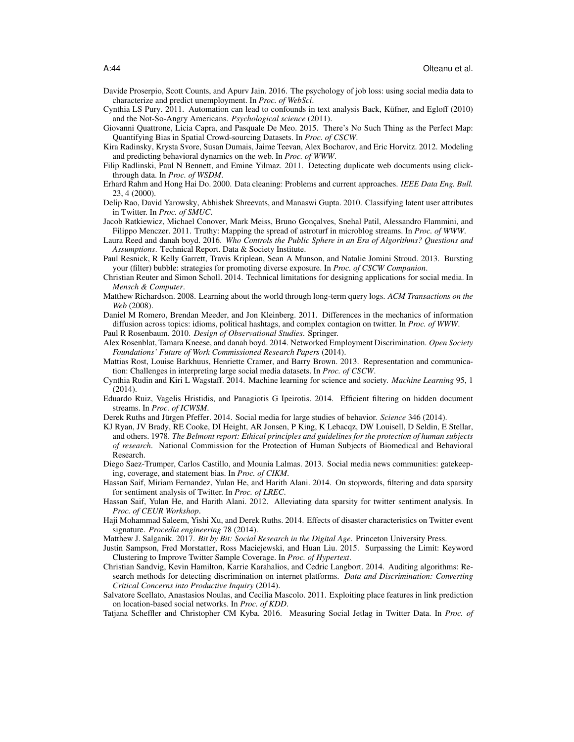- <span id="page-43-24"></span>Davide Proserpio, Scott Counts, and Apurv Jain. 2016. The psychology of job loss: using social media data to characterize and predict unemployment. In *Proc. of WebSci*.
- <span id="page-43-22"></span>Cynthia LS Pury. 2011. Automation can lead to confounds in text analysis Back, Küfner, and Egloff (2010) and the Not-So-Angry Americans. *Psychological science* (2011).
- <span id="page-43-12"></span>Giovanni Quattrone, Licia Capra, and Pasquale De Meo. 2015. There's No Such Thing as the Perfect Map: Quantifying Bias in Spatial Crowd-sourcing Datasets. In *Proc. of CSCW*.
- <span id="page-43-8"></span>Kira Radinsky, Krysta Svore, Susan Dumais, Jaime Teevan, Alex Bocharov, and Eric Horvitz. 2012. Modeling and predicting behavioral dynamics on the web. In *Proc. of WWW*.
- <span id="page-43-10"></span>Filip Radlinski, Paul N Bennett, and Emine Yilmaz. 2011. Detecting duplicate web documents using clickthrough data. In *Proc. of WSDM*.
- <span id="page-43-21"></span>Erhard Rahm and Hong Hai Do. 2000. Data cleaning: Problems and current approaches. *IEEE Data Eng. Bull.* 23, 4 (2000).
- <span id="page-43-6"></span>Delip Rao, David Yarowsky, Abhishek Shreevats, and Manaswi Gupta. 2010. Classifying latent user attributes in Twitter. In *Proc. of SMUC*.
- <span id="page-43-13"></span>Jacob Ratkiewicz, Michael Conover, Mark Meiss, Bruno Gonçalves, Snehal Patil, Alessandro Flammini, and Filippo Menczer. 2011. Truthy: Mapping the spread of astroturf in microblog streams. In *Proc. of WWW*.
- <span id="page-43-3"></span>Laura Reed and danah boyd. 2016. *Who Controls the Public Sphere in an Era of Algorithms? Questions and Assumptions*. Technical Report. Data & Society Institute.
- <span id="page-43-11"></span>Paul Resnick, R Kelly Garrett, Travis Kriplean, Sean A Munson, and Natalie Jomini Stroud. 2013. Bursting your (filter) bubble: strategies for promoting diverse exposure. In *Proc. of CSCW Companion*.
- <span id="page-43-17"></span>Christian Reuter and Simon Scholl. 2014. Technical limitations for designing applications for social media. In *Mensch & Computer*.
- <span id="page-43-0"></span>Matthew Richardson. 2008. Learning about the world through long-term query logs. *ACM Transactions on the Web* (2008).
- <span id="page-43-14"></span>Daniel M Romero, Brendan Meeder, and Jon Kleinberg. 2011. Differences in the mechanics of information diffusion across topics: idioms, political hashtags, and complex contagion on twitter. In *Proc. of WWW*.
- <span id="page-43-23"></span>Paul R Rosenbaum. 2010. *Design of Observational Studies*. Springer.
- <span id="page-43-2"></span>Alex Rosenblat, Tamara Kneese, and danah boyd. 2014. Networked Employment Discrimination. *Open Society Foundations' Future of Work Commissioned Research Papers* (2014).
- <span id="page-43-26"></span>Mattias Rost, Louise Barkhuus, Henriette Cramer, and Barry Brown. 2013. Representation and communication: Challenges in interpreting large social media datasets. In *Proc. of CSCW*.
- <span id="page-43-25"></span>Cynthia Rudin and Kiri L Wagstaff. 2014. Machine learning for science and society. *Machine Learning* 95, 1 (2014).
- <span id="page-43-19"></span>Eduardo Ruiz, Vagelis Hristidis, and Panagiotis G Ipeirotis. 2014. Efficient filtering on hidden document streams. In *Proc. of ICWSM*.
- <span id="page-43-1"></span>Derek Ruths and Jürgen Pfeffer. 2014. Social media for large studies of behavior. *Science* 346 (2014).
- <span id="page-43-27"></span>KJ Ryan, JV Brady, RE Cooke, DI Height, AR Jonsen, P King, K Lebacqz, DW Louisell, D Seldin, E Stellar, and others. 1978. *The Belmont report: Ethical principles and guidelines for the protection of human subjects of research*. National Commission for the Protection of Human Subjects of Biomedical and Behavioral Research.
- <span id="page-43-15"></span>Diego Saez-Trumper, Carlos Castillo, and Mounia Lalmas. 2013. Social media news communities: gatekeeping, coverage, and statement bias. In *Proc. of CIKM*.
- <span id="page-43-20"></span>Hassan Saif, Miriam Fernandez, Yulan He, and Harith Alani. 2014. On stopwords, filtering and data sparsity for sentiment analysis of Twitter. In *Proc. of LREC*.
- <span id="page-43-4"></span>Hassan Saif, Yulan He, and Harith Alani. 2012. Alleviating data sparsity for twitter sentiment analysis. In *Proc. of CEUR Workshop*.
- <span id="page-43-16"></span>Haji Mohammad Saleem, Yishi Xu, and Derek Ruths. 2014. Effects of disaster characteristics on Twitter event signature. *Procedia engineering* 78 (2014).
- <span id="page-43-5"></span>Matthew J. Salganik. 2017. *Bit by Bit: Social Research in the Digital Age*. Princeton University Press.
- <span id="page-43-18"></span>Justin Sampson, Fred Morstatter, Ross Maciejewski, and Huan Liu. 2015. Surpassing the Limit: Keyword Clustering to Improve Twitter Sample Coverage. In *Proc. of Hypertext*.
- <span id="page-43-28"></span>Christian Sandvig, Kevin Hamilton, Karrie Karahalios, and Cedric Langbort. 2014. Auditing algorithms: Research methods for detecting discrimination on internet platforms. *Data and Discrimination: Converting Critical Concerns into Productive Inquiry* (2014).
- <span id="page-43-7"></span>Salvatore Scellato, Anastasios Noulas, and Cecilia Mascolo. 2011. Exploiting place features in link prediction on location-based social networks. In *Proc. of KDD*.
- <span id="page-43-9"></span>Tatjana Scheffler and Christopher CM Kyba. 2016. Measuring Social Jetlag in Twitter Data. In *Proc. of*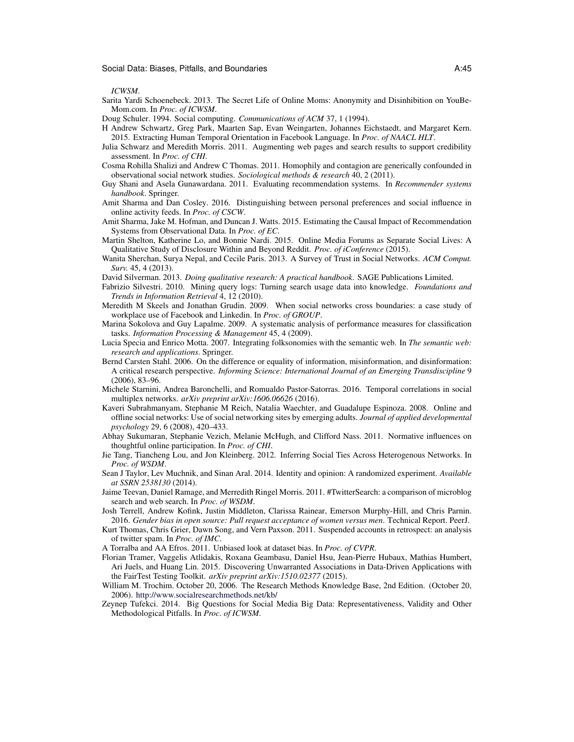*ICWSM*.

- <span id="page-44-11"></span>Sarita Yardi Schoenebeck. 2013. The Secret Life of Online Moms: Anonymity and Disinhibition on YouBe-Mom.com. In *Proc. of ICWSM*.
- <span id="page-44-0"></span>Doug Schuler. 1994. Social computing. *Communications of ACM* 37, 1 (1994).
- <span id="page-44-6"></span>H Andrew Schwartz, Greg Park, Maarten Sap, Evan Weingarten, Johannes Eichstaedt, and Margaret Kern. 2015. Extracting Human Temporal Orientation in Facebook Language. In *Proc. of NAACL HLT*.
- <span id="page-44-9"></span>Julia Schwarz and Meredith Morris. 2011. Augmenting web pages and search results to support credibility assessment. In *Proc. of CHI*.
- <span id="page-44-23"></span>Cosma Rohilla Shalizi and Andrew C Thomas. 2011. Homophily and contagion are generically confounded in observational social network studies. *Sociological methods & research* 40, 2 (2011).
- <span id="page-44-27"></span>Guy Shani and Asela Gunawardana. 2011. Evaluating recommendation systems. In *Recommender systems handbook*. Springer.
- <span id="page-44-21"></span>Amit Sharma and Dan Cosley. 2016. Distinguishing between personal preferences and social influence in online activity feeds. In *Proc. of CSCW*.
- <span id="page-44-22"></span>Amit Sharma, Jake M. Hofman, and Duncan J. Watts. 2015. Estimating the Causal Impact of Recommendation Systems from Observational Data. In *Proc. of EC*.
- <span id="page-44-12"></span>Martin Shelton, Katherine Lo, and Bonnie Nardi. 2015. Online Media Forums as Separate Social Lives: A Qualitative Study of Disclosure Within and Beyond Reddit. *Proc. of iConference* (2015).
- <span id="page-44-16"></span>Wanita Sherchan, Surya Nepal, and Cecile Paris. 2013. A Survey of Trust in Social Networks. *ACM Comput. Surv.* 45, 4 (2013).
- <span id="page-44-19"></span>David Silverman. 2013. *Doing qualitative research: A practical handbook*. SAGE Publications Limited.
- <span id="page-44-5"></span>Fabrizio Silvestri. 2010. Mining query logs: Turning search usage data into knowledge. *Foundations and Trends in Information Retrieval* 4, 12 (2010).
- <span id="page-44-10"></span>Meredith M Skeels and Jonathan Grudin. 2009. When social networks cross boundaries: a case study of workplace use of Facebook and Linkedin. In *Proc. of GROUP*.
- <span id="page-44-25"></span>Marina Sokolova and Guy Lapalme. 2009. A systematic analysis of performance measures for classification tasks. *Information Processing & Management* 45, 4 (2009).
- <span id="page-44-17"></span>Lucia Specia and Enrico Motta. 2007. Integrating folksonomies with the semantic web. In *The semantic web: research and applications*. Springer.
- <span id="page-44-15"></span>Bernd Carsten Stahl. 2006. On the difference or equality of information, misinformation, and disinformation: A critical research perspective. *Informing Science: International Journal of an Emerging Transdiscipline* 9 (2006), 83–96.
- <span id="page-44-8"></span>Michele Starnini, Andrea Baronchelli, and Romualdo Pastor-Satorras. 2016. Temporal correlations in social multiplex networks. *arXiv preprint arXiv:1606.06626* (2016).
- <span id="page-44-7"></span>Kaveri Subrahmanyam, Stephanie M Reich, Natalia Waechter, and Guadalupe Espinoza. 2008. Online and offline social networks: Use of social networking sites by emerging adults. *Journal of applied developmental psychology* 29, 6 (2008), 420–433.
- <span id="page-44-13"></span>Abhay Sukumaran, Stephanie Vezich, Melanie McHugh, and Clifford Nass. 2011. Normative influences on thoughtful online participation. In *Proc. of CHI*.
- <span id="page-44-26"></span>Jie Tang, Tiancheng Lou, and Jon Kleinberg. 2012. Inferring Social Ties Across Heterogenous Networks. In *Proc. of WSDM*.
- <span id="page-44-24"></span>Sean J Taylor, Lev Muchnik, and Sinan Aral. 2014. Identity and opinion: A randomized experiment. *Available at SSRN 2538130* (2014).
- <span id="page-44-4"></span>Jaime Teevan, Daniel Ramage, and Merredith Ringel Morris. 2011. #TwitterSearch: a comparison of microblog search and web search. In *Proc. of WSDM*.
- <span id="page-44-14"></span>Josh Terrell, Andrew Kofink, Justin Middleton, Clarissa Rainear, Emerson Murphy-Hill, and Chris Parnin. 2016. *Gender bias in open source: Pull request acceptance of women versus men*. Technical Report. PeerJ.
- <span id="page-44-18"></span>Kurt Thomas, Chris Grier, Dawn Song, and Vern Paxson. 2011. Suspended accounts in retrospect: an analysis of twitter spam. In *Proc. of IMC*.
- <span id="page-44-2"></span>A Torralba and AA Efros. 2011. Unbiased look at dataset bias. In *Proc. of CVPR*.
- <span id="page-44-20"></span>Florian Tramer, Vaggelis Atlidakis, Roxana Geambasu, Daniel Hsu, Jean-Pierre Hubaux, Mathias Humbert, Ari Juels, and Huang Lin. 2015. Discovering Unwarranted Associations in Data-Driven Applications with the FairTest Testing Toolkit. *arXiv preprint arXiv:1510.02377* (2015).
- <span id="page-44-3"></span>William M. Trochim. October 20, 2006. The Research Methods Knowledge Base, 2nd Edition. (October 20, 2006). <http://www.socialresearchmethods.net/kb/>
- <span id="page-44-1"></span>Zeynep Tufekci. 2014. Big Questions for Social Media Big Data: Representativeness, Validity and Other Methodological Pitfalls. In *Proc. of ICWSM*.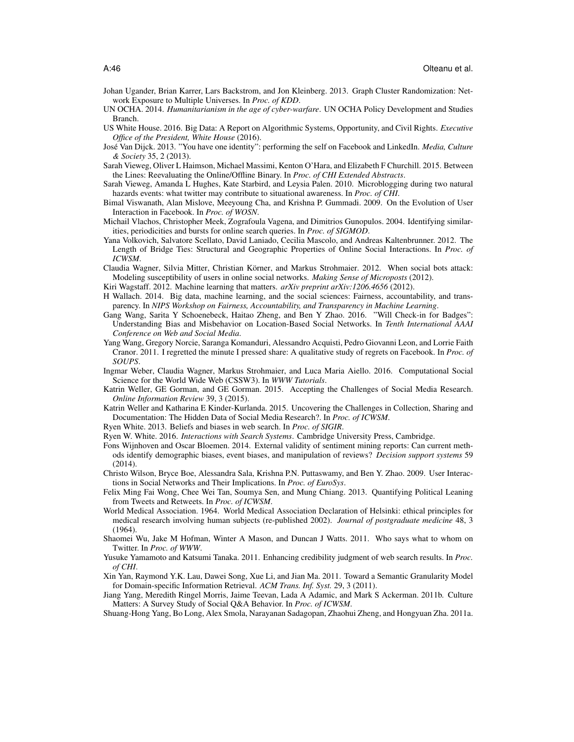- <span id="page-45-19"></span>Johan Ugander, Brian Karrer, Lars Backstrom, and Jon Kleinberg. 2013. Graph Cluster Randomization: Network Exposure to Multiple Universes. In *Proc. of KDD*.
- <span id="page-45-22"></span>UN OCHA. 2014. *Humanitarianism in the age of cyber-warfare*. UN OCHA Policy Development and Studies Branch.
- <span id="page-45-25"></span>US White House. 2016. Big Data: A Report on Algorithmic Systems, Opportunity, and Civil Rights. *Executive Office of the President, White House* (2016).
- <span id="page-45-11"></span>José Van Dijck. 2013. "You have one identity": performing the self on Facebook and LinkedIn. Media, Culture *& Society* 35, 2 (2013).
- <span id="page-45-23"></span>Sarah Vieweg, Oliver L Haimson, Michael Massimi, Kenton O'Hara, and Elizabeth F Churchill. 2015. Between the Lines: Reevaluating the Online/Offline Binary. In *Proc. of CHI Extended Abstracts*.
- <span id="page-45-16"></span>Sarah Vieweg, Amanda L Hughes, Kate Starbird, and Leysia Palen. 2010. Microblogging during two natural hazards events: what twitter may contribute to situational awareness. In *Proc. of CHI*.
- <span id="page-45-7"></span>Bimal Viswanath, Alan Mislove, Meeyoung Cha, and Krishna P. Gummadi. 2009. On the Evolution of User Interaction in Facebook. In *Proc. of WOSN*.
- <span id="page-45-9"></span>Michail Vlachos, Christopher Meek, Zografoula Vagena, and Dimitrios Gunopulos. 2004. Identifying similarities, periodicities and bursts for online search queries. In *Proc. of SIGMOD*.
- <span id="page-45-8"></span>Yana Volkovich, Salvatore Scellato, David Laniado, Cecilia Mascolo, and Andreas Kaltenbrunner. 2012. The Length of Bridge Ties: Structural and Geographic Properties of Online Social Interactions. In *Proc. of ICWSM*.
- <span id="page-45-13"></span>Claudia Wagner, Silvia Mitter, Christian Körner, and Markus Strohmaier. 2012. When social bots attack: Modeling susceptibility of users in online social networks. *Making Sense of Microposts* (2012).
- <span id="page-45-1"></span>Kiri Wagstaff. 2012. Machine learning that matters. *arXiv preprint arXiv:1206.4656* (2012).
- <span id="page-45-27"></span>H Wallach. 2014. Big data, machine learning, and the social sciences: Fairness, accountability, and transparency. In *NIPS Workshop on Fairness, Accountability, and Transparency in Machine Learning*.
- <span id="page-45-6"></span>Gang Wang, Sarita Y Schoenebeck, Haitao Zheng, and Ben Y Zhao. 2016. "Will Check-in for Badges": Understanding Bias and Misbehavior on Location-Based Social Networks. In *Tenth International AAAI Conference on Web and Social Media*.
- <span id="page-45-5"></span>Yang Wang, Gregory Norcie, Saranga Komanduri, Alessandro Acquisti, Pedro Giovanni Leon, and Lorrie Faith Cranor. 2011. I regretted the minute I pressed share: A qualitative study of regrets on Facebook. In *Proc. of SOUPS*.
- <span id="page-45-26"></span>Ingmar Weber, Claudia Wagner, Markus Strohmaier, and Luca Maria Aiello. 2016. Computational Social Science for the World Wide Web (CSSW3). In *WWW Tutorials*.
- <span id="page-45-15"></span>Katrin Weller, GE Gorman, and GE Gorman. 2015. Accepting the Challenges of Social Media Research. *Online Information Review* 39, 3 (2015).
- <span id="page-45-20"></span>Katrin Weller and Katharina E Kinder-Kurlanda. 2015. Uncovering the Challenges in Collection, Sharing and Documentation: The Hidden Data of Social Media Research?. In *Proc. of ICWSM*.
- <span id="page-45-0"></span>Ryen White. 2013. Beliefs and biases in web search. In *Proc. of SIGIR*.

<span id="page-45-18"></span>Ryen W. White. 2016. *Interactions with Search Systems*. Cambridge University Press, Cambridge.

- <span id="page-45-2"></span>Fons Wijnhoven and Oscar Bloemen. 2014. External validity of sentiment mining reports: Can current methods identify demographic biases, event biases, and manipulation of reviews? *Decision support systems* 59 (2014).
- <span id="page-45-3"></span>Christo Wilson, Bryce Boe, Alessandra Sala, Krishna P.N. Puttaswamy, and Ben Y. Zhao. 2009. User Interactions in Social Networks and Their Implications. In *Proc. of EuroSys*.
- <span id="page-45-17"></span>Felix Ming Fai Wong, Chee Wei Tan, Soumya Sen, and Mung Chiang. 2013. Quantifying Political Leaning from Tweets and Retweets. In *Proc. of ICWSM*.
- <span id="page-45-21"></span>World Medical Association. 1964. World Medical Association Declaration of Helsinki: ethical principles for medical research involving human subjects (re-published 2002). *Journal of postgraduate medicine* 48, 3 (1964).
- <span id="page-45-4"></span>Shaomei Wu, Jake M Hofman, Winter A Mason, and Duncan J Watts. 2011. Who says what to whom on Twitter. In *Proc. of WWW*.
- <span id="page-45-10"></span>Yusuke Yamamoto and Katsumi Tanaka. 2011. Enhancing credibility judgment of web search results. In *Proc. of CHI*.
- <span id="page-45-24"></span>Xin Yan, Raymond Y.K. Lau, Dawei Song, Xue Li, and Jian Ma. 2011. Toward a Semantic Granularity Model for Domain-specific Information Retrieval. *ACM Trans. Inf. Syst.* 29, 3 (2011).
- <span id="page-45-12"></span>Jiang Yang, Meredith Ringel Morris, Jaime Teevan, Lada A Adamic, and Mark S Ackerman. 2011b. Culture Matters: A Survey Study of Social Q&A Behavior. In *Proc. of ICWSM*.
- <span id="page-45-14"></span>Shuang-Hong Yang, Bo Long, Alex Smola, Narayanan Sadagopan, Zhaohui Zheng, and Hongyuan Zha. 2011a.